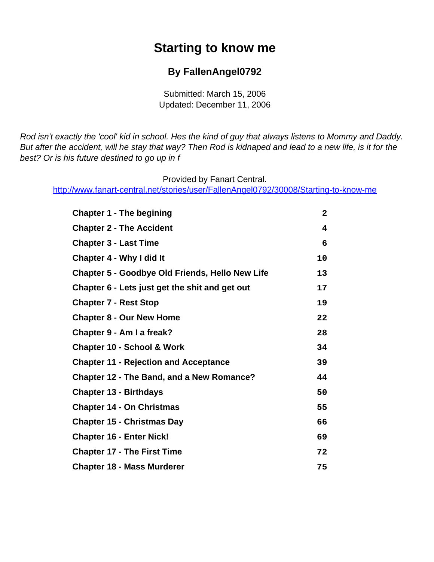# **Starting to know me**

#### **By FallenAngel0792**

Submitted: March 15, 2006 Updated: December 11, 2006

<span id="page-0-0"></span>Rod isn't exactly the 'cool' kid in school. Hes the kind of guy that always listens to Mommy and Daddy. But after the accident, will he stay that way? Then Rod is kidnaped and lead to a new life, is it for the best? Or is his future destined to go up in f

Provided by Fanart Central.

[http://www.fanart-central.net/stories/user/FallenAngel0792/30008/Starting-to-know-me](#page-0-0)

| <b>Chapter 1 - The begining</b>                        | $\mathbf{2}$ |
|--------------------------------------------------------|--------------|
| <b>Chapter 2 - The Accident</b>                        | 4            |
| <b>Chapter 3 - Last Time</b>                           | 6            |
| <b>Chapter 4 - Why I did It</b>                        | 10           |
| <b>Chapter 5 - Goodbye Old Friends, Hello New Life</b> | 13           |
| Chapter 6 - Lets just get the shit and get out         | 17           |
| <b>Chapter 7 - Rest Stop</b>                           | 19           |
| <b>Chapter 8 - Our New Home</b>                        | 22           |
| Chapter 9 - Am I a freak?                              | 28           |
| <b>Chapter 10 - School &amp; Work</b>                  | 34           |
| <b>Chapter 11 - Rejection and Acceptance</b>           | 39           |
| <b>Chapter 12 - The Band, and a New Romance?</b>       | 44           |
| <b>Chapter 13 - Birthdays</b>                          | 50           |
| <b>Chapter 14 - On Christmas</b>                       | 55           |
| <b>Chapter 15 - Christmas Day</b>                      | 66           |
| <b>Chapter 16 - Enter Nick!</b>                        | 69           |
| <b>Chapter 17 - The First Time</b>                     | 72           |
| <b>Chapter 18 - Mass Murderer</b>                      | 75           |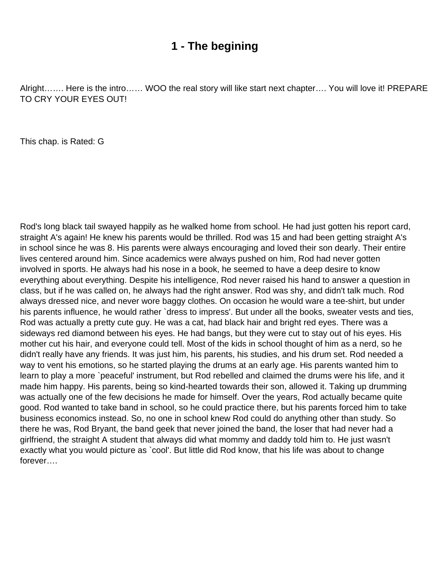### **1 - The begining**

<span id="page-1-0"></span>Alright……. Here is the intro…… WOO the real story will like start next chapter…. You will love it! PREPARE TO CRY YOUR EYES OUT!

This chap. is Rated: G

Rod's long black tail swayed happily as he walked home from school. He had just gotten his report card, straight A's again! He knew his parents would be thrilled. Rod was 15 and had been getting straight A's in school since he was 8. His parents were always encouraging and loved their son dearly. Their entire lives centered around him. Since academics were always pushed on him, Rod had never gotten involved in sports. He always had his nose in a book, he seemed to have a deep desire to know everything about everything. Despite his intelligence, Rod never raised his hand to answer a question in class, but if he was called on, he always had the right answer. Rod was shy, and didn't talk much. Rod always dressed nice, and never wore baggy clothes. On occasion he would ware a tee-shirt, but under his parents influence, he would rather `dress to impress'. But under all the books, sweater vests and ties, Rod was actually a pretty cute guy. He was a cat, had black hair and bright red eyes. There was a sideways red diamond between his eyes. He had bangs, but they were cut to stay out of his eyes. His mother cut his hair, and everyone could tell. Most of the kids in school thought of him as a nerd, so he didn't really have any friends. It was just him, his parents, his studies, and his drum set. Rod needed a way to vent his emotions, so he started playing the drums at an early age. His parents wanted him to learn to play a more `peaceful' instrument, but Rod rebelled and claimed the drums were his life, and it made him happy. His parents, being so kind-hearted towards their son, allowed it. Taking up drumming was actually one of the few decisions he made for himself. Over the years, Rod actually became quite good. Rod wanted to take band in school, so he could practice there, but his parents forced him to take business economics instead. So, no one in school knew Rod could do anything other than study. So there he was, Rod Bryant, the band geek that never joined the band, the loser that had never had a girlfriend, the straight A student that always did what mommy and daddy told him to. He just wasn't exactly what you would picture as `cool'. But little did Rod know, that his life was about to change forever….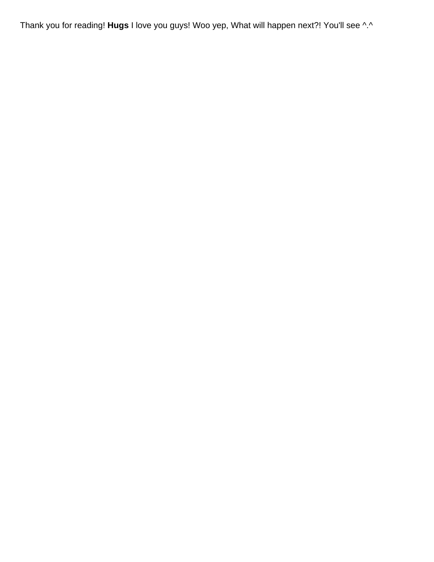Thank you for reading! **Hugs** I love you guys! Woo yep, What will happen next?! You'll see ^.^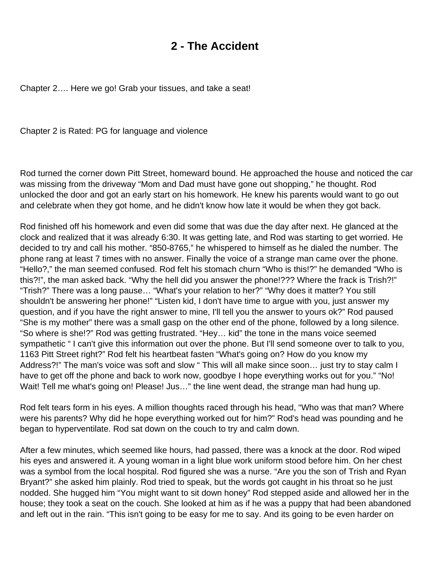## **2 - The Accident**

<span id="page-3-0"></span>Chapter 2…. Here we go! Grab your tissues, and take a seat!

Chapter 2 is Rated: PG for language and violence

Rod turned the corner down Pitt Street, homeward bound. He approached the house and noticed the car was missing from the driveway "Mom and Dad must have gone out shopping," he thought. Rod unlocked the door and got an early start on his homework. He knew his parents would want to go out and celebrate when they got home, and he didn't know how late it would be when they got back.

Rod finished off his homework and even did some that was due the day after next. He glanced at the clock and realized that it was already 6:30. It was getting late, and Rod was starting to get worried. He decided to try and call his mother. "850-8765," he whispered to himself as he dialed the number. The phone rang at least 7 times with no answer. Finally the voice of a strange man came over the phone. "Hello?," the man seemed confused. Rod felt his stomach churn "Who is this!?" he demanded "Who is this?!", the man asked back. "Why the hell did you answer the phone!??? Where the frack is Trish?!" "Trish?" There was a long pause… "What's your relation to her?" "Why does it matter? You still shouldn't be answering her phone!" "Listen kid, I don't have time to argue with you, just answer my question, and if you have the right answer to mine, I'll tell you the answer to yours ok?" Rod paused "She is my mother" there was a small gasp on the other end of the phone, followed by a long silence. "So where is she!?" Rod was getting frustrated. "Hey… kid" the tone in the mans voice seemed sympathetic " I can't give this information out over the phone. But I'll send someone over to talk to you, 1163 Pitt Street right?" Rod felt his heartbeat fasten "What's going on? How do you know my Address?!" The man's voice was soft and slow " This will all make since soon… just try to stay calm I have to get off the phone and back to work now, goodbye I hope everything works out for you." "No! Wait! Tell me what's going on! Please! Jus…" the line went dead, the strange man had hung up.

Rod felt tears form in his eyes. A million thoughts raced through his head, "Who was that man? Where were his parents? Why did he hope everything worked out for him?" Rod's head was pounding and he began to hyperventilate. Rod sat down on the couch to try and calm down.

After a few minutes, which seemed like hours, had passed, there was a knock at the door. Rod wiped his eyes and answered it. A young woman in a light blue work uniform stood before him. On her chest was a symbol from the local hospital. Rod figured she was a nurse. "Are you the son of Trish and Ryan Bryant?" she asked him plainly. Rod tried to speak, but the words got caught in his throat so he just nodded. She hugged him "You might want to sit down honey" Rod stepped aside and allowed her in the house; they took a seat on the couch. She looked at him as if he was a puppy that had been abandoned and left out in the rain. "This isn't going to be easy for me to say. And its going to be even harder on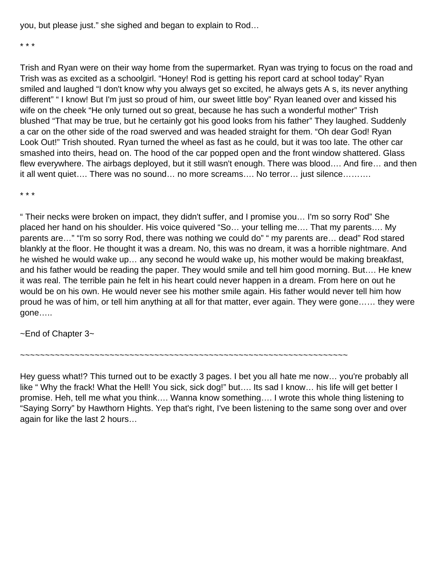you, but please just." she sighed and began to explain to Rod…

\* \* \*

Trish and Ryan were on their way home from the supermarket. Ryan was trying to focus on the road and Trish was as excited as a schoolgirl. "Honey! Rod is getting his report card at school today" Ryan smiled and laughed "I don't know why you always get so excited, he always gets A s, its never anything different" " I know! But I'm just so proud of him, our sweet little boy" Ryan leaned over and kissed his wife on the cheek "He only turned out so great, because he has such a wonderful mother" Trish blushed "That may be true, but he certainly got his good looks from his father" They laughed. Suddenly a car on the other side of the road swerved and was headed straight for them. "Oh dear God! Ryan Look Out!" Trish shouted. Ryan turned the wheel as fast as he could, but it was too late. The other car smashed into theirs, head on. The hood of the car popped open and the front window shattered. Glass flew everywhere. The airbags deployed, but it still wasn't enough. There was blood…. And fire… and then it all went quiet…. There was no sound… no more screams…. No terror… just silence……….

\* \* \*

" Their necks were broken on impact, they didn't suffer, and I promise you… I'm so sorry Rod" She placed her hand on his shoulder. His voice quivered "So… your telling me…. That my parents…. My parents are…" "I'm so sorry Rod, there was nothing we could do" " my parents are… dead" Rod stared blankly at the floor. He thought it was a dream. No, this was no dream, it was a horrible nightmare. And he wished he would wake up… any second he would wake up, his mother would be making breakfast, and his father would be reading the paper. They would smile and tell him good morning. But…. He knew it was real. The terrible pain he felt in his heart could never happen in a dream. From here on out he would be on his own. He would never see his mother smile again. His father would never tell him how proud he was of him, or tell him anything at all for that matter, ever again. They were gone…… they were gone…..

~End of Chapter 3~

~~~~~~~~~~~~~~~~~~~~~~~~~~~~~~~~~~~~~~~~~~~~~~~~~~~~~~~~~~~~~~~~~~

Hey guess what!? This turned out to be exactly 3 pages. I bet you all hate me now… you're probably all like "Why the frack! What the Hell! You sick, sick dog!" but.... Its sad I know... his life will get better I promise. Heh, tell me what you think…. Wanna know something…. I wrote this whole thing listening to "Saying Sorry" by Hawthorn Hights. Yep that's right, I've been listening to the same song over and over again for like the last 2 hours…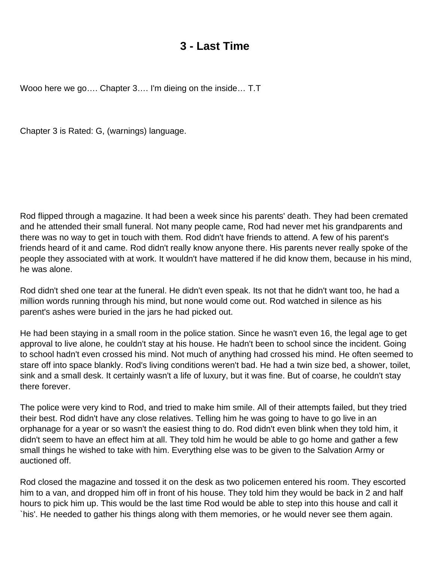### **3 - Last Time**

<span id="page-5-0"></span>Wooo here we go…. Chapter 3…. I'm dieing on the inside… T.T

Chapter 3 is Rated: G, (warnings) language.

Rod flipped through a magazine. It had been a week since his parents' death. They had been cremated and he attended their small funeral. Not many people came, Rod had never met his grandparents and there was no way to get in touch with them. Rod didn't have friends to attend. A few of his parent's friends heard of it and came. Rod didn't really know anyone there. His parents never really spoke of the people they associated with at work. It wouldn't have mattered if he did know them, because in his mind, he was alone.

Rod didn't shed one tear at the funeral. He didn't even speak. Its not that he didn't want too, he had a million words running through his mind, but none would come out. Rod watched in silence as his parent's ashes were buried in the jars he had picked out.

He had been staying in a small room in the police station. Since he wasn't even 16, the legal age to get approval to live alone, he couldn't stay at his house. He hadn't been to school since the incident. Going to school hadn't even crossed his mind. Not much of anything had crossed his mind. He often seemed to stare off into space blankly. Rod's living conditions weren't bad. He had a twin size bed, a shower, toilet, sink and a small desk. It certainly wasn't a life of luxury, but it was fine. But of coarse, he couldn't stay there forever.

The police were very kind to Rod, and tried to make him smile. All of their attempts failed, but they tried their best. Rod didn't have any close relatives. Telling him he was going to have to go live in an orphanage for a year or so wasn't the easiest thing to do. Rod didn't even blink when they told him, it didn't seem to have an effect him at all. They told him he would be able to go home and gather a few small things he wished to take with him. Everything else was to be given to the Salvation Army or auctioned off.

Rod closed the magazine and tossed it on the desk as two policemen entered his room. They escorted him to a van, and dropped him off in front of his house. They told him they would be back in 2 and half hours to pick him up. This would be the last time Rod would be able to step into this house and call it `his'. He needed to gather his things along with them memories, or he would never see them again.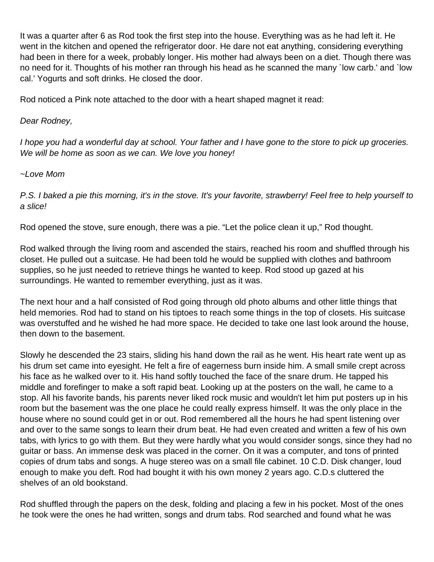It was a quarter after 6 as Rod took the first step into the house. Everything was as he had left it. He went in the kitchen and opened the refrigerator door. He dare not eat anything, considering everything had been in there for a week, probably longer. His mother had always been on a diet. Though there was no need for it. Thoughts of his mother ran through his head as he scanned the many `low carb.' and `low cal.' Yogurts and soft drinks. He closed the door.

Rod noticed a Pink note attached to the door with a heart shaped magnet it read:

#### Dear Rodney,

I hope you had a wonderful day at school. Your father and I have gone to the store to pick up groceries. We will be home as soon as we can. We love you honey!

#### ~Love Mom

P.S. I baked a pie this morning, it's in the stove. It's your favorite, strawberry! Feel free to help yourself to a slice!

Rod opened the stove, sure enough, there was a pie. "Let the police clean it up," Rod thought.

Rod walked through the living room and ascended the stairs, reached his room and shuffled through his closet. He pulled out a suitcase. He had been told he would be supplied with clothes and bathroom supplies, so he just needed to retrieve things he wanted to keep. Rod stood up gazed at his surroundings. He wanted to remember everything, just as it was.

The next hour and a half consisted of Rod going through old photo albums and other little things that held memories. Rod had to stand on his tiptoes to reach some things in the top of closets. His suitcase was overstuffed and he wished he had more space. He decided to take one last look around the house, then down to the basement.

Slowly he descended the 23 stairs, sliding his hand down the rail as he went. His heart rate went up as his drum set came into eyesight. He felt a fire of eagerness burn inside him. A small smile crept across his face as he walked over to it. His hand softly touched the face of the snare drum. He tapped his middle and forefinger to make a soft rapid beat. Looking up at the posters on the wall, he came to a stop. All his favorite bands, his parents never liked rock music and wouldn't let him put posters up in his room but the basement was the one place he could really express himself. It was the only place in the house where no sound could get in or out. Rod remembered all the hours he had spent listening over and over to the same songs to learn their drum beat. He had even created and written a few of his own tabs, with lyrics to go with them. But they were hardly what you would consider songs, since they had no guitar or bass. An immense desk was placed in the corner. On it was a computer, and tons of printed copies of drum tabs and songs. A huge stereo was on a small file cabinet. 10 C.D. Disk changer, loud enough to make you deft. Rod had bought it with his own money 2 years ago. C.D.s cluttered the shelves of an old bookstand.

Rod shuffled through the papers on the desk, folding and placing a few in his pocket. Most of the ones he took were the ones he had written, songs and drum tabs. Rod searched and found what he was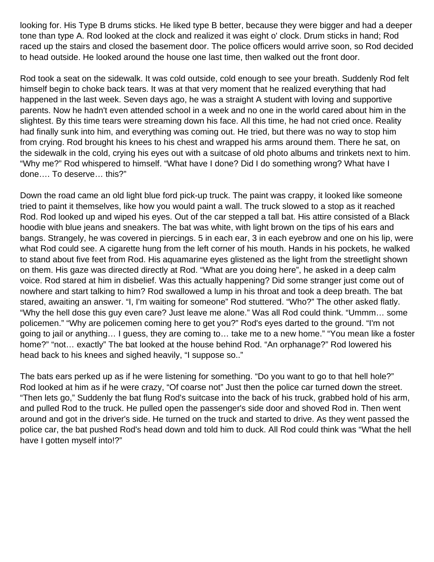looking for. His Type B drums sticks. He liked type B better, because they were bigger and had a deeper tone than type A. Rod looked at the clock and realized it was eight o' clock. Drum sticks in hand; Rod raced up the stairs and closed the basement door. The police officers would arrive soon, so Rod decided to head outside. He looked around the house one last time, then walked out the front door.

Rod took a seat on the sidewalk. It was cold outside, cold enough to see your breath. Suddenly Rod felt himself begin to choke back tears. It was at that very moment that he realized everything that had happened in the last week. Seven days ago, he was a straight A student with loving and supportive parents. Now he hadn't even attended school in a week and no one in the world cared about him in the slightest. By this time tears were streaming down his face. All this time, he had not cried once. Reality had finally sunk into him, and everything was coming out. He tried, but there was no way to stop him from crying. Rod brought his knees to his chest and wrapped his arms around them. There he sat, on the sidewalk in the cold, crying his eyes out with a suitcase of old photo albums and trinkets next to him. "Why me?" Rod whispered to himself. "What have I done? Did I do something wrong? What have I done…. To deserve… this?"

Down the road came an old light blue ford pick-up truck. The paint was crappy, it looked like someone tried to paint it themselves, like how you would paint a wall. The truck slowed to a stop as it reached Rod. Rod looked up and wiped his eyes. Out of the car stepped a tall bat. His attire consisted of a Black hoodie with blue jeans and sneakers. The bat was white, with light brown on the tips of his ears and bangs. Strangely, he was covered in piercings. 5 in each ear, 3 in each eyebrow and one on his lip, were what Rod could see. A cigarette hung from the left corner of his mouth. Hands in his pockets, he walked to stand about five feet from Rod. His aquamarine eyes glistened as the light from the streetlight shown on them. His gaze was directed directly at Rod. "What are you doing here", he asked in a deep calm voice. Rod stared at him in disbelief. Was this actually happening? Did some stranger just come out of nowhere and start talking to him? Rod swallowed a lump in his throat and took a deep breath. The bat stared, awaiting an answer. "I, I'm waiting for someone" Rod stuttered. "Who?" The other asked flatly. "Why the hell dose this guy even care? Just leave me alone." Was all Rod could think. "Ummm… some policemen." "Why are policemen coming here to get you?" Rod's eyes darted to the ground. "I'm not going to jail or anything… I guess, they are coming to… take me to a new home." "You mean like a foster home?" "not… exactly" The bat looked at the house behind Rod. "An orphanage?" Rod lowered his head back to his knees and sighed heavily, "I suppose so.."

The bats ears perked up as if he were listening for something. "Do you want to go to that hell hole?" Rod looked at him as if he were crazy, "Of coarse not" Just then the police car turned down the street. "Then lets go," Suddenly the bat flung Rod's suitcase into the back of his truck, grabbed hold of his arm, and pulled Rod to the truck. He pulled open the passenger's side door and shoved Rod in. Then went around and got in the driver's side. He turned on the truck and started to drive. As they went passed the police car, the bat pushed Rod's head down and told him to duck. All Rod could think was "What the hell have I gotten myself into!?"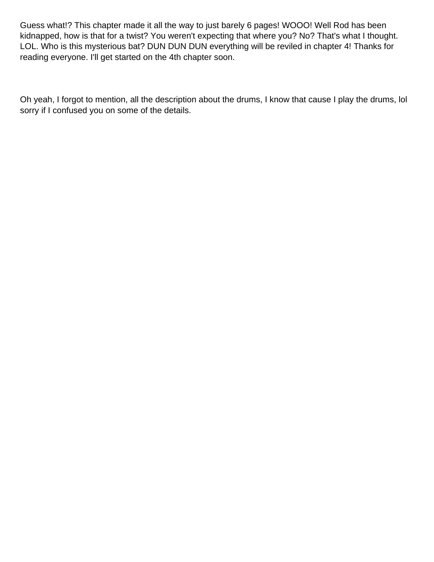Guess what!? This chapter made it all the way to just barely 6 pages! WOOO! Well Rod has been kidnapped, how is that for a twist? You weren't expecting that where you? No? That's what I thought. LOL. Who is this mysterious bat? DUN DUN DUN everything will be reviled in chapter 4! Thanks for reading everyone. I'll get started on the 4th chapter soon.

Oh yeah, I forgot to mention, all the description about the drums, I know that cause I play the drums, lol sorry if I confused you on some of the details.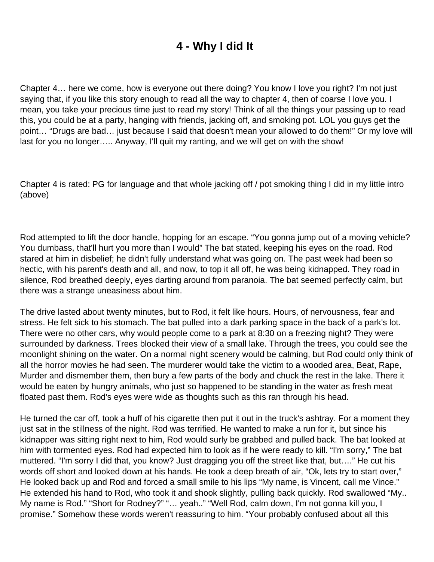# **4 - Why I did It**

<span id="page-9-0"></span>Chapter 4… here we come, how is everyone out there doing? You know I love you right? I'm not just saying that, if you like this story enough to read all the way to chapter 4, then of coarse I love you. I mean, you take your precious time just to read my story! Think of all the things your passing up to read this, you could be at a party, hanging with friends, jacking off, and smoking pot. LOL you guys get the point… "Drugs are bad… just because I said that doesn't mean your allowed to do them!" Or my love will last for you no longer….. Anyway, I'll quit my ranting, and we will get on with the show!

Chapter 4 is rated: PG for language and that whole jacking off / pot smoking thing I did in my little intro (above)

Rod attempted to lift the door handle, hopping for an escape. "You gonna jump out of a moving vehicle? You dumbass, that'll hurt you more than I would" The bat stated, keeping his eyes on the road. Rod stared at him in disbelief; he didn't fully understand what was going on. The past week had been so hectic, with his parent's death and all, and now, to top it all off, he was being kidnapped. They road in silence, Rod breathed deeply, eyes darting around from paranoia. The bat seemed perfectly calm, but there was a strange uneasiness about him.

The drive lasted about twenty minutes, but to Rod, it felt like hours. Hours, of nervousness, fear and stress. He felt sick to his stomach. The bat pulled into a dark parking space in the back of a park's lot. There were no other cars, why would people come to a park at 8:30 on a freezing night? They were surrounded by darkness. Trees blocked their view of a small lake. Through the trees, you could see the moonlight shining on the water. On a normal night scenery would be calming, but Rod could only think of all the horror movies he had seen. The murderer would take the victim to a wooded area, Beat, Rape, Murder and dismember them, then bury a few parts of the body and chuck the rest in the lake. There it would be eaten by hungry animals, who just so happened to be standing in the water as fresh meat floated past them. Rod's eyes were wide as thoughts such as this ran through his head.

He turned the car off, took a huff of his cigarette then put it out in the truck's ashtray. For a moment they just sat in the stillness of the night. Rod was terrified. He wanted to make a run for it, but since his kidnapper was sitting right next to him, Rod would surly be grabbed and pulled back. The bat looked at him with tormented eyes. Rod had expected him to look as if he were ready to kill. "I'm sorry," The bat muttered. "I'm sorry I did that, you know? Just dragging you off the street like that, but…." He cut his words off short and looked down at his hands. He took a deep breath of air, "Ok, lets try to start over," He looked back up and Rod and forced a small smile to his lips "My name, is Vincent, call me Vince." He extended his hand to Rod, who took it and shook slightly, pulling back quickly. Rod swallowed "My.. My name is Rod." "Short for Rodney?" "… yeah.." "Well Rod, calm down, I'm not gonna kill you, I promise." Somehow these words weren't reassuring to him. "Your probably confused about all this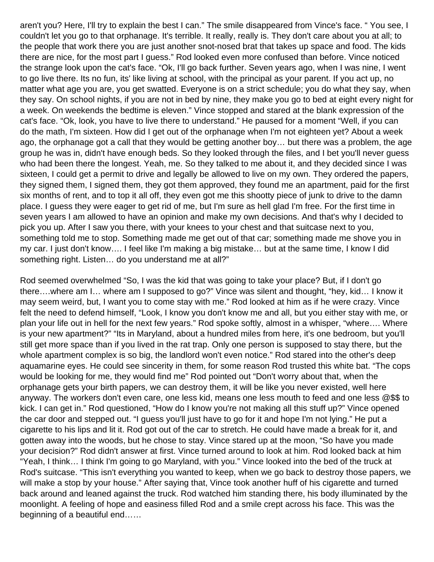aren't you? Here, I'll try to explain the best I can." The smile disappeared from Vince's face. " You see, I couldn't let you go to that orphanage. It's terrible. It really, really is. They don't care about you at all; to the people that work there you are just another snot-nosed brat that takes up space and food. The kids there are nice, for the most part I guess." Rod looked even more confused than before. Vince noticed the strange look upon the cat's face. "Ok, I'll go back further. Seven years ago, when I was nine, I went to go live there. Its no fun, its' like living at school, with the principal as your parent. If you act up, no matter what age you are, you get swatted. Everyone is on a strict schedule; you do what they say, when they say. On school nights, if you are not in bed by nine, they make you go to bed at eight every night for a week. On weekends the bedtime is eleven." Vince stopped and stared at the blank expression of the cat's face. "Ok, look, you have to live there to understand." He paused for a moment "Well, if you can do the math, I'm sixteen. How did I get out of the orphanage when I'm not eighteen yet? About a week ago, the orphanage got a call that they would be getting another boy… but there was a problem, the age group he was in, didn't have enough beds. So they looked through the files, and I bet you'll never guess who had been there the longest. Yeah, me. So they talked to me about it, and they decided since I was sixteen, I could get a permit to drive and legally be allowed to live on my own. They ordered the papers, they signed them, I signed them, they got them approved, they found me an apartment, paid for the first six months of rent, and to top it all off, they even got me this shootty piece of junk to drive to the damn place. I guess they were eager to get rid of me, but I'm sure as hell glad I'm free. For the first time in seven years I am allowed to have an opinion and make my own decisions. And that's why I decided to pick you up. After I saw you there, with your knees to your chest and that suitcase next to you, something told me to stop. Something made me get out of that car; something made me shove you in my car. I just don't know…. I feel like I'm making a big mistake… but at the same time, I know I did something right. Listen… do you understand me at all?"

Rod seemed overwhelmed "So, I was the kid that was going to take your place? But, if I don't go there….where am I… where am I supposed to go?" Vince was silent and thought, "hey, kid… I know it may seem weird, but, I want you to come stay with me." Rod looked at him as if he were crazy. Vince felt the need to defend himself, "Look, I know you don't know me and all, but you either stay with me, or plan your life out in hell for the next few years." Rod spoke softly, almost in a whisper, "where…. Where is your new apartment?" "Its in Maryland, about a hundred miles from here, it's one bedroom, but you'll still get more space than if you lived in the rat trap. Only one person is supposed to stay there, but the whole apartment complex is so big, the landlord won't even notice." Rod stared into the other's deep aquamarine eyes. He could see sincerity in them, for some reason Rod trusted this white bat. "The cops would be looking for me, they would find me" Rod pointed out "Don't worry about that, when the orphanage gets your birth papers, we can destroy them, it will be like you never existed, well here anyway. The workers don't even care, one less kid, means one less mouth to feed and one less @\$\$ to kick. I can get in." Rod questioned, "How do I know you're not making all this stuff up?" Vince opened the car door and stepped out. "I guess you'll just have to go for it and hope I'm not lying." He put a cigarette to his lips and lit it. Rod got out of the car to stretch. He could have made a break for it, and gotten away into the woods, but he chose to stay. Vince stared up at the moon, "So have you made your decision?" Rod didn't answer at first. Vince turned around to look at him. Rod looked back at him "Yeah, I think… I think I'm going to go Maryland, with you." Vince looked into the bed of the truck at Rod's suitcase. "This isn't everything you wanted to keep, when we go back to destroy those papers, we will make a stop by your house." After saying that, Vince took another huff of his cigarette and turned back around and leaned against the truck. Rod watched him standing there, his body illuminated by the moonlight. A feeling of hope and easiness filled Rod and a smile crept across his face. This was the beginning of a beautiful end……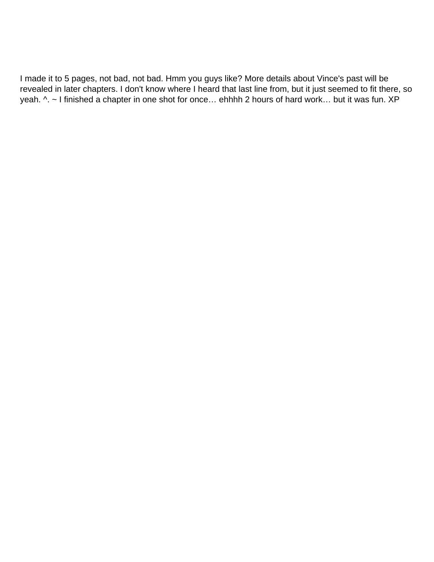I made it to 5 pages, not bad, not bad. Hmm you guys like? More details about Vince's past will be revealed in later chapters. I don't know where I heard that last line from, but it just seemed to fit there, so yeah. ^. ~ I finished a chapter in one shot for once... ehhhh 2 hours of hard work... but it was fun. XP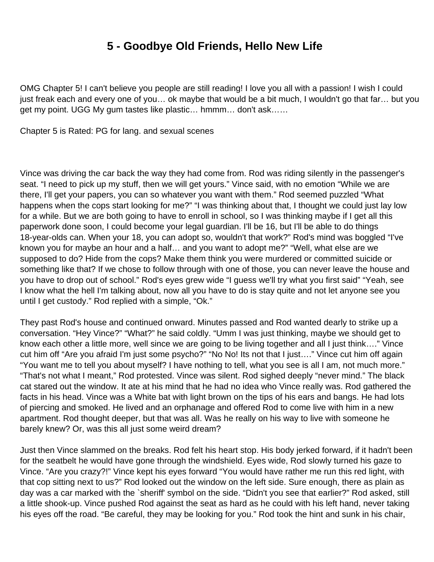# **5 - Goodbye Old Friends, Hello New Life**

<span id="page-12-0"></span>OMG Chapter 5! I can't believe you people are still reading! I love you all with a passion! I wish I could just freak each and every one of you… ok maybe that would be a bit much, I wouldn't go that far… but you get my point. UGG My gum tastes like plastic… hmmm… don't ask……

Chapter 5 is Rated: PG for lang. and sexual scenes

Vince was driving the car back the way they had come from. Rod was riding silently in the passenger's seat. "I need to pick up my stuff, then we will get yours." Vince said, with no emotion "While we are there, I'll get your papers, you can so whatever you want with them." Rod seemed puzzled "What happens when the cops start looking for me?" "I was thinking about that, I thought we could just lay low for a while. But we are both going to have to enroll in school, so I was thinking maybe if I get all this paperwork done soon, I could become your legal guardian. I'll be 16, but I'll be able to do things 18-year-olds can. When your 18, you can adopt so, wouldn't that work?" Rod's mind was boggled "I've known you for maybe an hour and a half… and you want to adopt me?" "Well, what else are we supposed to do? Hide from the cops? Make them think you were murdered or committed suicide or something like that? If we chose to follow through with one of those, you can never leave the house and you have to drop out of school." Rod's eyes grew wide "I guess we'll try what you first said" "Yeah, see I know what the hell I'm talking about, now all you have to do is stay quite and not let anyone see you until I get custody." Rod replied with a simple, "Ok."

They past Rod's house and continued onward. Minutes passed and Rod wanted dearly to strike up a conversation. "Hey Vince?" "What?" he said coldly. "Umm I was just thinking, maybe we should get to know each other a little more, well since we are going to be living together and all I just think…." Vince cut him off "Are you afraid I'm just some psycho?" "No No! Its not that I just…." Vince cut him off again "You want me to tell you about myself? I have nothing to tell, what you see is all I am, not much more." "That's not what I meant," Rod protested. Vince was silent. Rod sighed deeply "never mind." The black cat stared out the window. It ate at his mind that he had no idea who Vince really was. Rod gathered the facts in his head. Vince was a White bat with light brown on the tips of his ears and bangs. He had lots of piercing and smoked. He lived and an orphanage and offered Rod to come live with him in a new apartment. Rod thought deeper, but that was all. Was he really on his way to live with someone he barely knew? Or, was this all just some weird dream?

Just then Vince slammed on the breaks. Rod felt his heart stop. His body jerked forward, if it hadn't been for the seatbelt he would have gone through the windshield. Eyes wide, Rod slowly turned his gaze to Vince. "Are you crazy?!" Vince kept his eyes forward "You would have rather me run this red light, with that cop sitting next to us?" Rod looked out the window on the left side. Sure enough, there as plain as day was a car marked with the `sheriff' symbol on the side. "Didn't you see that earlier?" Rod asked, still a little shook-up. Vince pushed Rod against the seat as hard as he could with his left hand, never taking his eyes off the road. "Be careful, they may be looking for you." Rod took the hint and sunk in his chair,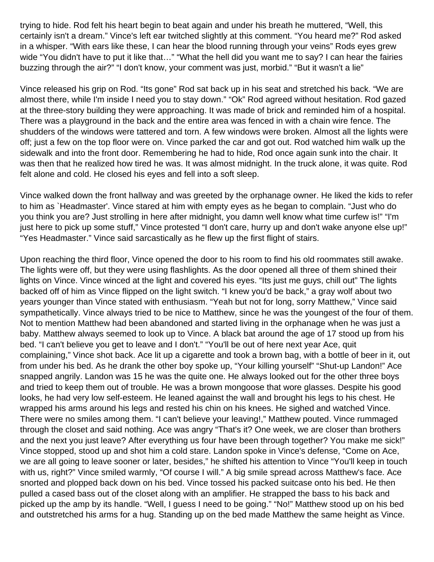trying to hide. Rod felt his heart begin to beat again and under his breath he muttered, "Well, this certainly isn't a dream." Vince's left ear twitched slightly at this comment. "You heard me?" Rod asked in a whisper. "With ears like these, I can hear the blood running through your veins" Rods eyes grew wide "You didn't have to put it like that…" "What the hell did you want me to say? I can hear the fairies buzzing through the air?" "I don't know, your comment was just, morbid." "But it wasn't a lie"

Vince released his grip on Rod. "Its gone" Rod sat back up in his seat and stretched his back. "We are almost there, while I'm inside I need you to stay down." "Ok" Rod agreed without hesitation. Rod gazed at the three-story building they were approaching. It was made of brick and reminded him of a hospital. There was a playground in the back and the entire area was fenced in with a chain wire fence. The shudders of the windows were tattered and torn. A few windows were broken. Almost all the lights were off; just a few on the top floor were on. Vince parked the car and got out. Rod watched him walk up the sidewalk and into the front door. Remembering he had to hide, Rod once again sunk into the chair. It was then that he realized how tired he was. It was almost midnight. In the truck alone, it was quite. Rod felt alone and cold. He closed his eyes and fell into a soft sleep.

Vince walked down the front hallway and was greeted by the orphanage owner. He liked the kids to refer to him as `Headmaster'. Vince stared at him with empty eyes as he began to complain. "Just who do you think you are? Just strolling in here after midnight, you damn well know what time curfew is!" "I'm just here to pick up some stuff," Vince protested "I don't care, hurry up and don't wake anyone else up!" "Yes Headmaster." Vince said sarcastically as he flew up the first flight of stairs.

Upon reaching the third floor, Vince opened the door to his room to find his old roommates still awake. The lights were off, but they were using flashlights. As the door opened all three of them shined their lights on Vince. Vince winced at the light and covered his eyes. "Its just me guys, chill out" The lights backed off of him as Vince flipped on the light switch. "I knew you'd be back," a gray wolf about two years younger than Vince stated with enthusiasm. "Yeah but not for long, sorry Matthew," Vince said sympathetically. Vince always tried to be nice to Matthew, since he was the youngest of the four of them. Not to mention Matthew had been abandoned and started living in the orphanage when he was just a baby. Matthew always seemed to look up to Vince. A black bat around the age of 17 stood up from his bed. "I can't believe you get to leave and I don't." "You'll be out of here next year Ace, quit complaining," Vince shot back. Ace lit up a cigarette and took a brown bag, with a bottle of beer in it, out from under his bed. As he drank the other boy spoke up, "Your killing yourself" "Shut-up Landon!" Ace snapped angrily. Landon was 15 he was the quite one. He always looked out for the other three boys and tried to keep them out of trouble. He was a brown mongoose that wore glasses. Despite his good looks, he had very low self-esteem. He leaned against the wall and brought his legs to his chest. He wrapped his arms around his legs and rested his chin on his knees. He sighed and watched Vince. There were no smiles among them. "I can't believe your leaving!," Matthew pouted. Vince rummaged through the closet and said nothing. Ace was angry "That's it? One week, we are closer than brothers and the next you just leave? After everything us four have been through together? You make me sick!" Vince stopped, stood up and shot him a cold stare. Landon spoke in Vince's defense, "Come on Ace, we are all going to leave sooner or later, besides," he shifted his attention to Vince "You'll keep in touch with us, right?" Vince smiled warmly, "Of course I will." A big smile spread across Matthew's face. Ace snorted and plopped back down on his bed. Vince tossed his packed suitcase onto his bed. He then pulled a cased bass out of the closet along with an amplifier. He strapped the bass to his back and picked up the amp by its handle. "Well, I guess I need to be going." "No!" Matthew stood up on his bed and outstretched his arms for a hug. Standing up on the bed made Matthew the same height as Vince.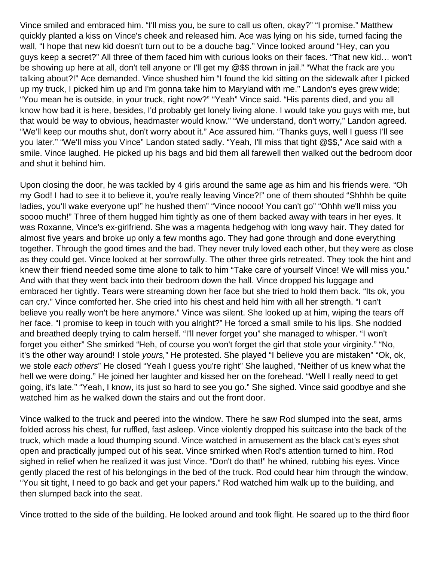Vince smiled and embraced him. "I'll miss you, be sure to call us often, okay?" "I promise." Matthew quickly planted a kiss on Vince's cheek and released him. Ace was lying on his side, turned facing the wall, "I hope that new kid doesn't turn out to be a douche bag." Vince looked around "Hey, can you guys keep a secret?" All three of them faced him with curious looks on their faces. "That new kid… won't be showing up here at all, don't tell anyone or I'll get my @\$\$ thrown in jail." "What the frack are you talking about?!" Ace demanded. Vince shushed him "I found the kid sitting on the sidewalk after I picked up my truck, I picked him up and I'm gonna take him to Maryland with me." Landon's eyes grew wide; "You mean he is outside, in your truck, right now?" "Yeah" Vince said. "His parents died, and you all know how bad it is here, besides, I'd probably get lonely living alone. I would take you guys with me, but that would be way to obvious, headmaster would know." "We understand, don't worry," Landon agreed. "We'll keep our mouths shut, don't worry about it." Ace assured him. "Thanks guys, well I guess I'll see you later." "We'll miss you Vince" Landon stated sadly. "Yeah, I'll miss that tight @\$\$," Ace said with a smile. Vince laughed. He picked up his bags and bid them all farewell then walked out the bedroom door and shut it behind him.

Upon closing the door, he was tackled by 4 girls around the same age as him and his friends were. "Oh my God! I had to see it to believe it, you're really leaving Vince?!" one of them shouted "Shhhh be quite ladies, you'll wake everyone up!" he hushed them" "Vince noooo! You can't go" "Ohhh we'll miss you soooo much!" Three of them hugged him tightly as one of them backed away with tears in her eyes. It was Roxanne, Vince's ex-girlfriend. She was a magenta hedgehog with long wavy hair. They dated for almost five years and broke up only a few months ago. They had gone through and done everything together. Through the good times and the bad. They never truly loved each other, but they were as close as they could get. Vince looked at her sorrowfully. The other three girls retreated. They took the hint and knew their friend needed some time alone to talk to him "Take care of yourself Vince! We will miss you." And with that they went back into their bedroom down the hall. Vince dropped his luggage and embraced her tightly. Tears were streaming down her face but she tried to hold them back. "Its ok, you can cry." Vince comforted her. She cried into his chest and held him with all her strength. "I can't believe you really won't be here anymore." Vince was silent. She looked up at him, wiping the tears off her face. "I promise to keep in touch with you alright?" He forced a small smile to his lips. She nodded and breathed deeply trying to calm herself. "I'll never forget you" she managed to whisper. "I won't forget you either" She smirked "Heh, of course you won't forget the girl that stole your virginity." "No, it's the other way around! I stole yours," He protested. She played "I believe you are mistaken" "Ok, ok, we stole each others" He closed "Yeah I guess you're right" She laughed, "Neither of us knew what the hell we were doing." He joined her laughter and kissed her on the forehead. "Well I really need to get going, it's late." "Yeah, I know, its just so hard to see you go." She sighed. Vince said goodbye and she watched him as he walked down the stairs and out the front door.

Vince walked to the truck and peered into the window. There he saw Rod slumped into the seat, arms folded across his chest, fur ruffled, fast asleep. Vince violently dropped his suitcase into the back of the truck, which made a loud thumping sound. Vince watched in amusement as the black cat's eyes shot open and practically jumped out of his seat. Vince smirked when Rod's attention turned to him. Rod sighed in relief when he realized it was just Vince. "Don't do that!" he whined, rubbing his eyes. Vince gently placed the rest of his belongings in the bed of the truck. Rod could hear him through the window, "You sit tight, I need to go back and get your papers." Rod watched him walk up to the building, and then slumped back into the seat.

Vince trotted to the side of the building. He looked around and took flight. He soared up to the third floor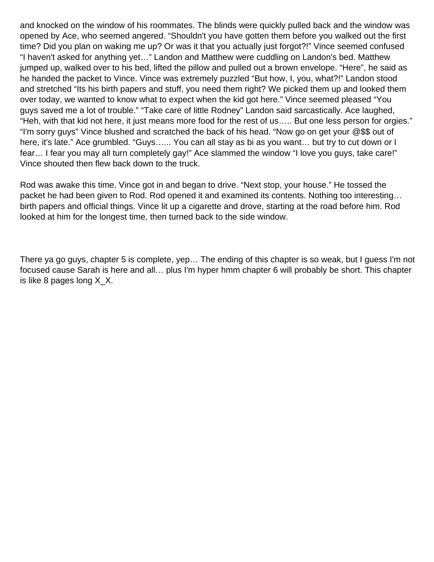and knocked on the window of his roommates. The blinds were quickly pulled back and the window was opened by Ace, who seemed angered. "Shouldn't you have gotten them before you walked out the first time? Did you plan on waking me up? Or was it that you actually just forgot?!" Vince seemed confused "I haven't asked for anything yet…" Landon and Matthew were cuddling on Landon's bed. Matthew jumped up, walked over to his bed, lifted the pillow and pulled out a brown envelope. "Here", he said as he handed the packet to Vince. Vince was extremely puzzled "But how, I, you, what?!" Landon stood and stretched "Its his birth papers and stuff, you need them right? We picked them up and looked them over today, we wanted to know what to expect when the kid got here." Vince seemed pleased "You guys saved me a lot of trouble." "Take care of little Rodney" Landon said sarcastically. Ace laughed, "Heh, with that kid not here, it just means more food for the rest of us….. But one less person for orgies." "I'm sorry guys" Vince blushed and scratched the back of his head. "Now go on get your @\$\$ out of here, it's late." Ace grumbled. "Guys...... You can all stay as bi as you want... but try to cut down or I fear… I fear you may all turn completely gay!" Ace slammed the window "I love you guys, take care!" Vince shouted then flew back down to the truck.

Rod was awake this time. Vince got in and began to drive. "Next stop, your house." He tossed the packet he had been given to Rod. Rod opened it and examined its contents. Nothing too interesting… birth papers and official things. Vince lit up a cigarette and drove, starting at the road before him. Rod looked at him for the longest time, then turned back to the side window.

There ya go guys, chapter 5 is complete, yep… The ending of this chapter is so weak, but I guess I'm not focused cause Sarah is here and all… plus I'm hyper hmm chapter 6 will probably be short. This chapter is like 8 pages long X\_X.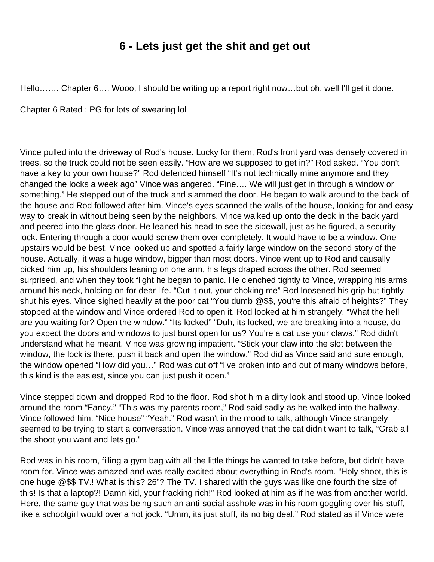# **6 - Lets just get the shit and get out**

<span id="page-16-0"></span>Hello……. Chapter 6…. Wooo, I should be writing up a report right now…but oh, well I'll get it done.

Chapter 6 Rated : PG for lots of swearing lol

Vince pulled into the driveway of Rod's house. Lucky for them, Rod's front yard was densely covered in trees, so the truck could not be seen easily. "How are we supposed to get in?" Rod asked. "You don't have a key to your own house?" Rod defended himself "It's not technically mine anymore and they changed the locks a week ago" Vince was angered. "Fine…. We will just get in through a window or something." He stepped out of the truck and slammed the door. He began to walk around to the back of the house and Rod followed after him. Vince's eyes scanned the walls of the house, looking for and easy way to break in without being seen by the neighbors. Vince walked up onto the deck in the back yard and peered into the glass door. He leaned his head to see the sidewall, just as he figured, a security lock. Entering through a door would screw them over completely. It would have to be a window. One upstairs would be best. Vince looked up and spotted a fairly large window on the second story of the house. Actually, it was a huge window, bigger than most doors. Vince went up to Rod and causally picked him up, his shoulders leaning on one arm, his legs draped across the other. Rod seemed surprised, and when they took flight he began to panic. He clenched tightly to Vince, wrapping his arms around his neck, holding on for dear life. "Cut it out, your choking me" Rod loosened his grip but tightly shut his eyes. Vince sighed heavily at the poor cat "You dumb @\$\$, you're this afraid of heights?" They stopped at the window and Vince ordered Rod to open it. Rod looked at him strangely. "What the hell are you waiting for? Open the window." "Its locked" "Duh, its locked, we are breaking into a house, do you expect the doors and windows to just burst open for us? You're a cat use your claws." Rod didn't understand what he meant. Vince was growing impatient. "Stick your claw into the slot between the window, the lock is there, push it back and open the window." Rod did as Vince said and sure enough, the window opened "How did you…" Rod was cut off "I've broken into and out of many windows before, this kind is the easiest, since you can just push it open."

Vince stepped down and dropped Rod to the floor. Rod shot him a dirty look and stood up. Vince looked around the room "Fancy." "This was my parents room," Rod said sadly as he walked into the hallway. Vince followed him. "Nice house" "Yeah." Rod wasn't in the mood to talk, although Vince strangely seemed to be trying to start a conversation. Vince was annoyed that the cat didn't want to talk, "Grab all the shoot you want and lets go."

Rod was in his room, filling a gym bag with all the little things he wanted to take before, but didn't have room for. Vince was amazed and was really excited about everything in Rod's room. "Holy shoot, this is one huge @\$\$ TV.! What is this? 26"? The TV. I shared with the guys was like one fourth the size of this! Is that a laptop?! Damn kid, your fracking rich!" Rod looked at him as if he was from another world. Here, the same guy that was being such an anti-social asshole was in his room goggling over his stuff, like a schoolgirl would over a hot jock. "Umm, its just stuff, its no big deal." Rod stated as if Vince were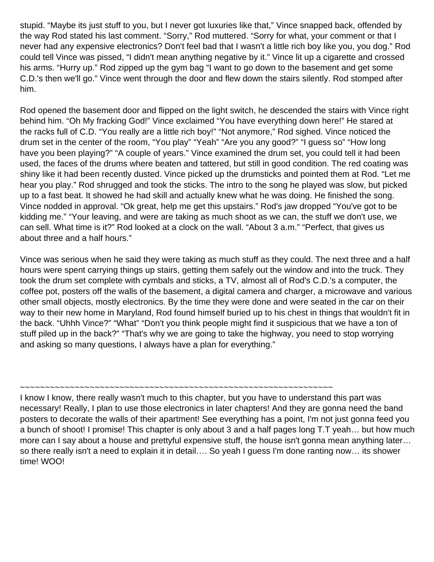stupid. "Maybe its just stuff to you, but I never got luxuries like that," Vince snapped back, offended by the way Rod stated his last comment. "Sorry," Rod muttered. "Sorry for what, your comment or that I never had any expensive electronics? Don't feel bad that I wasn't a little rich boy like you, you dog." Rod could tell Vince was pissed, "I didn't mean anything negative by it." Vince lit up a cigarette and crossed his arms. "Hurry up." Rod zipped up the gym bag "I want to go down to the basement and get some C.D.'s then we'll go." Vince went through the door and flew down the stairs silently. Rod stomped after him.

Rod opened the basement door and flipped on the light switch, he descended the stairs with Vince right behind him. "Oh My fracking God!" Vince exclaimed "You have everything down here!" He stared at the racks full of C.D. "You really are a little rich boy!" "Not anymore," Rod sighed. Vince noticed the drum set in the center of the room, "You play" "Yeah" "Are you any good?" "I guess so" "How long have you been playing?" "A couple of years." Vince examined the drum set, you could tell it had been used, the faces of the drums where beaten and tattered, but still in good condition. The red coating was shiny like it had been recently dusted. Vince picked up the drumsticks and pointed them at Rod. "Let me hear you play." Rod shrugged and took the sticks. The intro to the song he played was slow, but picked up to a fast beat. It showed he had skill and actually knew what he was doing. He finished the song. Vince nodded in approval. "Ok great, help me get this upstairs." Rod's jaw dropped "You've got to be kidding me." "Your leaving, and were are taking as much shoot as we can, the stuff we don't use, we can sell. What time is it?" Rod looked at a clock on the wall. "About 3 a.m." "Perfect, that gives us about three and a half hours."

Vince was serious when he said they were taking as much stuff as they could. The next three and a half hours were spent carrying things up stairs, getting them safely out the window and into the truck. They took the drum set complete with cymbals and sticks, a TV, almost all of Rod's C.D.'s a computer, the coffee pot, posters off the walls of the basement, a digital camera and charger, a microwave and various other small objects, mostly electronics. By the time they were done and were seated in the car on their way to their new home in Maryland, Rod found himself buried up to his chest in things that wouldn't fit in the back. "Uhhh Vince?" "What" "Don't you think people might find it suspicious that we have a ton of stuff piled up in the back?" "That's why we are going to take the highway, you need to stop worrying and asking so many questions, I always have a plan for everything."

~~~~~~~~~~~~~~~~~~~~~~~~~~~~~~~~~~~~~~~~~~~~~~~~~~~~~~~~~~~~~~~

I know I know, there really wasn't much to this chapter, but you have to understand this part was necessary! Really, I plan to use those electronics in later chapters! And they are gonna need the band posters to decorate the walls of their apartment! See everything has a point, I'm not just gonna feed you a bunch of shoot! I promise! This chapter is only about 3 and a half pages long T.T yeah… but how much more can I say about a house and prettyful expensive stuff, the house isn't gonna mean anything later… so there really isn't a need to explain it in detail…. So yeah I guess I'm done ranting now… its shower time! WOO!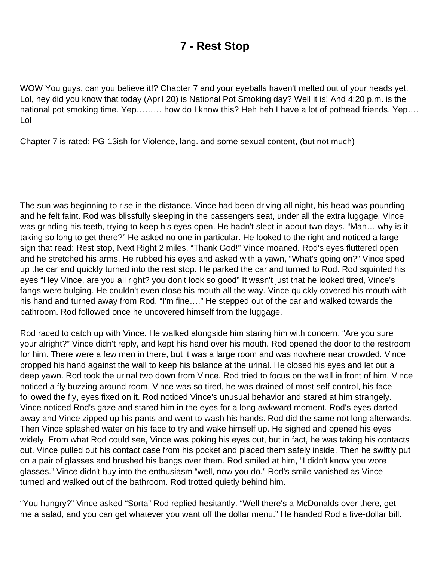# **7 - Rest Stop**

<span id="page-18-0"></span>WOW You guys, can you believe it!? Chapter 7 and your eyeballs haven't melted out of your heads yet. Lol, hey did you know that today (April 20) is National Pot Smoking day? Well it is! And 4:20 p.m. is the national pot smoking time. Yep……… how do I know this? Heh heh I have a lot of pothead friends. Yep…. Lol

Chapter 7 is rated: PG-13ish for Violence, lang. and some sexual content, (but not much)

The sun was beginning to rise in the distance. Vince had been driving all night, his head was pounding and he felt faint. Rod was blissfully sleeping in the passengers seat, under all the extra luggage. Vince was grinding his teeth, trying to keep his eyes open. He hadn't slept in about two days. "Man… why is it taking so long to get there?" He asked no one in particular. He looked to the right and noticed a large sign that read: Rest stop, Next Right 2 miles. "Thank God!" Vince moaned. Rod's eyes fluttered open and he stretched his arms. He rubbed his eyes and asked with a yawn, "What's going on?" Vince sped up the car and quickly turned into the rest stop. He parked the car and turned to Rod. Rod squinted his eyes "Hey Vince, are you all right? you don't look so good" It wasn't just that he looked tired, Vince's fangs were bulging. He couldn't even close his mouth all the way. Vince quickly covered his mouth with his hand and turned away from Rod. "I'm fine…." He stepped out of the car and walked towards the bathroom. Rod followed once he uncovered himself from the luggage.

Rod raced to catch up with Vince. He walked alongside him staring him with concern. "Are you sure your alright?" Vince didn't reply, and kept his hand over his mouth. Rod opened the door to the restroom for him. There were a few men in there, but it was a large room and was nowhere near crowded. Vince propped his hand against the wall to keep his balance at the urinal. He closed his eyes and let out a deep yawn. Rod took the urinal two down from Vince. Rod tried to focus on the wall in front of him. Vince noticed a fly buzzing around room. Vince was so tired, he was drained of most self-control, his face followed the fly, eyes fixed on it. Rod noticed Vince's unusual behavior and stared at him strangely. Vince noticed Rod's gaze and stared him in the eyes for a long awkward moment. Rod's eyes darted away and Vince zipped up his pants and went to wash his hands. Rod did the same not long afterwards. Then Vince splashed water on his face to try and wake himself up. He sighed and opened his eyes widely. From what Rod could see, Vince was poking his eyes out, but in fact, he was taking his contacts out. Vince pulled out his contact case from his pocket and placed them safely inside. Then he swiftly put on a pair of glasses and brushed his bangs over them. Rod smiled at him, "I didn't know you wore glasses." Vince didn't buy into the enthusiasm "well, now you do." Rod's smile vanished as Vince turned and walked out of the bathroom. Rod trotted quietly behind him.

"You hungry?" Vince asked "Sorta" Rod replied hesitantly. "Well there's a McDonalds over there, get me a salad, and you can get whatever you want off the dollar menu." He handed Rod a five-dollar bill.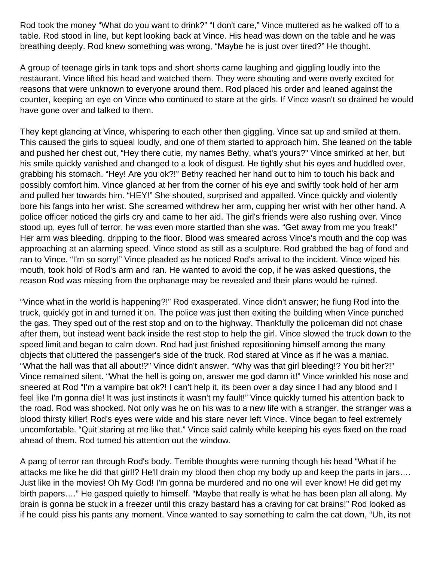Rod took the money "What do you want to drink?" "I don't care," Vince muttered as he walked off to a table. Rod stood in line, but kept looking back at Vince. His head was down on the table and he was breathing deeply. Rod knew something was wrong, "Maybe he is just over tired?" He thought.

A group of teenage girls in tank tops and short shorts came laughing and giggling loudly into the restaurant. Vince lifted his head and watched them. They were shouting and were overly excited for reasons that were unknown to everyone around them. Rod placed his order and leaned against the counter, keeping an eye on Vince who continued to stare at the girls. If Vince wasn't so drained he would have gone over and talked to them.

They kept glancing at Vince, whispering to each other then giggling. Vince sat up and smiled at them. This caused the girls to squeal loudly, and one of them started to approach him. She leaned on the table and pushed her chest out, "Hey there cutie, my names Bethy, what's yours?" Vince smirked at her, but his smile quickly vanished and changed to a look of disgust. He tightly shut his eyes and huddled over, grabbing his stomach. "Hey! Are you ok?!" Bethy reached her hand out to him to touch his back and possibly comfort him. Vince glanced at her from the corner of his eye and swiftly took hold of her arm and pulled her towards him. "HEY!" She shouted, surprised and appalled. Vince quickly and violently bore his fangs into her wrist. She screamed withdrew her arm, cupping her wrist with her other hand. A police officer noticed the girls cry and came to her aid. The girl's friends were also rushing over. Vince stood up, eyes full of terror, he was even more startled than she was. "Get away from me you freak!" Her arm was bleeding, dripping to the floor. Blood was smeared across Vince's mouth and the cop was approaching at an alarming speed. Vince stood as still as a sculpture. Rod grabbed the bag of food and ran to Vince. "I'm so sorry!" Vince pleaded as he noticed Rod's arrival to the incident. Vince wiped his mouth, took hold of Rod's arm and ran. He wanted to avoid the cop, if he was asked questions, the reason Rod was missing from the orphanage may be revealed and their plans would be ruined.

"Vince what in the world is happening?!" Rod exasperated. Vince didn't answer; he flung Rod into the truck, quickly got in and turned it on. The police was just then exiting the building when Vince punched the gas. They sped out of the rest stop and on to the highway. Thankfully the policeman did not chase after them, but instead went back inside the rest stop to help the girl. Vince slowed the truck down to the speed limit and began to calm down. Rod had just finished repositioning himself among the many objects that cluttered the passenger's side of the truck. Rod stared at Vince as if he was a maniac. "What the hall was that all about!?" Vince didn't answer. "Why was that girl bleeding!? You bit her?!" Vince remained silent. "What the hell is going on, answer me god damn it!" Vince wrinkled his nose and sneered at Rod "I'm a vampire bat ok?! I can't help it, its been over a day since I had any blood and I feel like I'm gonna die! It was just instincts it wasn't my fault!" Vince quickly turned his attention back to the road. Rod was shocked. Not only was he on his was to a new life with a stranger, the stranger was a blood thirsty killer! Rod's eyes were wide and his stare never left Vince. Vince began to feel extremely uncomfortable. "Quit staring at me like that." Vince said calmly while keeping his eyes fixed on the road ahead of them. Rod turned his attention out the window.

A pang of terror ran through Rod's body. Terrible thoughts were running though his head "What if he attacks me like he did that girl!? He'll drain my blood then chop my body up and keep the parts in jars…. Just like in the movies! Oh My God! I'm gonna be murdered and no one will ever know! He did get my birth papers…." He gasped quietly to himself. "Maybe that really is what he has been plan all along. My brain is gonna be stuck in a freezer until this crazy bastard has a craving for cat brains!" Rod looked as if he could piss his pants any moment. Vince wanted to say something to calm the cat down, "Uh, its not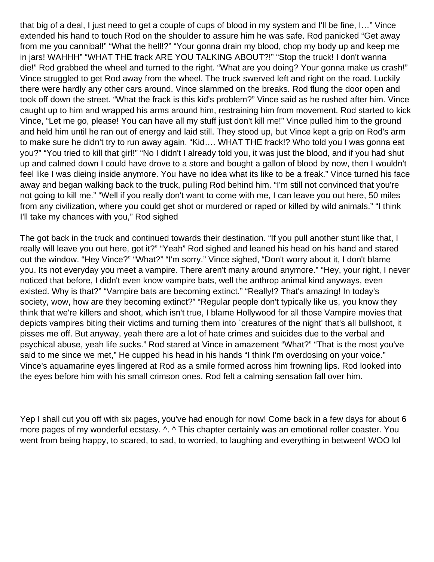that big of a deal, I just need to get a couple of cups of blood in my system and I'll be fine, I…" Vince extended his hand to touch Rod on the shoulder to assure him he was safe. Rod panicked "Get away from me you cannibal!" "What the hell!?" "Your gonna drain my blood, chop my body up and keep me in jars! WAHHH" "WHAT THE frack ARE YOU TALKING ABOUT?!" "Stop the truck! I don't wanna die!" Rod grabbed the wheel and turned to the right. "What are you doing? Your gonna make us crash!" Vince struggled to get Rod away from the wheel. The truck swerved left and right on the road. Luckily there were hardly any other cars around. Vince slammed on the breaks. Rod flung the door open and took off down the street. "What the frack is this kid's problem?" Vince said as he rushed after him. Vince caught up to him and wrapped his arms around him, restraining him from movement. Rod started to kick Vince, "Let me go, please! You can have all my stuff just don't kill me!" Vince pulled him to the ground and held him until he ran out of energy and laid still. They stood up, but Vince kept a grip on Rod's arm to make sure he didn't try to run away again. "Kid…. WHAT THE frack!? Who told you I was gonna eat you?" "You tried to kill that girl!" "No I didn't I already told you, it was just the blood, and if you had shut up and calmed down I could have drove to a store and bought a gallon of blood by now, then I wouldn't feel like I was dieing inside anymore. You have no idea what its like to be a freak." Vince turned his face away and began walking back to the truck, pulling Rod behind him. "I'm still not convinced that you're not going to kill me." "Well if you really don't want to come with me, I can leave you out here, 50 miles from any civilization, where you could get shot or murdered or raped or killed by wild animals." "I think I'll take my chances with you," Rod sighed

The got back in the truck and continued towards their destination. "If you pull another stunt like that, I really will leave you out here, got it?" "Yeah" Rod sighed and leaned his head on his hand and stared out the window. "Hey Vince?" "What?" "I'm sorry." Vince sighed, "Don't worry about it, I don't blame you. Its not everyday you meet a vampire. There aren't many around anymore." "Hey, your right, I never noticed that before, I didn't even know vampire bats, well the anthrop animal kind anyways, even existed. Why is that?" "Vampire bats are becoming extinct." "Really!? That's amazing! In today's society, wow, how are they becoming extinct?" "Regular people don't typically like us, you know they think that we're killers and shoot, which isn't true, I blame Hollywood for all those Vampire movies that depicts vampires biting their victims and turning them into `creatures of the night' that's all bullshoot, it pisses me off. But anyway, yeah there are a lot of hate crimes and suicides due to the verbal and psychical abuse, yeah life sucks." Rod stared at Vince in amazement "What?" "That is the most you've said to me since we met," He cupped his head in his hands "I think I'm overdosing on your voice." Vince's aquamarine eyes lingered at Rod as a smile formed across him frowning lips. Rod looked into the eyes before him with his small crimson ones. Rod felt a calming sensation fall over him.

Yep I shall cut you off with six pages, you've had enough for now! Come back in a few days for about 6 more pages of my wonderful ecstasy. ^. ^ This chapter certainly was an emotional roller coaster. You went from being happy, to scared, to sad, to worried, to laughing and everything in between! WOO lol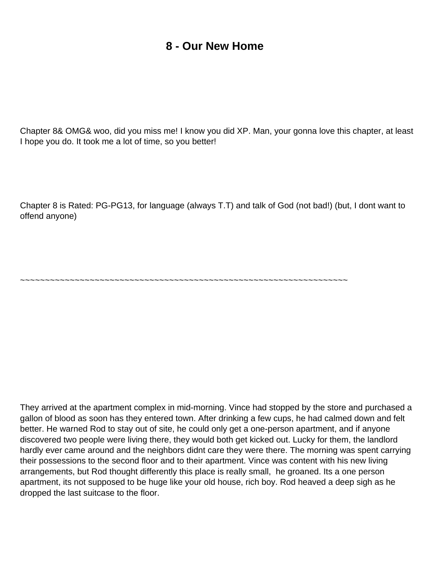## **8 - Our New Home**

<span id="page-21-0"></span>Chapter 8& OMG& woo, did you miss me! I know you did XP. Man, your gonna love this chapter, at least I hope you do. It took me a lot of time, so you better!

Chapter 8 is Rated: PG-PG13, for language (always T.T) and talk of God (not bad!) (but, I dont want to offend anyone)

~~~~~~~~~~~~~~~~~~~~~~~~~~~~~~~~~~~~~~~~~~~~~~~~~~~~~~~~~~~~~~~~~~

They arrived at the apartment complex in mid-morning. Vince had stopped by the store and purchased a gallon of blood as soon has they entered town. After drinking a few cups, he had calmed down and felt better. He warned Rod to stay out of site, he could only get a one-person apartment, and if anyone discovered two people were living there, they would both get kicked out. Lucky for them, the landlord hardly ever came around and the neighbors didn t care they were there. The morning was spent carrying their possessions to the second floor and to their apartment. Vince was content with his new living arrangements, but Rod thought differently this place is really small, he groaned. It s a one person apartment, its not supposed to be huge like your old house, rich boy. Rod heaved a deep sigh as he dropped the last suitcase to the floor.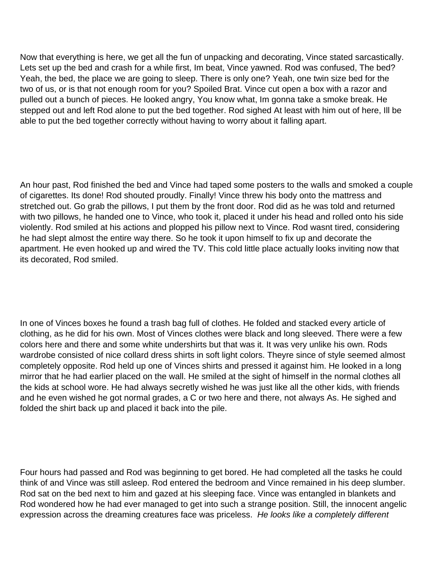Now that everything is here, we get all the fun of unpacking and decorating, Vince stated sarcastically. Lets set up the bed and crash for a while first, I m beat, Vince yawned. Rod was confused, The bed? Yeah, the bed, the place we are going to sleep. There is only one? Yeah, one twin size bed for the two of us, or is that not enough room for you? Spoiled Brat. Vince cut open a box with a razor and pulled out a bunch of pieces. He looked angry, You know what, I m gonna take a smoke break. He stepped out and left Rod alone to put the bed together. Rod sighed At least with him out of here, I II be able to put the bed together correctly without having to worry about it falling apart.

An hour past, Rod finished the bed and Vince had taped some posters to the walls and smoked a couple of cigarettes. It s done! Rod shouted proudly. Finally! Vince threw his body onto the mattress and stretched out. Go grab the pillows, I put them by the front door. Rod did as he was told and returned with two pillows, he handed one to Vince, who took it, placed it under his head and rolled onto his side violently. Rod smiled at his actions and plopped his pillow next to Vince. Rod wasnt tired, considering he had slept almost the entire way there. So he took it upon himself to fix up and decorate the apartment. He even hooked up and wired the TV. This cold little place actually looks inviting now that it s decorated, Rod smiled.

In one of Vince s boxes he found a trash bag full of clothes. He folded and stacked every article of clothing, as he did for his own. Most of Vince s clothes were black and long sleeved. There were a few colors here and there and some white undershirts but that was it. It was very unlike his own. Rod s wardrobe consisted of nice collard dress shirts in soft light colors. They re since of style seemed almost completely opposite. Rod held up one of Vince s shirts and pressed it against him. He looked in a long mirror that he had earlier placed on the wall. He smiled at the sight of himself in the normal clothes all the kids at school wore. He had always secretly wished he was just like all the other kids, with friends and he even wished he got normal grades, a C or two here and there, not always As. He sighed and folded the shirt back up and placed it back into the pile.

Four hours had passed and Rod was beginning to get bored. He had completed all the tasks he could think of and Vince was still asleep. Rod entered the bedroom and Vince remained in his deep slumber. Rod sat on the bed next to him and gazed at his sleeping face. Vince was entangled in blankets and Rod wondered how he had ever managed to get into such a strange position. Still, the innocent angelic expression across the dreaming creature s face was priceless. He looks like a completely different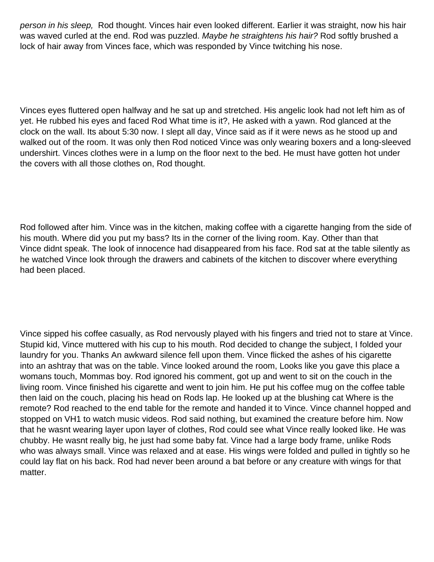person in his sleep, Rod thought. Vince s hair even looked different. Earlier it was straight, now his hair was waved curled at the end. Rod was puzzled. Maybe he straightens his hair? Rod softly brushed a lock of hair away from Vince s face, which was responded by Vince twitching his nose.

Vince s eyes fluttered open halfway and he sat up and stretched. His angelic look had not left him as of yet. He rubbed his eyes and faced Rod What time is it?, He asked with a yawn. Rod glanced at the clock on the wall. Its about 5:30 now. I slept all day, Vince said as if it were news as he stood up and walked out of the room. It was only then Rod noticed Vince was only wearing boxers and a long-sleeved undershirt. Vince s clothes were in a lump on the floor next to the bed. He must have gotten hot under the covers with all those clothes on, Rod thought.

Rod followed after him. Vince was in the kitchen, making coffee with a cigarette hanging from the side of his mouth. Where did you put my bass? Its in the corner of the living room. Kay. Other than that Vince didn t speak. The look of innocence had disappeared from his face. Rod sat at the table silently as he watched Vince look through the drawers and cabinets of the kitchen to discover where everything had been placed.

Vince sipped his coffee casually, as Rod nervously played with his fingers and tried not to stare at Vince. Stupid kid, Vince muttered with his cup to his mouth. Rod decided to change the subject, I folded your laundry for you. Thanks An awkward silence fell upon them. Vince flicked the ashes of his cigarette into an ashtray that was on the table. Vince looked around the room, Looks like you gave this place a woman s touch, Momma s boy. Rod ignored his comment, got up and went to sit on the couch in the living room. Vince finished his cigarette and went to join him. He put his coffee mug on the coffee table then laid on the couch, placing his head on Rod s lap. He looked up at the blushing cat Where is the remote? Rod reached to the end table for the remote and handed it to Vince. Vince channel hopped and stopped on VH1 to watch music videos. Rod said nothing, but examined the creature before him. Now that he wasn t wearing layer upon layer of clothes, Rod could see what Vince really looked like. He was chubby. He wasn t really big, he just had some baby fat. Vince had a large body frame, unlike Rod s who was always small. Vince was relaxed and at ease. His wings were folded and pulled in tightly so he could lay flat on his back. Rod had never been around a bat before or any creature with wings for that matter.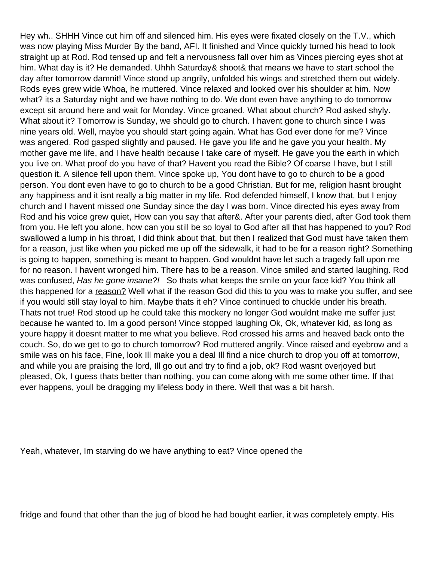Hey wh.. SHHH Vince cut him off and silenced him. His eyes were fixated closely on the T.V., which was now playing Miss Murder By the band, AFI. It finished and Vince quickly turned his head to look straight up at Rod. Rod tensed up and felt a nervousness fall over him as Vince s piercing eyes shot at him. What day is it? He demanded. Uhhh Saturday& shoot& that means we have to start school the day after tomorrow damnit! Vince stood up angrily, unfolded his wings and stretched them out widely. Rod s eyes grew wide Whoa, he muttered. Vince relaxed and looked over his shoulder at him. Now what? it s a Saturday night and we have nothing to do. We don t even have anything to do tomorrow except sit around here and wait for Monday. Vince groaned. What about church? Rod asked shyly. What about it? Tomorrow is Sunday, we should go to church. I haven t gone to church since I was nine years old. Well, maybe you should start going again. What has God ever done for me? Vince was angered. Rod gasped slightly and paused. He gave you life and he gave you your health. My mother gave me life, and I have health because I take care of myself. He gave you the earth in which you live on. What proof do you have of that? Haven t you read the Bible? Of coarse I have, but I still question it. A silence fell upon them. Vince spoke up, You dont have to go to church to be a good person. You dont even have to go to church to be a good Christian. But for me, religion hasnt brought any happiness and it isnt really a big matter in my life. Rod defended himself, I know that, but I enjoy church and I haven t missed one Sunday since the day I was born. Vince directed his eyes away from Rod and his voice grew quiet, How can you say that after&. After your parents died, after God took them from you. He left you alone, how can you still be so loyal to God after all that has happened to you? Rod swallowed a lump in his throat, I did think about that, but then I realized that God must have taken them for a reason, just like when you picked me up off the sidewalk, it had to be for a reason right? Something is going to happen, something is meant to happen. God wouldn t have let such a tragedy fall upon me for no reason. I haven t wronged him. There has to be a reason. Vince smiled and started laughing. Rod was confused, Has he gone insane?! So that s what keeps the smile on your face kid? You think all this happened for a reason? Well what if the reason God did this to you was to make you suffer, and see if you would still stay loyal to him. Maybe that s it eh? Vince continued to chuckle under his breath. That s not true! Rod stood up he could take this mockery no longer God wouldn t make me suffer just because he wanted to. Im a good person! Vince stopped laughing Ok, Ok, whatever kid, as long as you re happy it doesn t matter to me what you believe. Rod crossed his arms and heaved back onto the couch. So, do we get to go to church tomorrow? Rod muttered angrily. Vince raised and eyebrow and a smile was on his face, Fine, look Ill make you a deal Ill find a nice church to drop you off at tomorrow, and while you are praising the lord, Ill go out and try to find a job, ok? Rod wasnt overjoyed but pleased, Ok, I guess that s better than nothing, you can come along with me some other time. If that ever happens, you II be dragging my lifeless body in there. Well that was a bit harsh.

Yeah, whatever, Im starving do we have anything to eat? Vince opened the

fridge and found that other than the jug of blood he had bought earlier, it was completely empty. His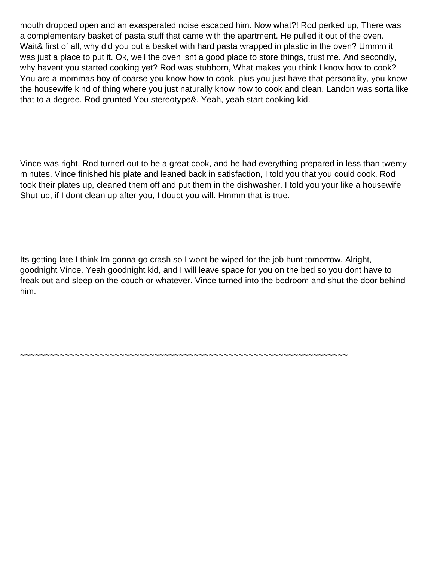mouth dropped open and an exasperated noise escaped him. Now what?! Rod perked up, There was a complementary basket of pasta stuff that came with the apartment. He pulled it out of the oven. Wait& first of all, why did you put a basket with hard pasta wrapped in plastic in the oven? Ummm it was just a place to put it. Ok, well the oven isn t a good place to store things, trust me. And secondly, why haven t you started cooking yet? Rod was stubborn, What makes you think I know how to cook? You are a momma s boy of coarse you know how to cook, plus you just have that personality, you know the housewife kind of thing where you just naturally know how to cook and clean. Landon was sorta like that to a degree. Rod grunted You stereotype&. Yeah, yeah start cooking kid.

Vince was right, Rod turned out to be a great cook, and he had everything prepared in less than twenty minutes. Vince finished his plate and leaned back in satisfaction, I told you that you could cook. Rod took their plates up, cleaned them off and put them in the dishwasher. I told you your like a housewife Shut-up, if I don t clean up after you, I doubt you will. Hmmm that is true.

Its getting late I think I m gonna go crash so I won t be wiped for the job hunt tomorrow. Alright, goodnight Vince. Yeah goodnight kid, and I will leave space for you on the bed so you dont have to freak out and sleep on the couch or whatever. Vince turned into the bedroom and shut the door behind him.

~~~~~~~~~~~~~~~~~~~~~~~~~~~~~~~~~~~~~~~~~~~~~~~~~~~~~~~~~~~~~~~~~~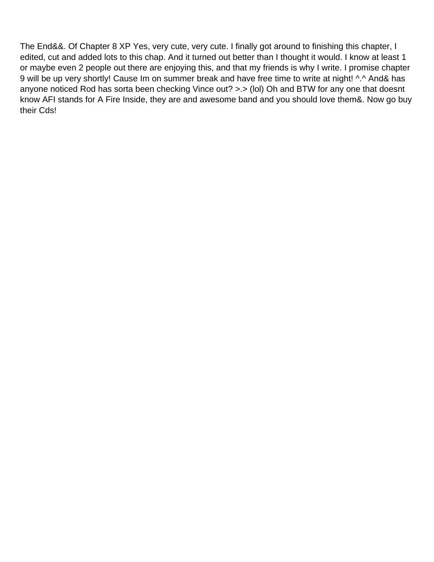The End&&. Of Chapter 8 XP Yes, very cute, very cute. I finally got around to finishing this chapter, I edited, cut and added lots to this chap. And it turned out better than I thought it would. I know at least 1 or maybe even 2 people out there are enjoying this, and that my friends is why I write. I promise chapter 9 will be up very shortly! Cause I m on summer break and have free time to write at night! ^.^ And& has anyone noticed Rod has sorta been checking Vince out? >.> (lol) Oh and BTW for any one that doesn t know AFI stands for A Fire Inside, they are and awesome band and you should love them&. Now go buy their Cds!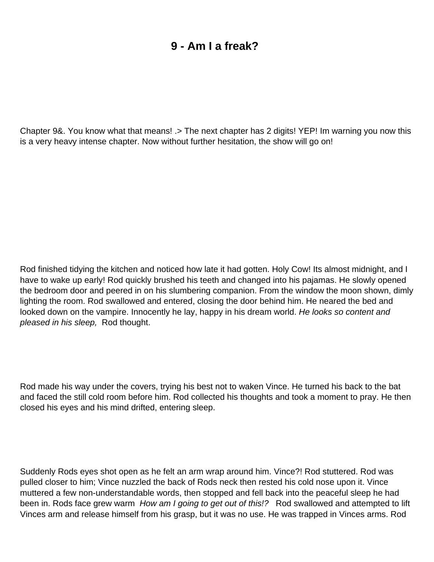# **9 - Am I a freak?**

<span id="page-27-0"></span>Chapter 9&. You know what that means! .> The next chapter has 2 digits! YEP! Im warning you now this is a very heavy intense chapter. Now without further hesitation, the show will go on!

Rod finished tidying the kitchen and noticed how late it had gotten. Holy Cow! Its almost midnight, and I have to wake up early! Rod quickly brushed his teeth and changed into his pajamas. He slowly opened the bedroom door and peered in on his slumbering companion. From the window the moon shown, dimly lighting the room. Rod swallowed and entered, closing the door behind him. He neared the bed and looked down on the vampire. Innocently he lay, happy in his dream world. He looks so content and pleased in his sleep, Rod thought.

Rod made his way under the covers, trying his best not to waken Vince. He turned his back to the bat and faced the still cold room before him. Rod collected his thoughts and took a moment to pray. He then closed his eyes and his mind drifted, entering sleep.

Suddenly Rod s eyes shot open as he felt an arm wrap around him. Vince?! Rod stuttered. Rod was pulled closer to him; Vince nuzzled the back of Rod s neck then rested his cold nose upon it. Vince muttered a few non-understandable words, then stopped and fell back into the peaceful sleep he had been in. Rod s face grew warm How am I going to get out of this!? Rod swallowed and attempted to lift Vince s arm and release himself from his grasp, but it was no use. He was trapped in Vince s arms. Rod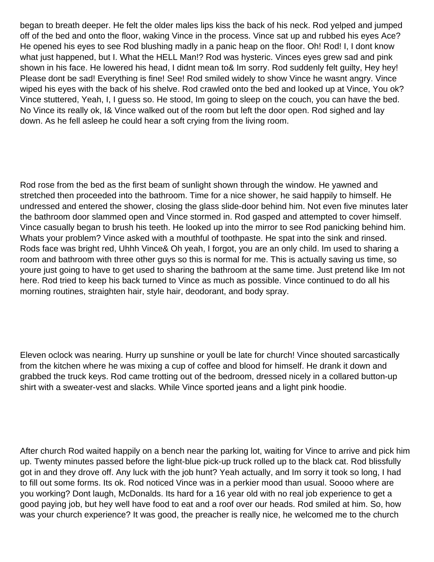began to breath deeper. He felt the older males lips kiss the back of his neck. Rod yelped and jumped off of the bed and onto the floor, waking Vince in the process. Vince sat up and rubbed his eyes Ace? He opened his eyes to see Rod blushing madly in a panic heap on the floor. Oh! Rod! I, I don t know what just happened, but I. What the HELL Man!? Rod was hysteric. Vince s eyes grew sad and pink shown in his face. He lowered his head, I didn t mean to & I m sorry. Rod suddenly felt quilty, Hey hey! Please don t be sad! Everything is fine! See! Rod smiled widely to show Vince he wasn t angry. Vince wiped his eyes with the back of his shelve. Rod crawled onto the bed and looked up at Vince, You ok? Vince stuttered, Yeah, I, I guess so. He stood, Im going to sleep on the couch, you can have the bed. No Vince its really ok, I& Vince walked out of the room but left the door open. Rod sighed and lay down. As he fell asleep he could hear a soft crying from the living room.

Rod rose from the bed as the first beam of sunlight shown through the window. He yawned and stretched then proceeded into the bathroom. Time for a nice shower, he said happily to himself. He undressed and entered the shower, closing the glass slide-door behind him. Not even five minutes later the bathroom door slammed open and Vince stormed in. Rod gasped and attempted to cover himself. Vince casually began to brush his teeth. He looked up into the mirror to see Rod panicking behind him. What s your problem? Vince asked with a mouthful of toothpaste. He spat into the sink and rinsed. Rod s face was bright red, Uhhh Vince& Oh yeah, I forgot, you are an only child. I m used to sharing a room and bathroom with three other guys so this is normal for me. This is actually saving us time, so you re just going to have to get used to sharing the bathroom at the same time. Just pretend like I m not here. Rod tried to keep his back turned to Vince as much as possible. Vince continued to do all his morning routines, straighten hair, style hair, deodorant, and body spray.

Eleven o clock was nearing. Hurry up sunshine or you II be late for church! Vince shouted sarcastically from the kitchen where he was mixing a cup of coffee and blood for himself. He drank it down and grabbed the truck keys. Rod came trotting out of the bedroom, dressed nicely in a collared button-up shirt with a sweater-vest and slacks. While Vince sported jeans and a light pink hoodie.

After church Rod waited happily on a bench near the parking lot, waiting for Vince to arrive and pick him up. Twenty minutes passed before the light-blue pick-up truck rolled up to the black cat. Rod blissfully got in and they drove off. Any luck with the job hunt? Yeah actually, and Im sorry it took so long, I had to fill out some forms. Its ok. Rod noticed Vince was in a perkier mood than usual. Soooo where are you working? Don t laugh, McDonalds. It s hard for a 16 year old with no real job experience to get a good paying job, but hey we II have food to eat and a roof over our heads. Rod smiled at him. So, how was your church experience? It was good, the preacher is really nice, he welcomed me to the church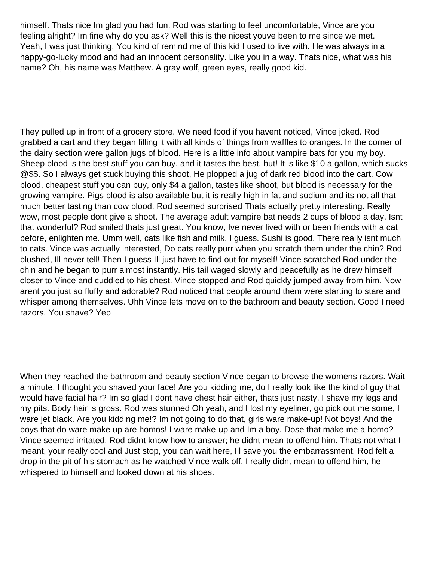himself. That s nice I m glad you had fun. Rod was starting to feel uncomfortable, Vince are you feeling alright? I m fine why do you ask? Well this is the nicest you ve been to me since we met. Yeah, I was just thinking. You kind of remind me of this kid I used to live with. He was always in a happy-go-lucky mood and had an innocent personality. Like you in a way. That s nice, what was his name? Oh, his name was Matthew. A gray wolf, green eyes, really good kid.

They pulled up in front of a grocery store. We need food if you havent noticed, Vince joked. Rod grabbed a cart and they began filling it with all kinds of things from waffles to oranges. In the corner of the dairy section were gallon jugs of blood. Here is a little info about vampire bats for you my boy. Sheep blood is the best stuff you can buy, and it tastes the best, but! It is like \$10 a gallon, which sucks @\$\$. So I always get stuck buying this shoot, He plopped a jug of dark red blood into the cart. Cow blood, cheapest stuff you can buy, only \$4 a gallon, tastes like shoot, but blood is necessary for the growing vampire. Pig s blood is also available but it is really high in fat and sodium and its not all that much better tasting than cow blood. Rod seemed surprised That s actually pretty interesting. Really wow, most people don t give a shoot. The average adult vampire bat needs 2 cups of blood a day. Isn t that wonderful? Rod smiled that s just great. You know, I ve never lived with or been friends with a cat before, enlighten me. Umm well, cats like fish and milk. I guess. Sushi is good. There really isnt much to cats. Vince was actually interested, Do cats really purr when you scratch them under the chin? Rod blushed, Ill never tell! Then I guess Ill just have to find out for myself! Vince scratched Rod under the chin and he began to purr almost instantly. His tail waged slowly and peacefully as he drew himself closer to Vince and cuddled to his chest. Vince stopped and Rod quickly jumped away from him. Now arent you just so fluffy and adorable? Rod noticed that people around them were starting to stare and whisper among themselves. Uhh Vince lets move on to the bathroom and beauty section. Good I need razors. You shave? Yep

When they reached the bathroom and beauty section Vince began to browse the women s razors. Wait a minute, I thought you shaved your face! Are you kidding me, do I really look like the kind of guy that would have facial hair? I m so glad I don t have chest hair either, that s just nasty. I shave my legs and my pits. Body hair is gross. Rod was stunned Oh yeah, and I lost my eyeliner, go pick out me some, I ware jet black. Are you kidding me!? I m not going to do that, girls ware make-up! Not boys! And the boys that do ware make up are homos! I ware make-up and Im a boy. Dose that make me a homo? Vince seemed irritated. Rod didn t know how to answer; he didn t mean to offend him. That s not what I meant, your really cool and Just stop, you can wait here, Ill save you the embarrassment. Rod felt a drop in the pit of his stomach as he watched Vince walk off. I really didn t mean to offend him, he whispered to himself and looked down at his shoes.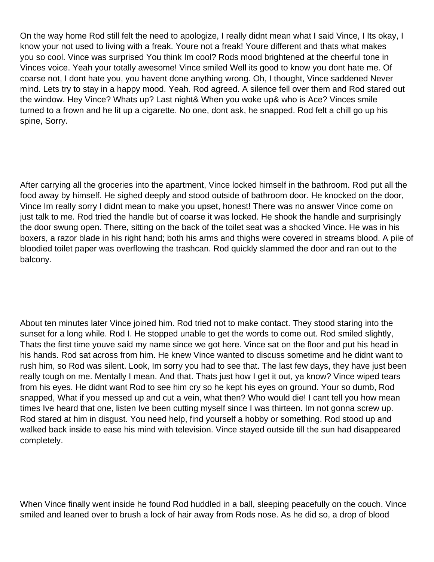On the way home Rod still felt the need to apologize, I really didn t mean what I said Vince, I Its okay, I know your not used to living with a freak. You re not a freak! You re different and that s what makes you so cool. Vince was surprised You think I m cool? Rod s mood brightened at the cheerful tone in Vince s voice. Yeah your totally awesome! Vince smiled Well its good to know you don t hate me. Of coarse not, I don t hate you, you haven t done anything wrong. Oh, I thought, Vince saddened Never mind. Lets try to stay in a happy mood. Yeah. Rod agreed. A silence fell over them and Rod stared out the window. Hey Vince? What s up? Last night& When you woke up& who is Ace? Vince s smile turned to a frown and he lit up a cigarette. No one, dont ask, he snapped. Rod felt a chill go up his spine, Sorry.

After carrying all the groceries into the apartment, Vince locked himself in the bathroom. Rod put all the food away by himself. He sighed deeply and stood outside of bathroom door. He knocked on the door, Vince I m really sorry I didn t mean to make you upset, honest! There was no answer Vince come on just talk to me. Rod tried the handle but of coarse it was locked. He shook the handle and surprisingly the door swung open. There, sitting on the back of the toilet seat was a shocked Vince. He was in his boxers, a razor blade in his right hand; both his arms and thighs were covered in streams blood. A pile of bloodied toilet paper was overflowing the trashcan. Rod quickly slammed the door and ran out to the balcony.

About ten minutes later Vince joined him. Rod tried not to make contact. They stood staring into the sunset for a long while. Rod I. He stopped unable to get the words to come out. Rod smiled slightly, That s the first time you ve said my name since we got here. Vince sat on the floor and put his head in his hands. Rod sat across from him. He knew Vince wanted to discuss sometime and he didn t want to rush him, so Rod was silent. Look, I m sorry you had to see that. The last few days, they have just been really tough on me. Mentally I mean. And that. That s just how I get it out, ya know? Vince wiped tears from his eyes. He didn t want Rod to see him cry so he kept his eyes on ground. Your so dumb, Rod snapped, What if you messed up and cut a vein, what then? Who would die! I can t tell you how mean times I ve heard that one, listen I ve been cutting myself since I was thirteen. I m not gonna screw up. Rod stared at him in disgust. You need help, find yourself a hobby or something. Rod stood up and walked back inside to ease his mind with television. Vince stayed outside till the sun had disappeared completely.

When Vince finally went inside he found Rod huddled in a ball, sleeping peacefully on the couch. Vince smiled and leaned over to brush a lock of hair away from Rod s nose. As he did so, a drop of blood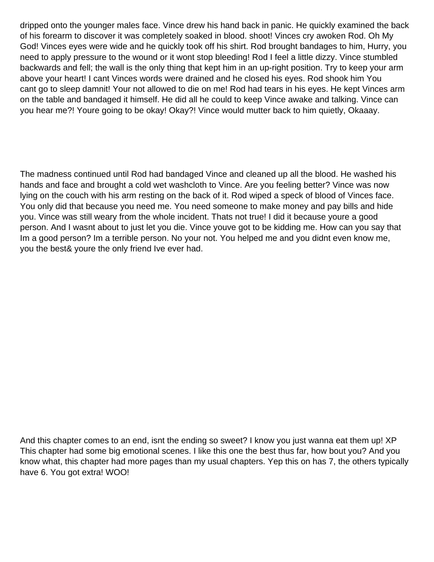dripped onto the younger males face. Vince drew his hand back in panic. He quickly examined the back of his forearm to discover it was completely soaked in blood. shoot! Vince s cry awoken Rod. Oh My God! Vince s eyes were wide and he quickly took off his shirt. Rod brought bandages to him, Hurry, you need to apply pressure to the wound or it wont stop bleeding! Rod I feel a little dizzy. Vince stumbled backwards and fell; the wall is the only thing that kept him in an up-right position. Try to keep your arm above your heart! I can t Vince s words were drained and he closed his eyes. Rod shook him You can t go to sleep damnit! Your not allowed to die on me! Rod had tears in his eyes. He kept Vince s arm on the table and bandaged it himself. He did all he could to keep Vince awake and talking. Vince can you hear me?! Youre going to be okay! Okay?! Vince would mutter back to him quietly, Okaaay.

The madness continued until Rod had bandaged Vince and cleaned up all the blood. He washed his hands and face and brought a cold wet washcloth to Vince. Are you feeling better? Vince was now lying on the couch with his arm resting on the back of it. Rod wiped a speck of blood of Vince s face. You only did that because you need me. You need someone to make money and pay bills and hide you. Vince was still weary from the whole incident. That s not true! I did it because you re a good person. And I wasn t about to just let you die. Vince you ve got to be kidding me. How can you say that I m a good person? I m a terrible person. No your not. You helped me and you didn t even know me, you the best& you re the only friend I ve ever had.

And this chapter comes to an end, isn t the ending so sweet? I know you just wanna eat them up! XP This chapter had some big emotional scenes. I like this one the best thus far, how bout you? And you know what, this chapter had more pages than my usual chapters. Yep this on has 7, the others typically have 6. You got extra! WOO!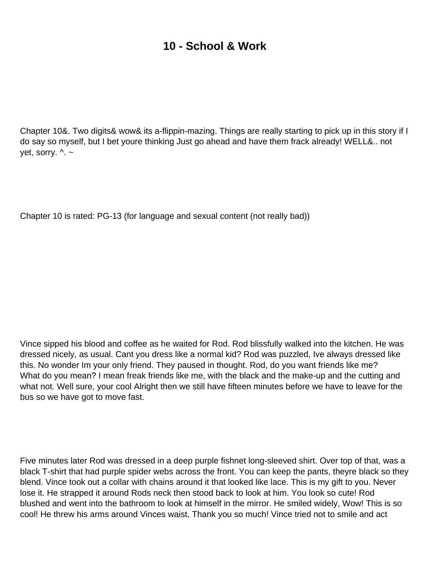# **10 - School & Work**

<span id="page-33-0"></span>Chapter 10&. Two digits& wow& it s a-flippin-mazing. Things are really starting to pick up in this story if I do say so myself, but I bet you re thinking Just go ahead and have them frack already! WELL&.. not yet, sorry.  $\wedge$  ~

Chapter 10 is rated: PG-13 (for language and sexual content (not really bad))

Vince sipped his blood and coffee as he waited for Rod. Rod blissfully walked into the kitchen. He was dressed nicely, as usual. Can t you dress like a normal kid? Rod was puzzled, I ve always dressed like this. No wonder I m your only friend. They paused in thought. Rod, do you want friends like me? What do you mean? I mean freak friends like me, with the black and the make-up and the cutting and what not. Well sure, your cool Alright then we still have fifteen minutes before we have to leave for the bus so we have got to move fast.

Five minutes later Rod was dressed in a deep purple fishnet long-sleeved shirt. Over top of that, was a black T-shirt that had purple spider webs across the front. You can keep the pants, theyre black so they blend. Vince took out a collar with chains around it that looked like lace. This is my gift to you. Never lose it. He strapped it around Rod s neck then stood back to look at him. You look so cute! Rod blushed and went into the bathroom to look at himself in the mirror. He smiled widely, Wow! This is so cool! He threw his arms around Vince s waist, Thank you so much! Vince tried not to smile and act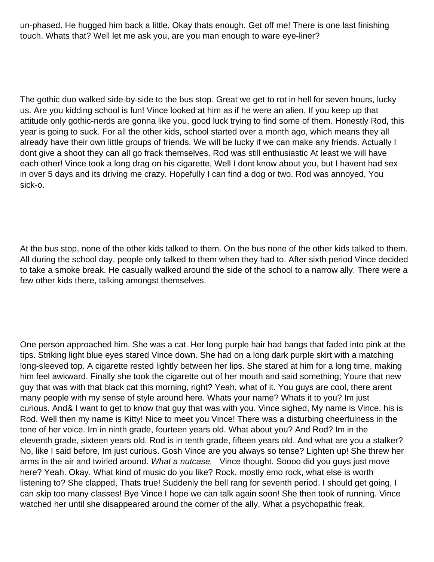un-phased. He hugged him back a little, Okay that s enough. Get off me! There is one last finishing touch. What s that? Well let me ask you, are you man enough to ware eye-liner?

The gothic duo walked side-by-side to the bus stop. Great we get to rot in hell for seven hours, lucky us. Are you kidding school is fun! Vince looked at him as if he were an alien, If you keep up that attitude only gothic-nerds are gonna like you, good luck trying to find some of them. Honestly Rod, this year is going to suck. For all the other kids, school started over a month ago, which means they all already have their own little groups of friends. We will be lucky if we can make any friends. Actually I dont give a shoot they can all go frack themselves. Rod was still enthusiastic At least we will have each other! Vince took a long drag on his cigarette, Well I don t know about you, but I haven t had sex in over 5 days and it s driving me crazy. Hopefully I can find a dog or two. Rod was annoyed, You sick-o.

At the bus stop, none of the other kids talked to them. On the bus none of the other kids talked to them. All during the school day, people only talked to them when they had to. After sixth period Vince decided to take a smoke break. He casually walked around the side of the school to a narrow ally. There were a few other kids there, talking amongst themselves.

One person approached him. She was a cat. Her long purple hair had bangs that faded into pink at the tips. Striking light blue eyes stared Vince down. She had on a long dark purple skirt with a matching long-sleeved top. A cigarette rested lightly between her lips. She stared at him for a long time, making him feel awkward. Finally she took the cigarette out of her mouth and said something; Youre that new guy that was with that black cat this morning, right? Yeah, what of it. You guys are cool, there arent many people with my sense of style around here. What s your name? What s it to you? I m just curious. And& I want to get to know that guy that was with you. Vince sighed, My name is Vince, his is Rod. Well then my name is Kitty! Nice to meet you Vince! There was a disturbing cheerfulness in the tone of her voice. Im in ninth grade, fourteen years old. What about you? And Rod? Im in the eleventh grade, sixteen years old. Rod is in tenth grade, fifteen years old. And what are you a stalker? No, like I said before, Im just curious. Gosh Vince are you always so tense? Lighten up! She threw her arms in the air and twirled around. What a nutcase, Vince thought. Soooo did you guys just move here? Yeah. Okay. What kind of music do you like? Rock, mostly emo rock, what else is worth listening to? She clapped, That s true! Suddenly the bell rang for seventh period. I should get going, I can skip too many classes! Bye Vince I hope we can talk again soon! She then took of running. Vince watched her until she disappeared around the corner of the ally, What a psychopathic freak.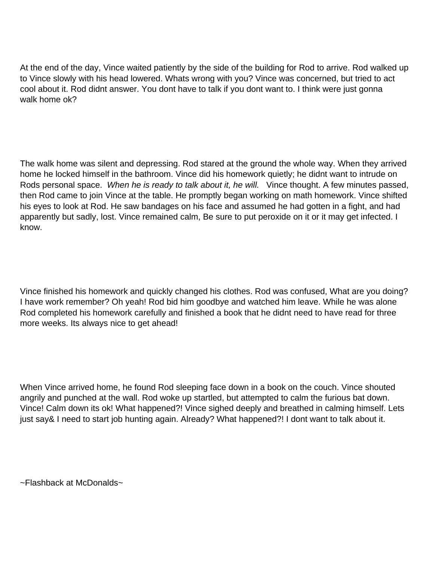At the end of the day, Vince waited patiently by the side of the building for Rod to arrive. Rod walked up to Vince slowly with his head lowered. What s wrong with you? Vince was concerned, but tried to act cool about it. Rod didn t answer. You don t have to talk if you don t want to. I think we re just gonna walk home ok?

The walk home was silent and depressing. Rod stared at the ground the whole way. When they arrived home he locked himself in the bathroom. Vince did his homework quietly; he didn t want to intrude on Rod s personal space. When he is ready to talk about it, he will. Vince thought. A few minutes passed, then Rod came to join Vince at the table. He promptly began working on math homework. Vince shifted his eyes to look at Rod. He saw bandages on his face and assumed he had gotten in a fight, and had apparently but sadly, lost. Vince remained calm, Be sure to put peroxide on it or it may get infected. I know.

Vince finished his homework and quickly changed his clothes. Rod was confused, What are you doing? I have work remember? Oh yeah! Rod bid him goodbye and watched him leave. While he was alone Rod completed his homework carefully and finished a book that he didn t need to have read for three more weeks. Its always nice to get ahead!

When Vince arrived home, he found Rod sleeping face down in a book on the couch. Vince shouted angrily and punched at the wall. Rod woke up startled, but attempted to calm the furious bat down. Vince! Calm down its ok! What happened?! Vince sighed deeply and breathed in calming himself. Lets just say& I need to start job hunting again. Already? What happened?! I don t want to talk about it.

 $\sim$ Flashback at McDonald s $\sim$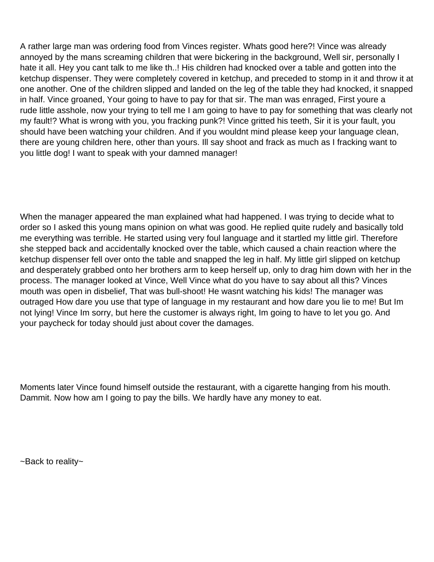A rather large man was ordering food from Vince s register. Whats good here?! Vince was already annoyed by the man s screaming children that were bickering in the background, Well sir, personally I hate it all. Hey you can t talk to me like th..! His children had knocked over a table and gotten into the ketchup dispenser. They were completely covered in ketchup, and preceded to stomp in it and throw it at one another. One of the children slipped and landed on the leg of the table they had knocked, it snapped in half. Vince groaned, Your going to have to pay for that sir. The man was enraged, First youre a rude little asshole, now your trying to tell me I am going to have to pay for something that was clearly not my fault!? What is wrong with you, you fracking punk?! Vince gritted his teeth, Sir it is your fault, you should have been watching your children. And if you wouldn t mind please keep your language clean, there are young children here, other than yours. Ill say shoot and frack as much as I fracking want to you little dog! I want to speak with your damned manager!

When the manager appeared the man explained what had happened. I was trying to decide what to order so I asked this young man s opinion on what was good. He replied quite rudely and basically told me everything was terrible. He started using very foul language and it startled my little girl. Therefore she stepped back and accidentally knocked over the table, which caused a chain reaction where the ketchup dispenser fell over onto the table and snapped the leg in half. My little girl slipped on ketchup and desperately grabbed onto her brothers arm to keep herself up, only to drag him down with her in the process. The manager looked at Vince, Well Vince what do you have to say about all this? Vince s mouth was open in disbelief, That was bull-shoot! He wasnt watching his kids! The manager was outraged How dare you use that type of language in my restaurant and how dare you lie to me! But I m not lying! Vince I m sorry, but here the customer is always right, I m going to have to let you go. And your paycheck for today should just about cover the damages.

Moments later Vince found himself outside the restaurant, with a cigarette hanging from his mouth. Dammit. Now how am I going to pay the bills. We hardly have any money to eat.

~Back to reality~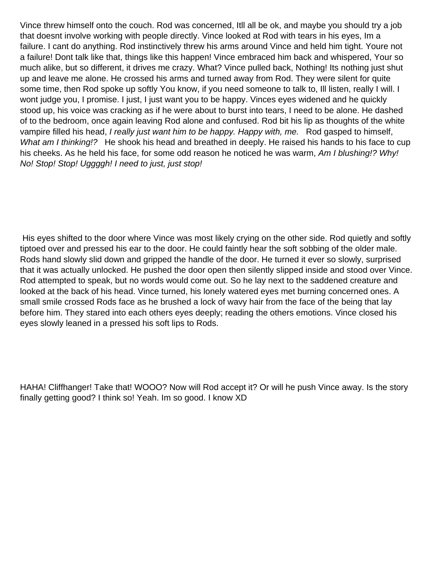Vince threw himself onto the couch. Rod was concerned, Itll all be ok, and maybe you should try a job that doesnt involve working with people directly. Vince looked at Rod with tears in his eyes, Im a failure. I can t do anything. Rod instinctively threw his arms around Vince and held him tight. You re not a failure! Don t talk like that, things like this happen! Vince embraced him back and whispered, Your so much alike, but so different, it drives me crazy. What? Vince pulled back, Nothing! Its nothing just shut up and leave me alone. He crossed his arms and turned away from Rod. They were silent for quite some time, then Rod spoke up softly You know, if you need someone to talk to, I II listen, really I will. I won t judge you, I promise. I just, I just want you to be happy. Vince s eyes widened and he quickly stood up, his voice was cracking as if he were about to burst into tears, I need to be alone. He dashed of to the bedroom, once again leaving Rod alone and confused. Rod bit his lip as thoughts of the white vampire filled his head, I really just want him to be happy. Happy with, me. Rod gasped to himself, What am I thinking!? He shook his head and breathed in deeply. He raised his hands to his face to cup his cheeks. As he held his face, for some odd reason he noticed he was warm, Am I blushing!? Why! No! Stop! Stop! Uggggh! I need to just, just stop!

His eyes shifted to the door where Vince was most likely crying on the other side. Rod quietly and softly tiptoed over and pressed his ear to the door. He could faintly hear the soft sobbing of the older male. Rod s hand slowly slid down and gripped the handle of the door. He turned it ever so slowly, surprised that it was actually unlocked. He pushed the door open then silently slipped inside and stood over Vince. Rod attempted to speak, but no words would come out. So he lay next to the saddened creature and looked at the back of his head. Vince turned, his lonely watered eyes met burning concerned ones. A small smile crossed Rod s face as he brushed a lock of wavy hair from the face of the being that lay before him. They stared into each other s eyes deeply; reading the other s emotions. Vince closed his eyes slowly leaned in a pressed his soft lips to Rod s.

HAHA! Cliffhanger! Take that! WOOO? Now will Rod accept it? Or will he push Vince away. Is the story finally getting good? I think so! Yeah. I m so good. I know XD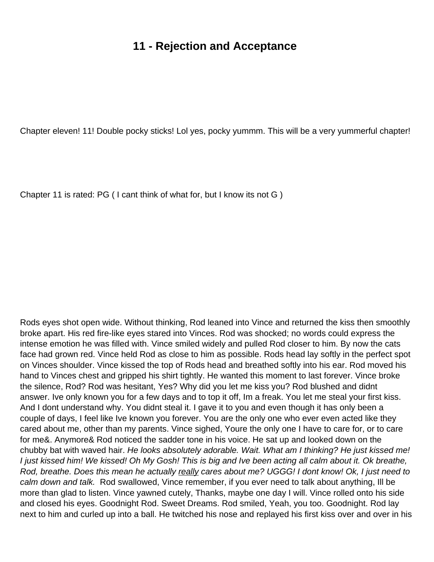#### **11 - Rejection and Acceptance**

Chapter eleven! 11! Double pocky sticks! Lol yes, pocky yummm. This will be a very yummerful chapter!

Chapter 11 is rated:  $PG(1 can t think of what for, but 1 know its not  $G)$ )$ 

Rod s eyes shot open wide. Without thinking, Rod leaned into Vince and returned the kiss then smoothly broke apart. His red fire-like eyes stared into Vince s. Rod was shocked; no words could express the intense emotion he was filled with. Vince smiled widely and pulled Rod closer to him. By now the cat s face had grown red. Vince held Rod as close to him as possible. Rod s head lay softly in the perfect spot on Vince s shoulder. Vince kissed the top of Rod s head and breathed softly into his ear. Rod moved his hand to Vince s chest and gripped his shirt tightly. He wanted this moment to last forever. Vince broke the silence, Rod? Rod was hesitant, Yes? Why did you let me kiss you? Rod blushed and didn t answer. I ve only known you for a few days and to top it off, I m a freak. You let me steal your first kiss. And I don t understand why. You didn t steal it. I gave it to you and even though it has only been a couple of days, I feel like I ve known you forever. You are the only one who ever even acted like they cared about me, other than my parents. Vince sighed, Youre the only one I have to care for, or to care for me&. Anymore& Rod noticed the sadder tone in his voice. He sat up and looked down on the chubby bat with waved hair. He looks absolutely adorable. Wait. What am I thinking? He just kissed me! I just kissed him! We kissed! Oh My Gosh! This is big and I ve been acting all calm about it. Ok breathe, Rod, breathe. Does this mean he actually really cares about me? UGGG! I don t know! Ok, I just need to calm down and talk. Rod swallowed, Vince remember, if you ever need to talk about anything, I II be more than glad to listen. Vince yawned cutely, Thanks, maybe one day I will. Vince rolled onto his side and closed his eyes. Goodnight Rod. Sweet Dreams. Rod smiled, Yeah, you too. Goodnight. Rod lay next to him and curled up into a ball. He twitched his nose and replayed his first kiss over and over in his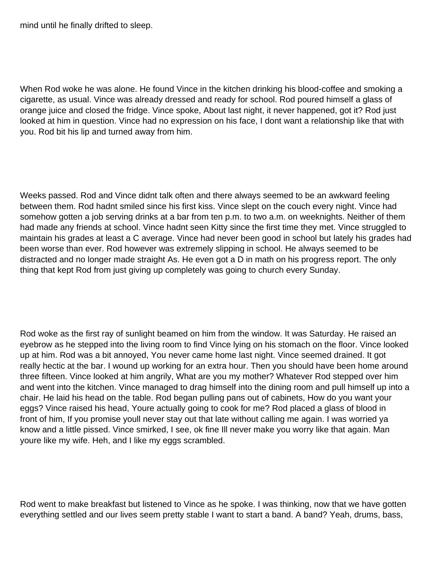mind until he finally drifted to sleep.

When Rod woke he was alone. He found Vince in the kitchen drinking his blood-coffee and smoking a cigarette, as usual. Vince was already dressed and ready for school. Rod poured himself a glass of orange juice and closed the fridge. Vince spoke, About last night, it never happened, got it? Rod just looked at him in question. Vince had no expression on his face, I don t want a relationship like that with you. Rod bit his lip and turned away from him.

Weeks passed. Rod and Vince didn t talk often and there always seemed to be an awkward feeling between them. Rod hadn t smiled since his first kiss. Vince slept on the couch every night. Vince had somehow gotten a job serving drinks at a bar from ten p.m. to two a.m. on weeknights. Neither of them had made any friends at school. Vince hadn t seen Kitty since the first time they met. Vince struggled to maintain his grades at least a C average. Vince had never been good in school but lately his grades had been worse than ever. Rod however was extremely slipping in school. He always seemed to be distracted and no longer made straight A s. He even got a D in math on his progress report. The only thing that kept Rod from just giving up completely was going to church every Sunday.

Rod woke as the first ray of sunlight beamed on him from the window. It was Saturday. He raised an eyebrow as he stepped into the living room to find Vince lying on his stomach on the floor. Vince looked up at him. Rod was a bit annoyed, You never came home last night. Vince seemed drained. It got really hectic at the bar. I wound up working for an extra hour. Then you should have been home around three fifteen. Vince looked at him angrily, What are you my mother? Whatever Rod stepped over him and went into the kitchen. Vince managed to drag himself into the dining room and pull himself up into a chair. He laid his head on the table. Rod began pulling pans out of cabinets, How do you want your eggs? Vince raised his head, Youre actually going to cook for me? Rod placed a glass of blood in front of him, If you promise you II never stay out that late without calling me again. I was worried ya know and a little pissed. Vince smirked, I see, ok fine Ill never make you worry like that again. Man you re like my wife. Heh, and I like my eggs scrambled.

Rod went to make breakfast but listened to Vince as he spoke. I was thinking, now that we have gotten everything settled and our lives seem pretty stable I want to start a band. A band? Yeah, drums, bass,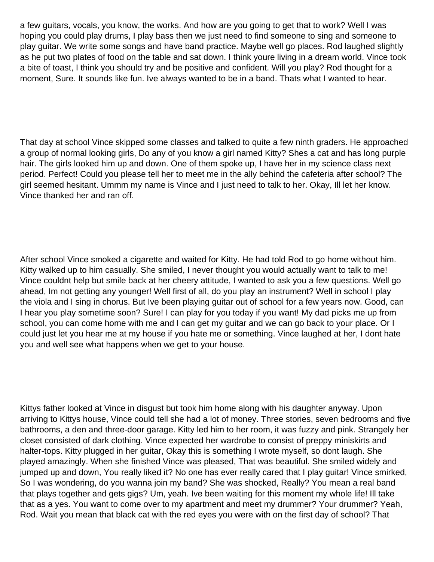a few guitars, vocals, you know, the works. And how are you going to get that to work? Well I was hoping you could play drums, I play bass then we just need to find someone to sing and someone to play guitar. We write some songs and have band practice. Maybe well go places. Rod laughed slightly as he put two plates of food on the table and sat down. I think youre living in a dream world. Vince took a bite of toast, I think you should try and be positive and confident. Will you play? Rod thought for a moment, Sure. It sounds like fun. I ve always wanted to be in a band. That s what I wanted to hear.

That day at school Vince skipped some classes and talked to quite a few ninth graders. He approached a group of normal looking girls, Do any of you know a girl named Kitty? Shes a cat and has long purple hair. The girls looked him up and down. One of them spoke up, I have her in my science class next period. Perfect! Could you please tell her to meet me in the ally behind the cafeteria after school? The girl seemed hesitant. Ummm my name is Vince and I just need to talk to her. Okay, Ill let her know. Vince thanked her and ran off.

After school Vince smoked a cigarette and waited for Kitty. He had told Rod to go home without him. Kitty walked up to him casually. She smiled, I never thought you would actually want to talk to me! Vince couldnt help but smile back at her cheery attitude, I wanted to ask you a few questions. Well go ahead, I m not getting any younger! Well first of all, do you play an instrument? Well in school I play the viola and I sing in chorus. But Ive been playing guitar out of school for a few years now. Good, can I hear you play sometime soon? Sure! I can play for you today if you want! My dad picks me up from school, you can come home with me and I can get my guitar and we can go back to your place. Or I could just let you hear me at my house if you hate me or something. Vince laughed at her, I dont hate you and well see what happens when we get to your house.

Kitty s father looked at Vince in disgust but took him home along with his daughter anyway. Upon arriving to Kitty s house, Vince could tell she had a lot of money. Three stories, seven bedrooms and five bathrooms, a den and three-door garage. Kitty led him to her room, it was fuzzy and pink. Strangely her closet consisted of dark clothing. Vince expected her wardrobe to consist of preppy miniskirts and halter-tops. Kitty plugged in her guitar, Okay this is something I wrote myself, so don t laugh. She played amazingly. When she finished Vince was pleased, That was beautiful. She smiled widely and jumped up and down, You really liked it? No one has ever really cared that I play guitar! Vince smirked, So I was wondering, do you wanna join my band? She was shocked, Really? You mean a real band that plays together and gets gigs? Um, yeah. Ive been waiting for this moment my whole life! Ill take that as a yes. You want to come over to my apartment and meet my drummer? Your drummer? Yeah, Rod. Wait you mean that black cat with the red eyes you were with on the first day of school? That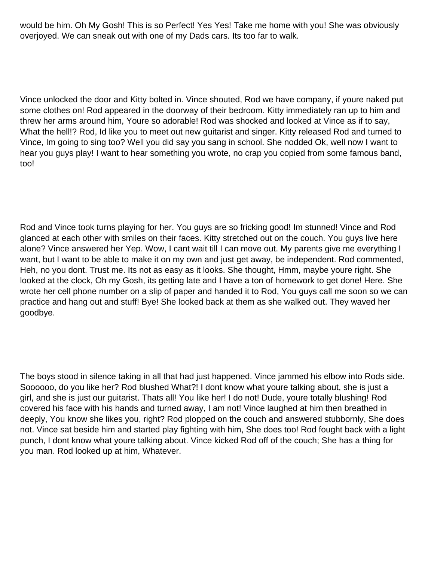would be him. Oh My Gosh! This is so Perfect! Yes Yes! Take me home with you! She was obviously overjoyed. We can sneak out with one of my Dad s cars. It s too far to walk.

Vince unlocked the door and Kitty bolted in. Vince shouted, Rod we have company, if youre naked put some clothes on! Rod appeared in the doorway of their bedroom. Kitty immediately ran up to him and threw her arms around him, Youre so adorable! Rod was shocked and looked at Vince as if to say, What the hell!? Rod, I d like you to meet out new guitarist and singer. Kitty released Rod and turned to Vince, Im going to sing too? Well you did say you sang in school. She nodded Ok, well now I want to hear you guys play! I want to hear something you wrote, no crap you copied from some famous band, too!

Rod and Vince took turns playing for her. You guys are so fricking good! I m stunned! Vince and Rod glanced at each other with smiles on their faces. Kitty stretched out on the couch. You guys live here alone? Vince answered her Yep. Wow, I cant wait till I can move out. My parents give me everything I want, but I want to be able to make it on my own and just get away, be independent. Rod commented, Heh, no you don t. Trust me. Its not as easy as it looks. She thought, Hmm, maybe you re right. She looked at the clock, Oh my Gosh, it s getting late and I have a ton of homework to get done! Here. She wrote her cell phone number on a slip of paper and handed it to Rod, You guys call me soon so we can practice and hang out and stuff! Bye! She looked back at them as she walked out. They waved her goodbye.

The boys stood in silence taking in all that had just happened. Vince jammed his elbow into Rod s side. Soooooo, do you like her? Rod blushed What?! I don t know what you re talking about, she is just a girl, and she is just our guitarist. That s all! You like her! I do not! Dude, you re totally blushing! Rod covered his face with his hands and turned away, I am not! Vince laughed at him then breathed in deeply, You know she likes you, right? Rod plopped on the couch and answered stubbornly, She does not. Vince sat beside him and started play fighting with him, She does too! Rod fought back with a light punch, I don t know what you re talking about. Vince kicked Rod off of the couch; She has a thing for you man. Rod looked up at him, Whatever.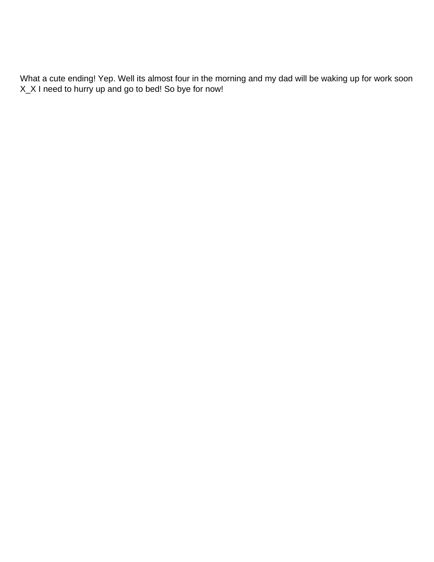What a cute ending! Yep. Well its almost four in the morning and my dad will be waking up for work soon X\_X I need to hurry up and go to bed! So bye for now!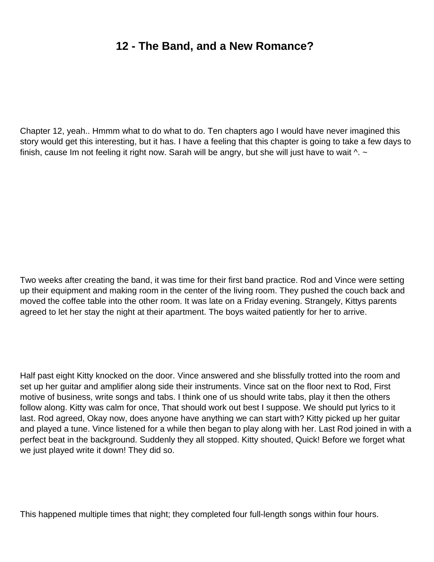### **12 - The Band, and a New Romance?**

Chapter 12, yeah.. Hmmm what to do what to do. Ten chapters ago I would have never imagined this story would get this interesting, but it has. I have a feeling that this chapter is going to take a few days to finish, cause I m not feeling it right now. Sarah will be angry, but she will just have to wait  $\wedge$ .  $\sim$ 

Two weeks after creating the band, it was time for their first band practice. Rod and Vince were setting up their equipment and making room in the center of the living room. They pushed the couch back and moved the coffee table into the other room. It was late on a Friday evening. Strangely, Kitty s parents agreed to let her stay the night at their apartment. The boys waited patiently for her to arrive.

Half past eight Kitty knocked on the door. Vince answered and she blissfully trotted into the room and set up her guitar and amplifier along side their instruments. Vince sat on the floor next to Rod, First motive of business, write songs and tabs. I think one of us should write tabs, play it then the others follow along. Kitty was calm for once, That should work out best I suppose. We should put lyrics to it last. Rod agreed, Okay now, does anyone have anything we can start with? Kitty picked up her guitar and played a tune. Vince listened for a while then began to play along with her. Last Rod joined in with a perfect beat in the background. Suddenly they all stopped. Kitty shouted, Quick! Before we forget what we just played write it down! They did so.

This happened multiple times that night; they completed four full-length songs within four hours.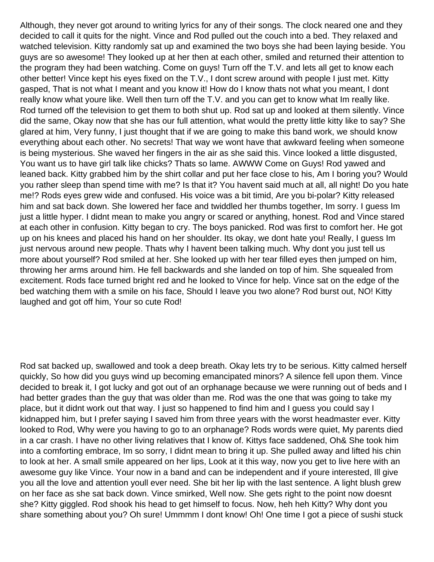Although, they never got around to writing lyrics for any of their songs. The clock neared one and they decided to call it quits for the night. Vince and Rod pulled out the couch into a bed. They relaxed and watched television. Kitty randomly sat up and examined the two boys she had been laying beside. You guys are so awesome! They looked up at her then at each other, smiled and returned their attention to the program they had been watching. Come on guys! Turn off the T.V. and lets all get to know each other better! Vince kept his eyes fixed on the T.V., I dont screw around with people I just met. Kitty gasped, That is not what I meant and you know it! How do I know that s not what you meant, I don t really know what you re like. Well then turn off the T.V. and you can get to know what I m really like. Rod turned off the television to get them to both shut up. Rod sat up and looked at them silently. Vince did the same, Okay now that she has our full attention, what would the pretty little kitty like to say? She glared at him, Very funny, I just thought that if we are going to make this band work, we should know everything about each other. No secrets! That way we won t have that awkward feeling when someone is being mysterious. She waved her fingers in the air as she said this. Vince looked a little disgusted, You want us to have girl talk like chicks? That s so lame. AWWW Come on Guys! Rod yawed and leaned back. Kitty grabbed him by the shirt collar and put her face close to his, Am I boring you? Would you rather sleep than spend time with me? Is that it? You haven t said much at all, all night! Do you hate me!? Rod s eyes grew wide and confused. His voice was a bit timid, Are you bi-polar? Kitty released him and sat back down. She lowered her face and twiddled her thumbs together, I m sorry. I guess I m just a little hyper. I didn t mean to make you angry or scared or anything, honest. Rod and Vince stared at each other in confusion. Kitty began to cry. The boys panicked. Rod was first to comfort her. He got up on his knees and placed his hand on her shoulder. Its okay, we dont hate you! Really, I guess Im just nervous around new people. That s why I haven t been talking much. Why don t you just tell us more about yourself? Rod smiled at her. She looked up with her tear filled eyes then jumped on him, throwing her arms around him. He fell backwards and she landed on top of him. She squealed from excitement. Rod s face turned bright red and he looked to Vince for help. Vince sat on the edge of the bed watching them with a smile on his face, Should I leave you two alone? Rod burst out, NO! Kitty laughed and got off him, Your so cute Rod!

Rod sat backed up, swallowed and took a deep breath. Okay lets try to be serious. Kitty calmed herself quickly, So how did you guys wind up becoming emancipated minors? A silence fell upon them. Vince decided to break it, I got lucky and got out of an orphanage because we were running out of beds and I had better grades than the guy that was older than me. Rod was the one that was going to take my place, but it didnt work out that way. I just so happened to find him and I guess you could say I kidnapped him, but I prefer saying I saved him from three years with the worst headmaster ever. Kitty looked to Rod, Why were you having to go to an orphanage? Rod s words were quiet, My parents died in a car crash. I have no other living relatives that I know of. Kitty s face saddened, Oh& She took him into a comforting embrace, I m so sorry, I didn t mean to bring it up. She pulled away and lifted his chin to look at her. A small smile appeared on her lips, Look at it this way, now you get to live here with an awesome guy like Vince. Your now in a band and can be independent and if youre interested, Ill give you all the love and attention you II ever need. She bit her lip with the last sentence. A light blush grew on her face as she sat back down. Vince smirked, Well now. She gets right to the point now doesnt she? Kitty giggled. Rod shook his head to get himself to focus. Now, heh heh Kitty? Why don t you share something about you? Oh sure! Ummmm I don t know! Oh! One time I got a piece of sushi stuck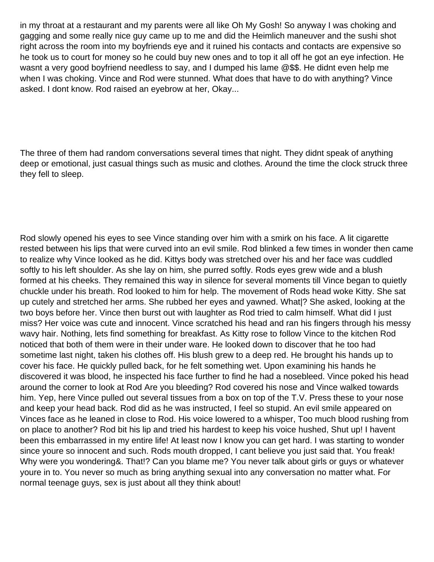in my throat at a restaurant and my parents were all like Oh My Gosh! So anyway I was choking and gagging and some really nice guy came up to me and did the Heimlich maneuver and the sushi shot right across the room into my boyfriend s eye and it ruined his contacts and contacts are expensive so he took us to court for money so he could buy new ones and to top it all off he got an eye infection. He wasnt a very good boyfriend needless to say, and I dumped his lame @\$\$. He didnt even help me when I was choking. Vince and Rod were stunned. What does that have to do with anything? Vince asked. I don t know. Rod raised an eyebrow at her, Okay...

The three of them had random conversations several times that night. They didn t speak of anything deep or emotional, just casual things such as music and clothes. Around the time the clock struck three they fell to sleep.

Rod slowly opened his eyes to see Vince standing over him with a smirk on his face. A lit cigarette rested between his lips that were curved into an evil smile. Rod blinked a few times in wonder then came to realize why Vince looked as he did. Kitty s body was stretched over his and her face was cuddled softly to his left shoulder. As she lay on him, she purred softly. Rod s eyes grew wide and a blush formed at his cheeks. They remained this way in silence for several moments till Vince began to quietly chuckle under his breath. Rod looked to him for help. The movement of Rods head woke Kitty. She sat up cutely and stretched her arms. She rubbed her eyes and yawned. What|? She asked, looking at the two boys before her. Vince then burst out with laughter as Rod tried to calm himself. What did I just miss? Her voice was cute and innocent. Vince scratched his head and ran his fingers through his messy wavy hair. Nothing, lets find something for breakfast. As Kitty rose to follow Vince to the kitchen Rod noticed that both of them were in their under ware. He looked down to discover that he too had sometime last night, taken his clothes off. His blush grew to a deep red. He brought his hands up to cover his face. He quickly pulled back, for he felt something wet. Upon examining his hands he discovered it was blood, he inspected his face further to find he had a nosebleed. Vince poked his head around the corner to look at Rod Are you bleeding? Rod covered his nose and Vince walked towards him. Yep, here Vince pulled out several tissues from a box on top of the T.V. Press these to your nose and keep your head back. Rod did as he was instructed, I feel so stupid. An evil smile appeared on Vince s face as he leaned in close to Rod. His voice lowered to a whisper, Too much blood rushing from on place to another? Rod bit his lip and tried his hardest to keep his voice hushed, Shut up! I haven t been this embarrassed in my entire life! At least now I know you can get hard. I was starting to wonder since you re so innocent and such. Rod s mouth dropped, I can t believe you just said that. You freak! Why were you wondering &. That!? Can you blame me? You never talk about girls or guys or whatever youre in to. You never so much as bring anything sexual into any conversation no matter what. For normal teenage guys, sex is just about all they think about!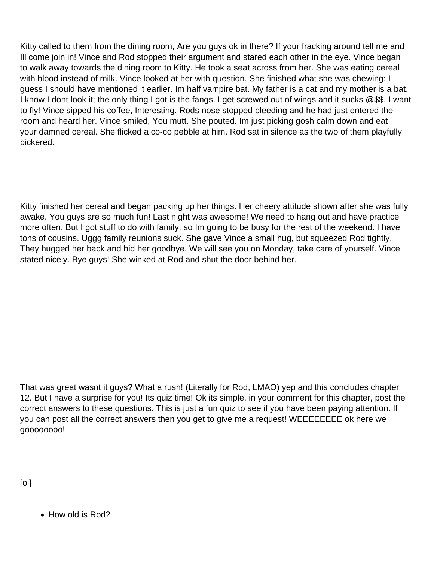Kitty called to them from the dining room, Are you guys ok in there? If your fracking around tell me and I II come join in! Vince and Rod stopped their argument and stared each other in the eye. Vince began to walk away towards the dining room to Kitty. He took a seat across from her. She was eating cereal with blood instead of milk. Vince looked at her with question. She finished what she was chewing; I guess I should have mentioned it earlier. I m half vampire bat. My father is a cat and my mother is a bat. I know I don t look it; the only thing I got is the fangs. I get screwed out of wings and it sucks @\$\$. I want to fly! Vince sipped his coffee, Interesting. Rod s nose stopped bleeding and he had just entered the room and heard her. Vince smiled, You mutt. She pouted. Im just picking gosh calm down and eat your damned cereal. She flicked a co-co pebble at him. Rod sat in silence as the two of them playfully bickered.

Kitty finished her cereal and began packing up her things. Her cheery attitude shown after she was fully awake. You guys are so much fun! Last night was awesome! We need to hang out and have practice more often. But I got stuff to do with family, so I m going to be busy for the rest of the weekend. I have tons of cousins. Uggg family reunions suck. She gave Vince a small hug, but squeezed Rod tightly. They hugged her back and bid her goodbye. We will see you on Monday, take care of yourself. Vince stated nicely. Bye guys! She winked at Rod and shut the door behind her.

That was great wasnt it guys? What a rush! (Literally for Rod, LMAO) yep and this concludes chapter 12. But I have a surprise for you! Its quiz time! Ok its simple, in your comment for this chapter, post the correct answers to these questions. This is just a fun quiz to see if you have been paying attention. If you can post all the correct answers then you get to give me a request! WEEEEEEEE ok here we goooooooo!

[ol]

• How old is Rod?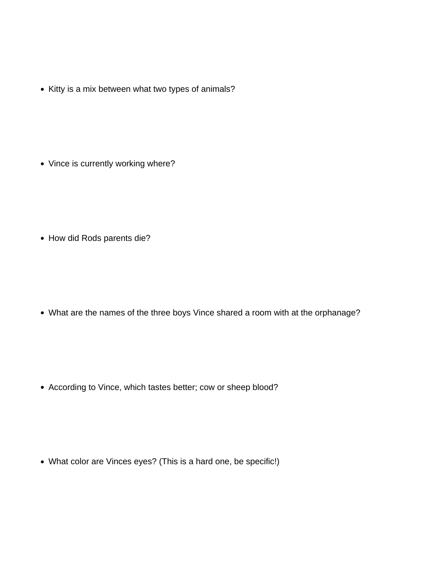• Kitty is a mix between what two types of animals?

• Vince is currently working where?

• How did Rod s parents die?

What are the names of the three boys Vince shared a room with at the orphanage?

According to Vince, which tastes better; cow or sheep blood?

• What color are Vince s eyes? (This is a hard one, be specific!)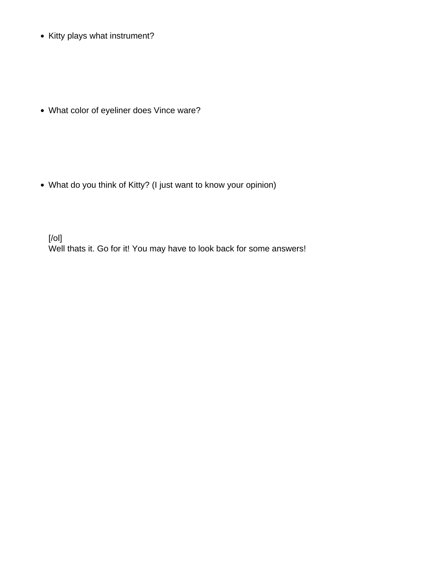• Kitty plays what instrument?

What color of eyeliner does Vince ware?

What do you think of Kitty? (I just want to know your opinion)

[/ol] Well that s it. Go for it! You may have to look back for some answers!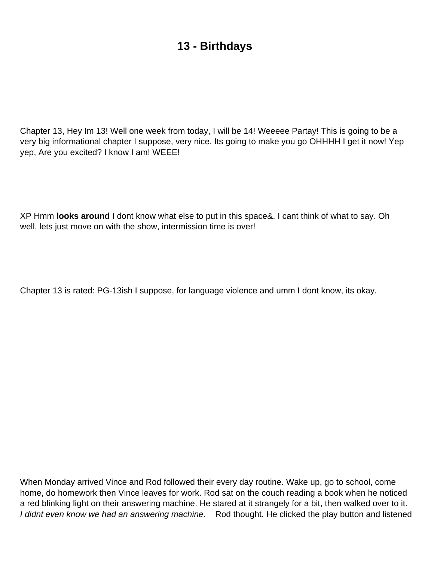## **13 - Birthdays**

Chapter 13, Hey Im 13! Well one week from today, I will be 14! Weeeee Partay! This is going to be a very big informational chapter I suppose, very nice. It s going to make you go OHHHH I get it now! Yep yep, Are you excited? I know I am! WEEE!

XP Hmm **looks around** I dont know what else to put in this space&. I cant think of what to say. Oh well, lets just move on with the show, intermission time is over!

Chapter 13 is rated: PG-13ish I suppose, for language violence and umm I dont know, its okay.

When Monday arrived Vince and Rod followed their every day routine. Wake up, go to school, come home, do homework then Vince leaves for work. Rod sat on the couch reading a book when he noticed a red blinking light on their answering machine. He stared at it strangely for a bit, then walked over to it. I didn t even know we had an answering machine. Rod thought. He clicked the play button and listened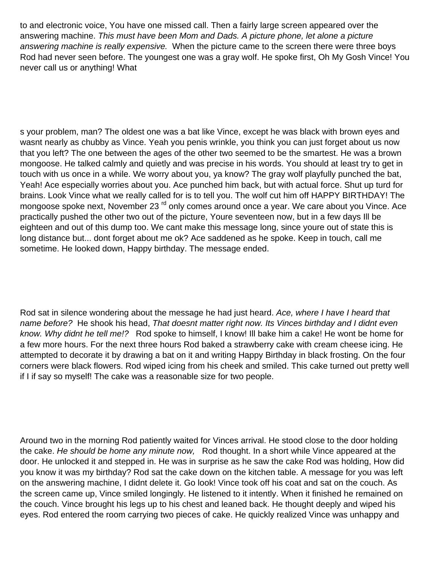to and electronic voice, You have one missed call. Then a fairly large screen appeared over the answering machine. This must have been Mom and Dad s. A picture phone, let alone a picture answering machine is really expensive. When the picture came to the screen there were three boys Rod had never seen before. The youngest one was a gray wolf. He spoke first, Oh My Gosh Vince! You never call us or anything! What

s your problem, man? The oldest one was a bat like Vince, except he was black with brown eyes and wasnt nearly as chubby as Vince. Yeah you penis wrinkle, you think you can just forget about us now that you left? The one between the ages of the other two seemed to be the smartest. He was a brown mongoose. He talked calmly and quietly and was precise in his words. You should at least try to get in touch with us once in a while. We worry about you, ya know? The gray wolf playfully punched the bat, Yeah! Ace especially worries about you. Ace punched him back, but with actual force. Shut up turd for brains. Look Vince what we really called for is to tell you. The wolf cut him off HAPPY BIRTHDAY! The mongoose spoke next, November 23<sup>rd</sup> only comes around once a year. We care about you Vince. Ace practically pushed the other two out of the picture, Youre seventeen now, but in a few days Ill be eighteen and out of this dump too. We can t make this message long, since you re out of state this is long distance but... don t forget about me ok? Ace saddened as he spoke. Keep in touch, call me sometime. He looked down, Happy birthday. The message ended.

Rod sat in silence wondering about the message he had just heard. Ace, where I have I heard that name before? He shook his head, That doesn t matter right now. Its Vince s birthday and I didn t even know. Why didn t he tell me!? Rod spoke to himself, I know! I II bake him a cake! He won t be home for a few more hours. For the next three hours Rod baked a strawberry cake with cream cheese icing. He attempted to decorate it by drawing a bat on it and writing Happy Birthday in black frosting. On the four corners were black flowers. Rod wiped icing from his cheek and smiled. This cake turned out pretty well if I if say so myself! The cake was a reasonable size for two people.

Around two in the morning Rod patiently waited for Vince s arrival. He stood close to the door holding the cake. He should be home any minute now, Rod thought. In a short while Vince appeared at the door. He unlocked it and stepped in. He was in surprise as he saw the cake Rod was holding, How did you know it was my birthday? Rod sat the cake down on the kitchen table. A message for you was left on the answering machine, I didn t delete it. Go look! Vince took off his coat and sat on the couch. As the screen came up, Vince smiled longingly. He listened to it intently. When it finished he remained on the couch. Vince brought his legs up to his chest and leaned back. He thought deeply and wiped his eyes. Rod entered the room carrying two pieces of cake. He quickly realized Vince was unhappy and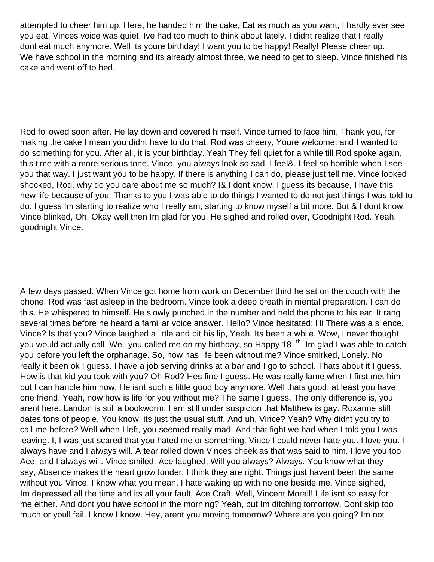attempted to cheer him up. Here, he handed him the cake, Eat as much as you want, I hardly ever see you eat. Vince s voice was quiet, I ve had too much to think about lately. I didn t realize that I really don t eat much anymore. Well its you re birthday! I want you to be happy! Really! Please cheer up. We have school in the morning and its already almost three, we need to get to sleep. Vince finished his cake and went off to bed.

Rod followed soon after. He lay down and covered himself. Vince turned to face him, Thank you, for making the cake I mean you didn t have to do that. Rod was cheery, You re welcome, and I wanted to do something for you. After all, it is your birthday. Yeah They fell quiet for a while till Rod spoke again, this time with a more serious tone, Vince, you always look so sad. I feel&. I feel so horrible when I see you that way. I just want you to be happy. If there is anything I can do, please just tell me. Vince looked shocked, Rod, why do you care about me so much? I& I don t know, I quess its because, I have this new life because of you. Thanks to you I was able to do things I wanted to do not just things I was told to do. I guess Im starting to realize who I really am, starting to know myself a bit more. But & I dont know. Vince blinked, Oh, Okay well then I m glad for you. He sighed and rolled over, Goodnight Rod. Yeah, goodnight Vince.

A few days passed. When Vince got home from work on December third he sat on the couch with the phone. Rod was fast asleep in the bedroom. Vince took a deep breath in mental preparation. I can do this. He whispered to himself. He slowly punched in the number and held the phone to his ear. It rang several times before he heard a familiar voice answer. Hello? Vince hesitated; Hi There was a silence. Vince? Is that you? Vince laughed a little and bit his lip, Yeah. It s been a while. Wow, I never thought you would actually call. Well you called me on my birthday, so Happy 18<sup>th</sup>. I m glad I was able to catch you before you left the orphanage. So, how has life been without me? Vince smirked, Lonely. No really it been ok I guess. I have a job serving drinks at a bar and I go to school. That s about it I guess. How is that kid you took with you? Oh Rod? He s fine I guess. He was really lame when I first met him but I can handle him now. He isn t such a little good boy anymore. Well that s good, at least you have one friend. Yeah, now how is life for you without me? The same I guess. The only difference is, you arent here. Landon is still a bookworm. I am still under suspicion that Matthew is gay. Roxanne still dates tons of people. You know, it s just the usual stuff. And uh, Vince? Yeah? Why didn t you try to call me before? Well when I left, you seemed really mad. And that fight we had when I told you I was leaving. I, I was just scared that you hated me or something. Vince I could never hate you. I love you. I always have and I always will. A tear rolled down Vince s cheek as that was said to him. I love you too Ace, and I always will. Vince smiled. Ace laughed, Will you always? Always. You know what they say, Absence makes the heart grow fonder. I think they are right. Things just haven t been the same without you Vince. I know what you mean. I hate waking up with no one beside me. Vince sighed, I m depressed all the time and it s all your fault, Ace Craft. Well, Vincent Morall! Life isn t so easy for me either. And don t you have school in the morning? Yeah, but I m ditching tomorrow. Don t skip too much or you II fail. I know I know. Hey, aren t you moving tomorrow? Where are you going? I m not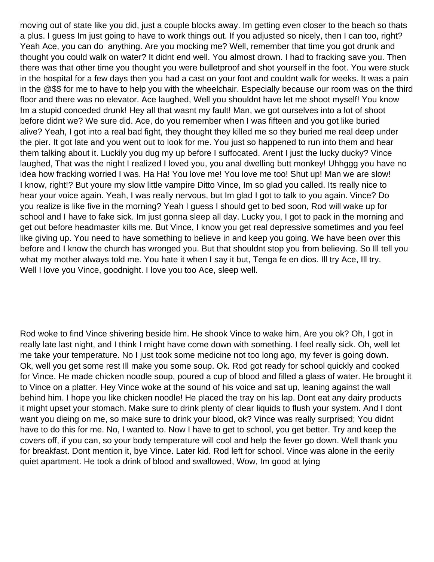moving out of state like you did, just a couple blocks away. I m getting even closer to the beach so that s a plus. I guess Im just going to have to work things out. If you adjusted so nicely, then I can too, right? Yeah Ace, you can do anything. Are you mocking me? Well, remember that time you got drunk and thought you could walk on water? It didnt end well. You almost drown. I had to fracking save you. Then there was that other time you thought you were bulletproof and shot yourself in the foot. You were stuck in the hospital for a few days then you had a cast on your foot and couldn t walk for weeks. It was a pain in the @\$\$ for me to have to help you with the wheelchair. Especially because our room was on the third floor and there was no elevator. Ace laughed, Well you shouldn t have let me shoot myself! You know Im a stupid conceded drunk! Hey all that wasnt my fault! Man, we got ourselves into a lot of shoot before didn t we? We sure did. Ace, do you remember when I was fifteen and you got like buried alive? Yeah, I got into a real bad fight, they thought they killed me so they buried me real deep under the pier. It got late and you went out to look for me. You just so happened to run into them and hear them talking about it. Luckily you dug my up before I suffocated. Arent I just the lucky ducky? Vince laughed, That was the night I realized I loved you, you anal dwelling butt monkey! Uhhggg you have no idea how fracking worried I was. Ha Ha! You love me! You love me too! Shut up! Man we are slow! I know, right!? But you re my slow little vampire Ditto Vince, I m so glad you called. It s really nice to hear your voice again. Yeah, I was really nervous, but I m glad I got to talk to you again. Vince? Do you realize is like five in the morning? Yeah I guess I should get to bed soon, Rod will wake up for school and I have to fake sick. I m just gonna sleep all day. Lucky you, I got to pack in the morning and get out before headmaster kills me. But Vince, I know you get real depressive sometimes and you feel like giving up. You need to have something to believe in and keep you going. We have been over this before and I know the church has wronged you. But that shouldn t stop you from believing. So I II tell you what my mother always told me. You hate it when I say it but, Tenga fe en dios. Ill try Ace, Ill try. Well I love you Vince, goodnight. I love you too Ace, sleep well.

Rod woke to find Vince shivering beside him. He shook Vince to wake him, Are you ok? Oh, I got in really late last night, and I think I might have come down with something. I feel really sick. Oh, well let me take your temperature. No I just took some medicine not too long ago, my fever is going down. Ok, well you get some rest Ill make you some soup. Ok. Rod got ready for school quickly and cooked for Vince. He made chicken noodle soup, poured a cup of blood and filled a glass of water. He brought it to Vince on a platter. Hey Vince woke at the sound of his voice and sat up, leaning against the wall behind him. I hope you like chicken noodle! He placed the tray on his lap. Dont eat any dairy products it might upset your stomach. Make sure to drink plenty of clear liquids to flush your system. And I don t want you dieing on me, so make sure to drink your blood, ok? Vince was really surprised; You didn t have to do this for me. No, I wanted to. Now I have to get to school, you get better. Try and keep the covers off, if you can, so your body temperature will cool and help the fever go down. Well thank you for breakfast. Don t mention it, bye Vince. Later kid. Rod left for school. Vince was alone in the eerily quiet apartment. He took a drink of blood and swallowed, Wow, Im good at lying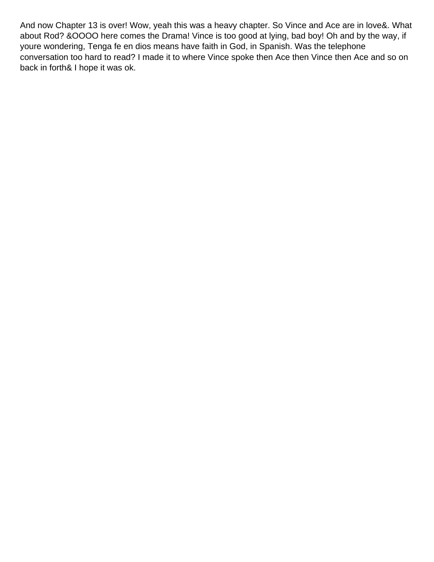And now Chapter 13 is over! Wow, yeah this was a heavy chapter. So Vince and Ace are in love&. What about Rod? &OOOO here comes the Drama! Vince is too good at lying, bad boy! Oh and by the way, if you re wondering, Tenga fe en dios means have faith in God, in Spanish. Was the telephone conversation too hard to read? I made it to where Vince spoke then Ace then Vince then Ace and so on back in forth& I hope it was ok.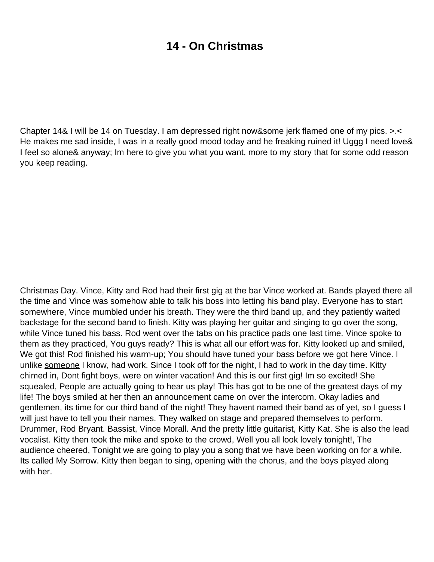#### **14 - On Christmas**

Chapter 14& I will be 14 on Tuesday. I am depressed right now&some jerk flamed one of my pics. >.< He makes me sad inside, I was in a really good mood today and he freaking ruined it! Uggg I need love& I feel so alone& anyway; Im here to give you what you want, more to my story that for some odd reason you keep reading.

Christmas Day. Vince, Kitty and Rod had their first gig at the bar Vince worked at. Bands played there all the time and Vince was somehow able to talk his boss into letting his band play. Everyone has to start somewhere, Vince mumbled under his breath. They were the third band up, and they patiently waited backstage for the second band to finish. Kitty was playing her guitar and singing to go over the song, while Vince tuned his bass. Rod went over the tabs on his practice pads one last time. Vince spoke to them as they practiced, You guys ready? This is what all our effort was for. Kitty looked up and smiled, We got this! Rod finished his warm-up; You should have tuned your bass before we got here Vince. I unlike someone I know, had work. Since I took off for the night, I had to work in the day time. Kitty chimed in, Don t fight boys, we re on winter vacation! And this is our first gig! I m so excited! She squealed, People are actually going to hear us play! This has got to be one of the greatest days of my life! The boys smiled at her then an announcement came on over the intercom. Okay ladies and gentlemen, it s time for our third band of the night! They haven t named their band as of yet, so I guess I will just have to tell you their names. They walked on stage and prepared themselves to perform. Drummer, Rod Bryant. Bassist, Vince Morall. And the pretty little guitarist, Kitty Kat. She is also the lead vocalist. Kitty then took the mike and spoke to the crowd, Well you all look lovely tonight!, The audience cheered, Tonight we are going to play you a song that we have been working on for a while. It s called My Sorrow. Kitty then began to sing, opening with the chorus, and the boys played along with her.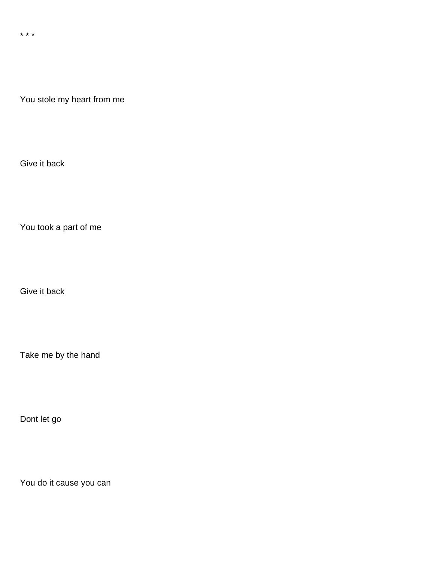\* \* \*

You stole my heart from me

Give it back

You took a part of me

Give it back

Take me by the hand

Don t let go

You do it cause you can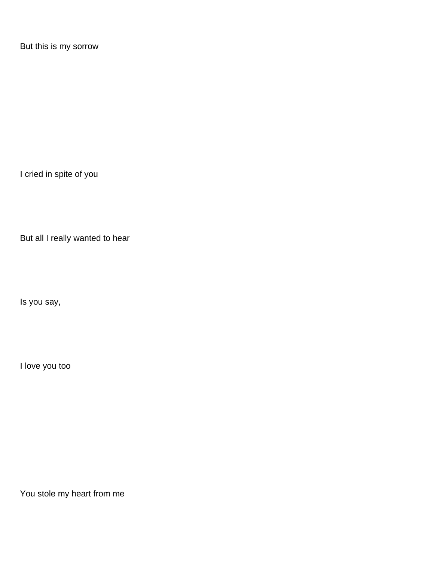But this is my sorrow

I cried in spite of you

But all I really wanted to hear

Is you say,

I love you too

You stole my heart from me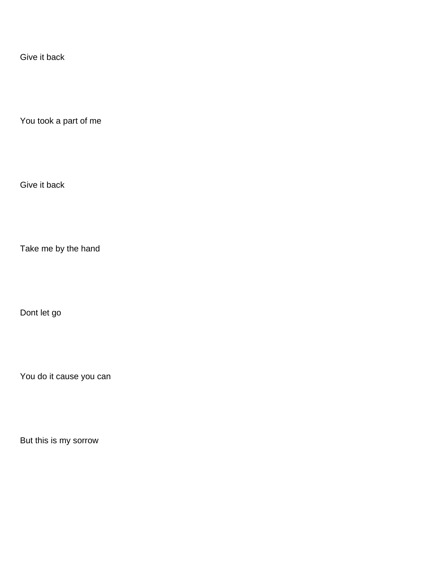Give it back

You took a part of me

Give it back

Take me by the hand

Don t let go

You do it cause you can

But this is my sorrow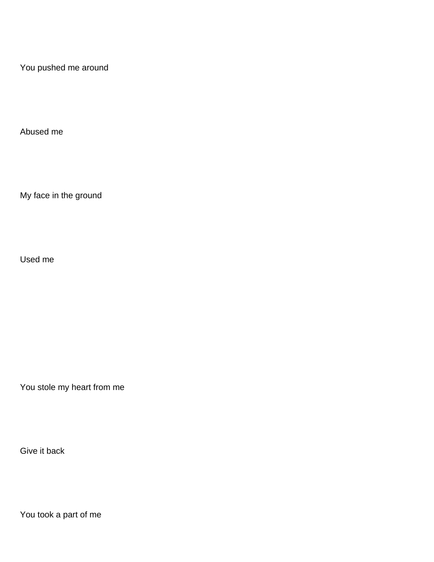You pushed me around

Abused me

My face in the ground

Used me

You stole my heart from me

Give it back

You took a part of me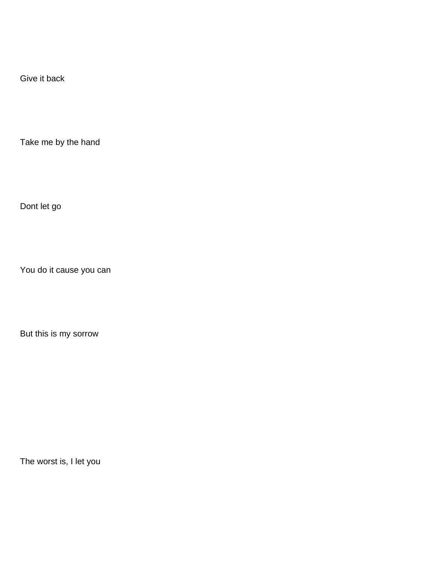Give it back

Take me by the hand

Don t let go

You do it cause you can

But this is my sorrow

The worst is, I let you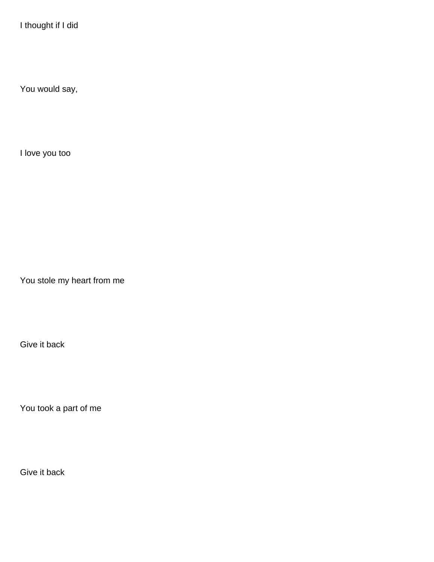I thought if I did

You would say,

I love you too

You stole my heart from me

Give it back

You took a part of me

Give it back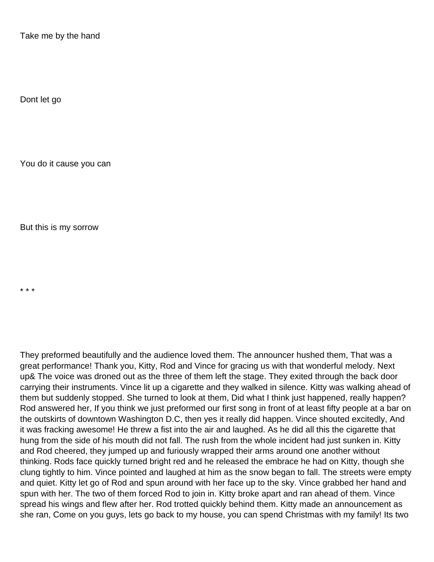Take me by the hand

Don t let go

You do it cause you can

But this is my sorrow

\* \* \*

They preformed beautifully and the audience loved them. The announcer hushed them, That was a great performance! Thank you, Kitty, Rod and Vince for gracing us with that wonderful melody. Next up& The voice was droned out as the three of them left the stage. They exited through the back door carrying their instruments. Vince lit up a cigarette and they walked in silence. Kitty was walking ahead of them but suddenly stopped. She turned to look at them, Did what I think just happened, really happen? Rod answered her, If you think we just preformed our first song in front of at least fifty people at a bar on the outskirts of downtown Washington D.C, then yes it really did happen. Vince shouted excitedly, And it was fracking awesome! He threw a fist into the air and laughed. As he did all this the cigarette that hung from the side of his mouth did not fall. The rush from the whole incident had just sunken in. Kitty and Rod cheered, they jumped up and furiously wrapped their arms around one another without thinking. Rod s face quickly turned bright red and he released the embrace he had on Kitty, though she clung tightly to him. Vince pointed and laughed at him as the snow began to fall. The streets were empty and quiet. Kitty let go of Rod and spun around with her face up to the sky. Vince grabbed her hand and spun with her. The two of them forced Rod to join in. Kitty broke apart and ran ahead of them. Vince spread his wings and flew after her. Rod trotted quickly behind them. Kitty made an announcement as she ran, Come on you guys, lets go back to my house, you can spend Christmas with my family! Its two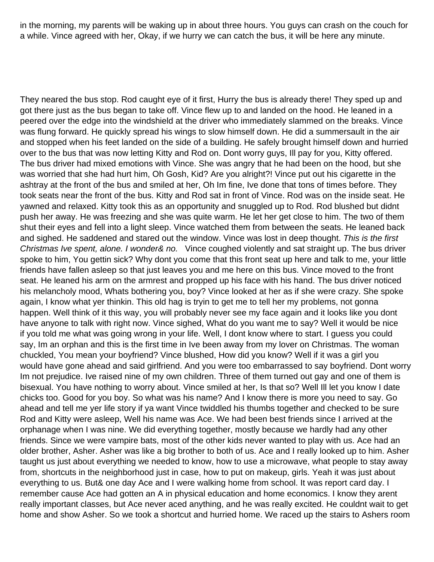in the morning, my parents will be waking up in about three hours. You guys can crash on the couch for a while. Vince agreed with her, Okay, if we hurry we can catch the bus, it will be here any minute.

They neared the bus stop. Rod caught eye of it first, Hurry the bus is already there! They sped up and got there just as the bus began to take off. Vince flew up to and landed on the hood. He leaned in a peered over the edge into the windshield at the driver who immediately slammed on the breaks. Vince was flung forward. He quickly spread his wings to slow himself down. He did a summersault in the air and stopped when his feet landed on the side of a building. He safely brought himself down and hurried over to the bus that was now letting Kitty and Rod on. Don t worry guys, I II pay for you, Kitty offered. The bus driver had mixed emotions with Vince. She was angry that he had been on the hood, but she was worried that she had hurt him, Oh Gosh, Kid? Are you alright?! Vince put out his cigarette in the ashtray at the front of the bus and smiled at her, Oh Im fine, Ive done that tons of times before. They took seats near the front of the bus. Kitty and Rod sat in front of Vince. Rod was on the inside seat. He yawned and relaxed. Kitty took this as an opportunity and snuggled up to Rod. Rod blushed but didn t push her away. He was freezing and she was quite warm. He let her get close to him. The two of them shut their eyes and fell into a light sleep. Vince watched them from between the seats. He leaned back and sighed. He saddened and stared out the window. Vince was lost in deep thought. This is the first Christmas I ve spent, alone. I wonder& no. Vince coughed violently and sat straight up. The bus driver spoke to him, You gettin sick? Why don t you come that this front seat up here and talk to me, your little friends have fallen asleep so that just leaves you and me here on this bus. Vince moved to the front seat. He leaned his arm on the armrest and propped up his face with his hand. The bus driver noticed his melancholy mood, What s bothering you, boy? Vince looked at her as if she were crazy. She spoke again, I know what yer thinkin. This old hag is tryin to get me to tell her my problems, not gonna happen. Well think of it this way, you will probably never see my face again and it looks like you don t have anyone to talk with right now. Vince sighed, What do you want me to say? Well it would be nice if you told me what was going wrong in your life. Well, I don t know where to start. I guess you could say, I m an orphan and this is the first time in I ve been away from my lover on Christmas. The woman chuckled, You mean your boyfriend? Vince blushed, How did you know? Well if it was a girl you would have gone ahead and said girlfriend. And you were too embarrassed to say boyfriend. Don t worry I m not prejudice. I ve raised nine of my own children. Three of them turned out gay and one of them is bisexual. You have nothing to worry about. Vince smiled at her, Is that so? Well Ill let you know I date chicks too. Good for you boy. So what was his name? And I know there is more you need to say. Go ahead and tell me yer life story if ya want Vince twiddled his thumbs together and checked to be sure Rod and Kitty were asleep, Well his name was Ace. We had been best friends since I arrived at the orphanage when I was nine. We did everything together, mostly because we hardly had any other friends. Since we were vampire bats, most of the other kids never wanted to play with us. Ace had an older brother, Asher. Asher was like a big brother to both of us. Ace and I really looked up to him. Asher taught us just about everything we needed to know, how to use a microwave, what people to stay away from, shortcuts in the neighborhood just in case, how to put on makeup, girls. Yeah it was just about everything to us. But& one day Ace and I were walking home from school. It was report card day. I remember cause Ace had gotten an A in physical education and home economics. I know they aren t really important classes, but Ace never aced anything, and he was really excited. He couldn t wait to get home and show Asher. So we took a shortcut and hurried home. We raced up the stairs to Asher s room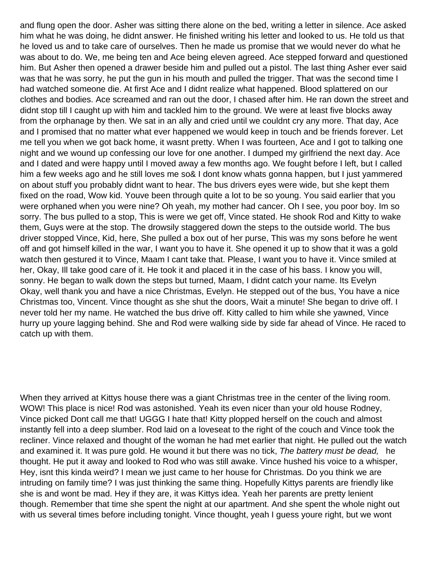and flung open the door. Asher was sitting there alone on the bed, writing a letter in silence. Ace asked him what he was doing, he didn t answer. He finished writing his letter and looked to us. He told us that he loved us and to take care of ourselves. Then he made us promise that we would never do what he was about to do. We, me being ten and Ace being eleven agreed. Ace stepped forward and questioned him. But Asher then opened a drawer beside him and pulled out a pistol. The last thing Asher ever said was that he was sorry, he put the gun in his mouth and pulled the trigger. That was the second time I had watched someone die. At first Ace and I didn t realize what happened. Blood splattered on our clothes and bodies. Ace screamed and ran out the door, I chased after him. He ran down the street and didn t stop till I caught up with him and tackled him to the ground. We were at least five blocks away from the orphanage by then. We sat in an ally and cried until we couldn t cry any more. That day, Ace and I promised that no matter what ever happened we would keep in touch and be friends forever. Let me tell you when we got back home, it wasn t pretty. When I was fourteen, Ace and I got to talking one night and we wound up confessing our love for one another. I dumped my girlfriend the next day. Ace and I dated and were happy until I moved away a few months ago. We fought before I left, but I called him a few weeks ago and he still loves me so& I don t know what s gonna happen, but I just yammered on about stuff you probably didn t want to hear. The bus driver s eyes were wide, but she kept them fixed on the road, Wow kid. You ve been through quite a lot to be so young. You said earlier that you were orphaned when you were nine? Oh yeah, my mother had cancer. Oh I see, you poor boy. Im so sorry. The bus pulled to a stop, This is were we get off, Vince stated. He shook Rod and Kitty to wake them, Guys were at the stop. The drowsily staggered down the steps to the outside world. The bus driver stopped Vince, Kid, here, She pulled a box out of her purse, This was my sons before he went off and got himself killed in the war, I want you to have it. She opened it up to show that it was a gold watch then gestured it to Vince, Ma am I can t take that. Please, I want you to have it. Vince smiled at her, Okay, Ill take good care of it. He took it and placed it in the case of his bass. I know you will, sonny. He began to walk down the steps but turned, Ma am, I didn t catch your name. Its Evelyn Okay, well thank you and have a nice Christmas, Evelyn. He stepped out of the bus, You have a nice Christmas too, Vincent. Vince thought as she shut the doors, Wait a minute! She began to drive off. I never told her my name. He watched the bus drive off. Kitty called to him while she yawned, Vince hurry up youre lagging behind. She and Rod were walking side by side far ahead of Vince. He raced to catch up with them.

When they arrived at Kitty s house there was a giant Christmas tree in the center of the living room. WOW! This place is nice! Rod was astonished. Yeah its even nicer than your old house Rodney, Vince picked Dont call me that! UGGG I hate that! Kitty plopped herself on the couch and almost instantly fell into a deep slumber. Rod laid on a loveseat to the right of the couch and Vince took the recliner. Vince relaxed and thought of the woman he had met earlier that night. He pulled out the watch and examined it. It was pure gold. He wound it but there was no tick, The battery must be dead, he thought. He put it away and looked to Rod who was still awake. Vince hushed his voice to a whisper, Hey, isnt this kinda weird? I mean we just came to her house for Christmas. Do you think we are intruding on family time? I was just thinking the same thing. Hopefully Kitty s parents are friendly like she is and won t be mad. Hey if they are, it was Kitty s idea. Yeah her parent s are pretty lenient though. Remember that time she spent the night at our apartment. And she spent the whole night out with us several times before including tonight. Vince thought, yeah I guess you re right, but we won t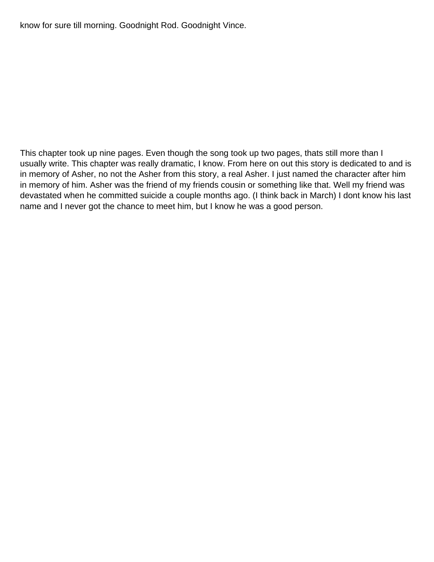know for sure till morning. Goodnight Rod. Goodnight Vince.

This chapter took up nine pages. Even though the song took up two pages, that s still more than I usually write. This chapter was really dramatic, I know. From here on out this story is dedicated to and is in memory of Asher, no not the Asher from this story, a real Asher. I just named the character after him in memory of him. Asher was the friend of my friend s cousin or something like that. Well my friend was devastated when he committed suicide a couple months ago. (I think back in March) I dont know his last name and I never got the chance to meet him, but I know he was a good person.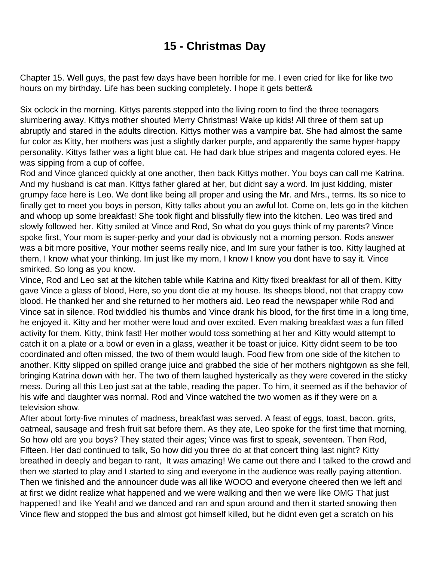## **15 - Christmas Day**

Chapter 15. Well guys, the past few days have been horrible for me. I even cried for like for like two hours on my birthday. Life has been sucking completely. I hope it gets better&

Six o clock in the morning. Kitty s parents stepped into the living room to find the three teenagers slumbering away. Kitty s mother shouted Merry Christmas! Wake up kids! All three of them sat up abruptly and stared in the adult s direction. Kitty s mother was a vampire bat. She had almost the same fur color as Kitty, her mother s was just a slightly darker purple, and apparently the same hyper-happy personality. Kitty s father was a light blue cat. He had dark blue stripes and magenta colored eyes. He was sipping from a cup of coffee.

Rod and Vince glanced quickly at one another, then back Kitty s mother. You boys can call me Katrina. And my husband is cat man. Kitty s father glared at her, but didn t say a word. I m just kidding, mister grumpy face here is Leo. We don t like being all proper and using the Mr. and Mrs., terms. It s so nice to finally get to meet you boys in person, Kitty talks about you an awful lot. Come on, let s go in the kitchen and whoop up some breakfast! She took flight and blissfully flew into the kitchen. Leo was tired and slowly followed her. Kitty smiled at Vince and Rod, So what do you guys think of my parents? Vince spoke first, Your mom is super-perky and your dad is obviously not a morning person. Rod s answer was a bit more positive, Your mother seems really nice, and I m sure your father is too. Kitty laughed at them, I know what your thinking. Im just like my mom, I know I know you dont have to say it. Vince smirked, So long as you know.

Vince, Rod and Leo sat at the kitchen table while Katrina and Kitty fixed breakfast for all of them. Kitty gave Vince a glass of blood, Here, so you don t die at my house. It s sheep s blood, not that crappy cow blood. He thanked her and she returned to her mother s aid. Leo read the newspaper while Rod and Vince sat in silence. Rod twiddled his thumbs and Vince drank his blood, for the first time in a long time, he enjoyed it. Kitty and her mother were loud and over excited. Even making breakfast was a fun filled activity for them. Kitty, think fast! Her mother would toss something at her and Kitty would attempt to catch it on a plate or a bowl or even in a glass, weather it be toast or juice. Kitty didn t seem to be too coordinated and often missed, the two of them would laugh. Food flew from one side of the kitchen to another. Kitty slipped on spilled orange juice and grabbed the side of her mother s nightgown as she fell, bringing Katrina down with her. The two of them laughed hysterically as they were covered in the sticky mess. During all this Leo just sat at the table, reading the paper. To him, it seemed as if the behavior of his wife and daughter was normal. Rod and Vince watched the two women as if they were on a television show.

After about forty-five minutes of madness, breakfast was served. A feast of eggs, toast, bacon, grits, oatmeal, sausage and fresh fruit sat before them. As they ate, Leo spoke for the first time that morning, So how old are you boys? They stated their ages; Vince was first to speak, seventeen. Then Rod, Fifteen. Her dad continued to talk, So how did you three do at that concert thing last night? Kitty breathed in deeply and began to rant, It was amazing! We came out there and I talked to the crowd and then we started to play and I started to sing and everyone in the audience was really paying attention. Then we finished and the announcer dude was all like WOOO and everyone cheered then we left and at first we didn t realize what happened and we were walking and then we were like OMG That just happened! and like Yeah! and we danced and ran and spun around and then it started snowing then Vince flew and stopped the bus and almost got himself killed, but he didn t even get a scratch on his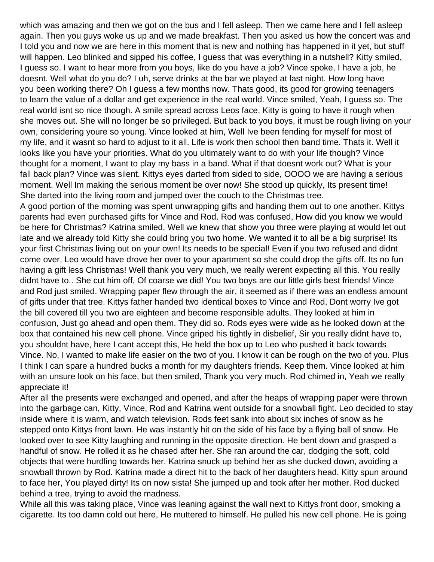which was amazing and then we got on the bus and I fell asleep. Then we came here and I fell asleep again. Then you guys woke us up and we made breakfast. Then you asked us how the concert was and I told you and now we are here in this moment that is new and nothing has happened in it yet, but stuff will happen. Leo blinked and sipped his coffee, I quess that was everything in a nutshell? Kitty smiled, I guess so. I want to hear more from you boys, like do you have a job? Vince spoke, I have a job, he doesnt. Well what do you do? I uh, serve drinks at the bar we played at last night. How long have you been working there? Oh I guess a few months now. That s good, it s good for growing teenagers to learn the value of a dollar and get experience in the real world. Vince smiled, Yeah, I guess so. The real world isn t so nice though. A smile spread across Leo s face, Kitty is going to have it rough when she moves out. She will no longer be so privileged. But back to you boys, it must be rough living on your own, considering youre so young. Vince looked at him, Well Ive been fending for myself for most of my life, and it wasn t so hard to adjust to it all. Life is work then school then band time. That s it. Well it looks like you have your priorities. What do you ultimately want to do with your life though? Vince thought for a moment, I want to play my bass in a band. What if that doesnt work out? What is your fall back plan? Vince was silent. Kitty s eyes darted from sided to side, OOOO we are having a serious moment. Well Im making the serious moment be over now! She stood up quickly, Its present time! She darted into the living room and jumped over the couch to the Christmas tree.

A good portion of the morning was spent unwrapping gifts and handing them out to one another. Kitty s parents had even purchased gifts for Vince and Rod. Rod was confused, How did you know we would be here for Christmas? Katrina smiled, Well we knew that show you three were playing at would let out late and we already told Kitty she could bring you two home. We wanted it to all be a big surprise! It s your first Christmas living out on your own! Its needs to be special! Even if you two refused and didnt come over, Leo would have drove her over to your apartment so she could drop the gifts off. Its no fun having a gift less Christmas! Well thank you very much, we really weren t expecting all this. You really didn t have to.. She cut him off, Of coarse we did! You two boys are our little girl s best friends! Vince and Rod just smiled. Wrapping paper flew through the air, it seemed as if there was an endless amount of gifts under that tree. Kittys father handed two identical boxes to Vince and Rod, Dont worry Ive got the bill covered till you two are eighteen and become responsible adults. They looked at him in confusion, Just go ahead and open them. They did so. Rods eyes were wide as he looked down at the box that contained his new cell phone. Vince griped his tightly in disbelief, Sir you really didnt have to, you shouldn t have, here I can t accept this, He held the box up to Leo who pushed it back towards Vince. No, I wanted to make life easier on the two of you. I know it can be rough on the two of you. Plus I think I can spare a hundred bucks a month for my daughters friends. Keep them. Vince looked at him with an unsure look on his face, but then smiled, Thank you very much. Rod chimed in, Yeah we really appreciate it!

After all the presents were exchanged and opened, and after the heaps of wrapping paper were thrown into the garbage can, Kitty, Vince, Rod and Katrina went outside for a snowball fight. Leo decided to stay inside where it is warm, and watch television. Rod s feet sank into about six inches of snow as he stepped onto Kitty s front lawn. He was instantly hit on the side of his face by a flying ball of snow. He looked over to see Kitty laughing and running in the opposite direction. He bent down and grasped a handful of snow. He rolled it as he chased after her. She ran around the car, dodging the soft, cold objects that were hurdling towards her. Katrina snuck up behind her as she ducked down, avoiding a snowball thrown by Rod. Katrina made a direct hit to the back of her daughter s head. Kitty spun around to face her, You played dirty! Its on now sista! She jumped up and took after her mother. Rod ducked behind a tree, trying to avoid the madness.

While all this was taking place, Vince was leaning against the wall next to Kitty s front door, smoking a cigarette. Its too damn cold out here, He muttered to himself. He pulled his new cell phone. He is going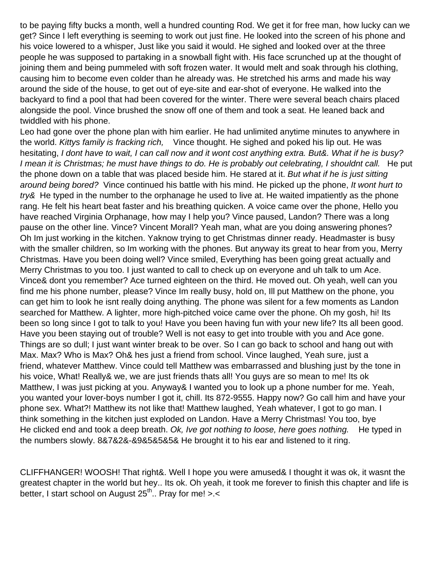to be paying fifty bucks a month, well a hundred counting Rod. We get it for free man, how lucky can we get? Since I left everything is seeming to work out just fine. He looked into the screen of his phone and his voice lowered to a whisper, Just like you said it would. He sighed and looked over at the three people he was supposed to partaking in a snowball fight with. His face scrunched up at the thought of joining them and being pummeled with soft frozen water. It would melt and soak through his clothing, causing him to become even colder than he already was. He stretched his arms and made his way around the side of the house, to get out of eye-site and ear-shot of everyone. He walked into the backyard to find a pool that had been covered for the winter. There were several beach chairs placed alongside the pool. Vince brushed the snow off one of them and took a seat. He leaned back and twiddled with his phone.

Leo had gone over the phone plan with him earlier. He had unlimited anytime minutes to anywhere in the world. Kitty s family is fracking rich, Vince thought. He sighed and poked his lip out. He was hesitating, I don t have to wait, I can call now and it won t cost anything extra. But&. What if he is busy? I mean it is Christmas; he must have things to do. He is probably out celebrating, I shouldn t call. He put the phone down on a table that was placed beside him. He stared at it. But what if he is just sitting around being bored? Vince continued his battle with his mind. He picked up the phone, It won t hurt to try& He typed in the number to the orphanage he used to live at. He waited impatiently as the phone rang. He felt his heart beat faster and his breathing quicken. A voice came over the phone, Hello you have reached Virginia Orphanage, how may I help you? Vince paused, Landon? There was a long pause on the other line. Vince? Vincent Morall? Yeah man, what are you doing answering phones? Oh I m just working in the kitchen. Ya know trying to get Christmas dinner ready. Headmaster is busy with the smaller children, so I m working with the phones. But anyway it s great to hear from you, Merry Christmas. Have you been doing well? Vince smiled, Everything has been going great actually and Merry Christmas to you too. I just wanted to call to check up on everyone and uh talk to um Ace. Vince& don t you remember? Ace turned eighteen on the third. He moved out. Oh yeah, well can you find me his phone number, please? Vince Im really busy, hold on, Ill put Matthew on the phone, you can get him to look he isn t really doing anything. The phone was silent for a few moments as Landon searched for Matthew. A lighter, more high-pitched voice came over the phone. Oh my gosh, hi! It s been so long since I got to talk to you! Have you been having fun with your new life? Its all been good. Have you been staying out of trouble? Well is not easy to get into trouble with you and Ace gone. Things are so dull; I just want winter break to be over. So I can go back to school and hang out with Max. Max? Who is Max? Oh& hes just a friend from school. Vince laughed, Yeah sure, just a friend, whatever Matthew. Vince could tell Matthew was embarrassed and blushing just by the tone in his voice, What! Really& we, we are just friends that s all! You guys are so mean to me! Its ok Matthew, I was just picking at you. Anyway& I wanted you to look up a phone number for me. Yeah, you wanted your lover-boy s number I got it, chill. Its 872-9555. Happy now? Go call him and have your phone sex. What?! Matthew it s not like that! Matthew laughed, Yeah whatever, I got to go man. I think something in the kitchen just exploded on Landon. Have a Merry Christmas! You too, bye He clicked end and took a deep breath. Ok, I ve got nothing to loose, here goes nothing. He typed in the numbers slowly. 8&7&2&-&9&5&5&5& He brought it to his ear and listened to it ring.

CLIFFHANGER! WOOSH! That right&. Well I hope you were amused& I thought it was ok, it wasnt the greatest chapter in the world but hey.. Its ok. Oh yeah, it took me forever to finish this chapter and life is better, I start school on August  $25<sup>th</sup>$ .. Pray for me! >.<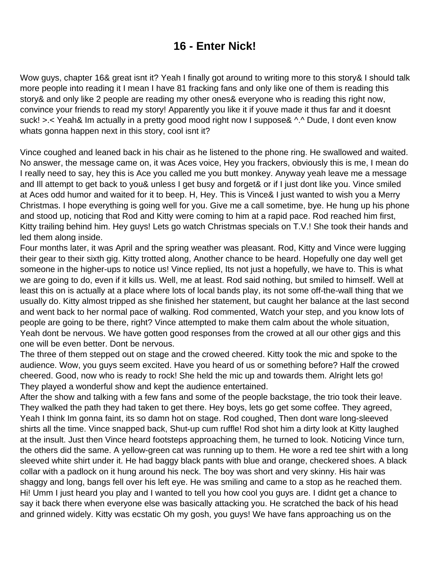# **16 - Enter Nick!**

Wow guys, chapter 16& great isn t it? Yeah I finally got around to writing more to this story& I should talk more people into reading it I mean I have 81 fracking fans and only like one of them is reading this story& and only like 2 people are reading my other ones& everyone who is reading this right now, convince your friends to read my story! Apparently you like it if you ve made it thus far and it doesn t suck! >.< Yeah& I m actually in a pretty good mood right now I suppose& ^.^ Dude, I don t even know what s gonna happen next in this story, cool isn t it?

Vince coughed and leaned back in his chair as he listened to the phone ring. He swallowed and waited. No answer, the message came on, it was Ace s voice, Hey you frackers, obviously this is me, I mean do I really need to say, hey this is Ace you called me you butt monkey. Anyway yeah leave me a message and I II attempt to get back to you& unless I get busy and forget& or if I just don t like you. Vince smiled at Ace s odd humor and waited for it to beep. H, Hey. This is Vince& I just wanted to wish you a Merry Christmas. I hope everything is going well for you. Give me a call sometime, bye. He hung up his phone and stood up, noticing that Rod and Kitty were coming to him at a rapid pace. Rod reached him first, Kitty trailing behind him. Hey guys! Lets go watch Christmas specials on T.V.! She took their hands and led them along inside.

Four months later, it was April and the spring weather was pleasant. Rod, Kitty and Vince were lugging their gear to their sixth gig. Kitty trotted along, Another chance to be heard. Hopefully one day well get someone in the higher-ups to notice us! Vince replied, Its not just a hopefully, we have to. This is what we are going to do, even if it kills us. Well, me at least. Rod said nothing, but smiled to himself. Well at least this on is actually at a place where lots of local bands play, its not some off-the-wall thing that we usually do. Kitty almost tripped as she finished her statement, but caught her balance at the last second and went back to her normal pace of walking. Rod commented, Watch your step, and you know lots of people are going to be there, right? Vince attempted to make them calm about the whole situation, Yeah don t be nervous. We have gotten good responses from the crowed at all our other gigs and this one will be even better. Don t be nervous.

The three of them stepped out on stage and the crowed cheered. Kitty took the mic and spoke to the audience. Wow, you guys seem excited. Have you heard of us or something before? Half the crowed cheered. Good, now who is ready to rock! She held the mic up and towards them. Alright lets go! They played a wonderful show and kept the audience entertained.

After the show and talking with a few fans and some of the people backstage, the trio took their leave. They walked the path they had taken to get there. Hey boys, lets go get some coffee. They agreed, Yeah I think I m gonna faint, its so damn hot on stage. Rod coughed, Then don t ware long-sleeved shirts all the time. Vince snapped back, Shut-up cum ruffle! Rod shot him a dirty look at Kitty laughed at the insult. Just then Vince heard footsteps approaching them, he turned to look. Noticing Vince turn, the others did the same. A yellow-green cat was running up to them. He wore a red tee shirt with a long sleeved white shirt under it. He had baggy black pants with blue and orange, checkered shoes. A black collar with a padlock on it hung around his neck. The boy was short and very skinny. His hair was shaggy and long, bangs fell over his left eye. He was smiling and came to a stop as he reached them. Hi! Umm I just heard you play and I wanted to tell you how cool you guys are. I didn t get a chance to say it back there when everyone else was basically attacking you. He scratched the back of his head and grinned widely. Kitty was ecstatic Oh my gosh, you guys! We have fans approaching us on the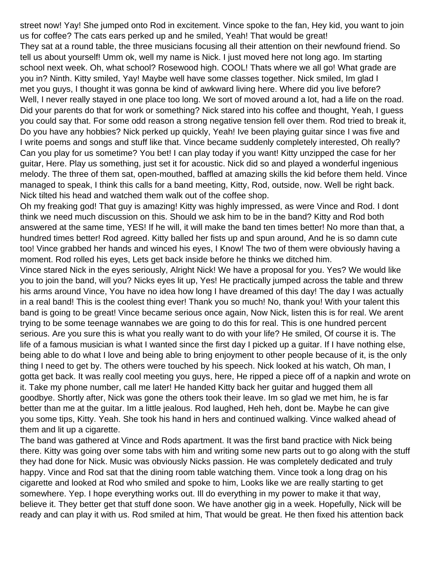street now! Yay! She jumped onto Rod in excitement. Vince spoke to the fan, Hey kid, you want to join us for coffee? The cat s ears perked up and he smiled, Yeah! That would be great! They sat at a round table, the three musicians focusing all their attention on their newfound friend. So tell us about yourself! Umm ok, well my name is Nick. I just moved here not long ago. Im starting school next week. Oh, what school? Rosewood high. COOL! That s where we all go! What grade are you in? Ninth. Kitty smiled, Yay! Maybe we II have some classes together. Nick smiled, I m glad I met you guys, I thought it was gonna be kind of awkward living here. Where did you live before? We II, I never really stayed in one place too long. We sort of moved around a lot, had a life on the road. Did your parents do that for work or something? Nick stared into his coffee and thought, Yeah, I guess you could say that. For some odd reason a strong negative tension fell over them. Rod tried to break it, Do you have any hobbies? Nick perked up quickly, Yeah! I ve been playing guitar since I was five and I write poems and songs and stuff like that. Vince became suddenly completely interested, Oh really? Can you play for us sometime? You bet! I can play today if you want! Kitty unzipped the case for her guitar, Here. Play us something, just set it for acoustic. Nick did so and played a wonderful ingenious melody. The three of them sat, open-mouthed, baffled at amazing skills the kid before them held. Vince managed to speak, I think this calls for a band meeting, Kitty, Rod, outside, now. Well be right back. Nick tilted his head and watched them walk out of the coffee shop.

Oh my freaking god! That guy is amazing! Kitty was highly impressed, as were Vince and Rod. I dont think we need much discussion on this. Should we ask him to be in the band? Kitty and Rod both answered at the same time, YES! If he will, it will make the band ten times better! No more than that, a hundred times better! Rod agreed. Kitty balled her fists up and spun around, And he is so damn cute too! Vince grabbed her hands and winced his eyes, I Know! The two of them were obviously having a moment. Rod rolled his eyes, Lets get back inside before he thinks we ditched him.

Vince stared Nick in the eyes seriously, Alright Nick! We have a proposal for you. Yes? We would like you to join the band, will you? Nick s eyes lit up, Yes! He practically jumped across the table and threw his arms around Vince, You have no idea how long I have dreamed of this day! The day I was actually in a real band! This is the coolest thing ever! Thank you so much! No, thank you! With your talent this band is going to be great! Vince became serious once again, Now Nick, listen this is for real. We aren t trying to be some teenage wannabes we are going to do this for real. This is one hundred percent serious. Are you sure this is what you really want to do with your life? He smiled, Of course it is. The life of a famous musician is what I wanted since the first day I picked up a guitar. If I have nothing else, being able to do what I love and being able to bring enjoyment to other people because of it, is the only thing I need to get by. The others were touched by his speech. Nick looked at his watch, Oh man, I gotta get back. It was really cool meeting you guys, here, He ripped a piece off of a napkin and wrote on it. Take my phone number, call me later! He handed Kitty back her guitar and hugged them all goodbye. Shortly after, Nick was gone the others took their leave. Im so glad we met him, he is far better than me at the guitar. I m a little jealous. Rod laughed, Heh heh, don t be. Maybe he can give you some tips, Kitty. Yeah. She took his hand in hers and continued walking. Vince walked ahead of them and lit up a cigarette.

The band was gathered at Vince and Rod s apartment. It was the first band practice with Nick being there. Kitty was going over some tabs with him and writing some new parts out to go along with the stuff they had done for Nick. Music was obviously Nicks passion. He was completely dedicated and truly happy. Vince and Rod sat that the dining room table watching them. Vince took a long drag on his cigarette and looked at Rod who smiled and spoke to him, Looks like we are really starting to get somewhere. Yep. I hope everything works out. Ill do everything in my power to make it that way, believe it. They better get that stuff done soon. We have another gig in a week. Hopefully, Nick will be ready and can play it with us. Rod smiled at him, That would be great. He then fixed his attention back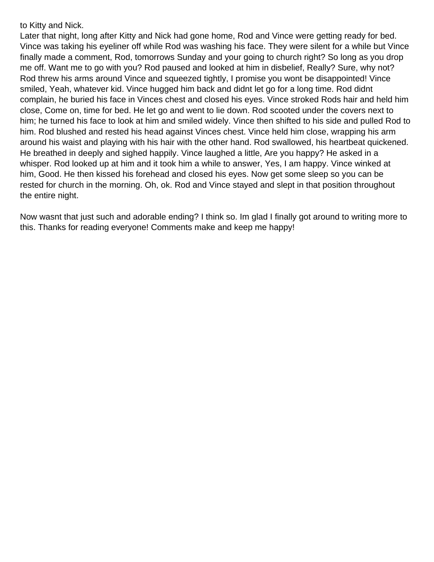to Kitty and Nick.

Later that night, long after Kitty and Nick had gone home, Rod and Vince were getting ready for bed. Vince was taking his eyeliner off while Rod was washing his face. They were silent for a while but Vince finally made a comment, Rod, tomorrow s Sunday and your going to church right? So long as you drop me off. Want me to go with you? Rod paused and looked at him in disbelief, Really? Sure, why not? Rod threw his arms around Vince and squeezed tightly, I promise you wont be disappointed! Vince smiled, Yeah, whatever kid. Vince hugged him back and didnt let go for a long time. Rod didnt complain, he buried his face in Vince s chest and closed his eyes. Vince stroked Rod s hair and held him close, Come on, time for bed. He let go and went to lie down. Rod scooted under the covers next to him; he turned his face to look at him and smiled widely. Vince then shifted to his side and pulled Rod to him. Rod blushed and rested his head against Vince s chest. Vince held him close, wrapping his arm around his waist and playing with his hair with the other hand. Rod swallowed, his heartbeat quickened. He breathed in deeply and sighed happily. Vince laughed a little, Are you happy? He asked in a whisper. Rod looked up at him and it took him a while to answer, Yes, I am happy. Vince winked at him, Good. He then kissed his forehead and closed his eyes. Now get some sleep so you can be rested for church in the morning. Oh, ok. Rod and Vince stayed and slept in that position throughout the entire night.

Now wasnt that just such and adorable ending? I think so. Im glad I finally got around to writing more to this. Thanks for reading everyone! Comments make and keep me happy!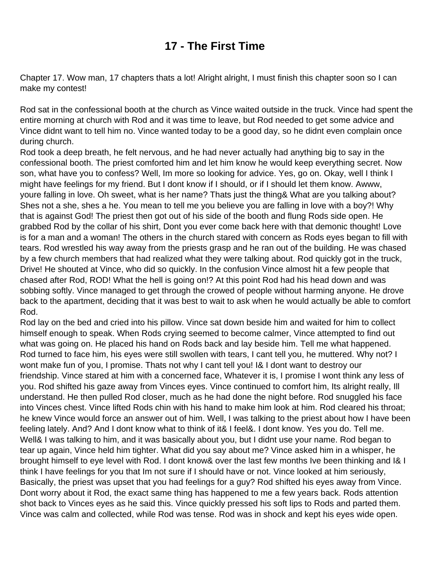## **17 - The First Time**

Chapter 17. Wow man, 17 chapters that s a lot! Alright alright, I must finish this chapter soon so I can make my contest!

Rod sat in the confessional booth at the church as Vince waited outside in the truck. Vince had spent the entire morning at church with Rod and it was time to leave, but Rod needed to get some advice and Vince didn t want to tell him no. Vince wanted today to be a good day, so he didn t even complain once during church.

Rod took a deep breath, he felt nervous, and he had never actually had anything big to say in the confessional booth. The priest comforted him and let him know he would keep everything secret. Now son, what have you to confess? Well, I m more so looking for advice. Yes, go on. Okay, well I think I might have feelings for my friend. But I don t know if I should, or if I should let them know. Awww, you re falling in love. Oh sweet, what is her name? That s just the thing& What are you talking about? She s not a she, she s a he. You mean to tell me you believe you are falling in love with a boy?! Why that is against God! The priest then got out of his side of the booth and flung Rod s side open. He grabbed Rod by the collar of his shirt, Don t you ever come back here with that demonic thought! Love is for a man and a woman! The others in the church stared with concern as Rod s eyes began to fill with tears. Rod wrestled his way away from the priest s grasp and he ran out of the building. He was chased by a few church members that had realized what they were talking about. Rod quickly got in the truck, Drive! He shouted at Vince, who did so quickly. In the confusion Vince almost hit a few people that chased after Rod, ROD! What the hell is going on!? At this point Rod had his head down and was sobbing softly. Vince managed to get through the crowed of people without harming anyone. He drove back to the apartment, deciding that it was best to wait to ask when he would actually be able to comfort Rod.

Rod lay on the bed and cried into his pillow. Vince sat down beside him and waited for him to collect himself enough to speak. When Rod s crying seemed to become calmer, Vince attempted to find out what was going on. He placed his hand on Rod s back and lay beside him. Tell me what happened. Rod turned to face him, his eyes were still swollen with tears, I can t tell you, he muttered. Why not? I won t make fun of you, I promise. That s not why I can t tell you! I& I don t want to destroy our friendship. Vince stared at him with a concerned face, Whatever it is, I promise I won t think any less of you. Rod shifted his gaze away from Vince s eyes. Vince continued to comfort him, It s alright really, I II understand. He then pulled Rod closer, much as he had done the night before. Rod snuggled his face into Vince s chest. Vince lifted Rod s chin with his hand to make him look at him. Rod cleared his throat; he knew Vince would force an answer out of him. Well, I was talking to the priest about how I have been feeling lately. And? And I don t know what to think of it& I feel&. I don t know. Yes you do. Tell me. Well& I was talking to him, and it was basically about you, but I didn t use your name. Rod began to tear up again, Vince held him tighter. What did you say about me? Vince asked him in a whisper, he brought himself to eye level with Rod. I don t know& over the last few months I ve been thinking and I& I think I have feelings for you that I m not sure if I should have or not. Vince looked at him seriously, Basically, the priest was upset that you had feelings for a guy? Rod shifted his eyes away from Vince. Don t worry about it Rod, the exact same thing has happened to me a few years back. Rod s attention shot back to Vince s eyes as he said this. Vince quickly pressed his soft lips to Rod s and parted them. Vince was calm and collected, while Rod was tense. Rod was in shock and kept his eyes wide open.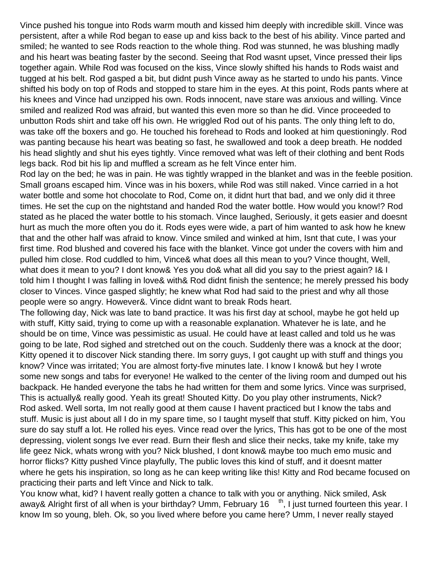Vince pushed his tongue into Rod s warm mouth and kissed him deeply with incredible skill. Vince was persistent, after a while Rod began to ease up and kiss back to the best of his ability. Vince parted and smiled; he wanted to see Rod s reaction to the whole thing. Rod was stunned, he was blushing madly and his heart was beating faster by the second. Seeing that Rod wasnt upset, Vince pressed their lips together again. While Rod was focused on the kiss, Vince slowly shifted his hands to Rod s waist and tugged at his belt. Rod gasped a bit, but didn t push Vince away as he started to undo his pants. Vince shifted his body on top of Rod s and stopped to stare him in the eyes. At this point, Rod s pants where at his knees and Vince had unzipped his own. Rod s innocent, nave stare was anxious and willing. Vince smiled and realized Rod was afraid, but wanted this even more so than he did. Vince proceeded to unbutton Rods shirt and take off his own. He wriggled Rod out of his pants. The only thing left to do, was take off the boxers and go. He touched his forehead to Rod s and looked at him questioningly. Rod was panting because his heart was beating so fast, he swallowed and took a deep breath. He nodded his head slightly and shut his eyes tightly. Vince removed what was left of their clothing and bent Rod s legs back. Rod bit his lip and muffled a scream as he felt Vince enter him.

Rod lay on the bed; he was in pain. He was tightly wrapped in the blanket and was in the feeble position. Small groans escaped him. Vince was in his boxers, while Rod was still naked. Vince carried in a hot water bottle and some hot chocolate to Rod, Come on, it didn t hurt that bad, and we only did it three times. He set the cup on the nightstand and handed Rod the water bottle. How would you know!? Rod stated as he placed the water bottle to his stomach. Vince laughed, Seriously, it gets easier and doesnt hurt as much the more often you do it. Rod s eyes were wide, a part of him wanted to ask how he knew that and the other half was afraid to know. Vince smiled and winked at him, Isnt that cute, I was your first time. Rod blushed and covered his face with the blanket. Vince got under the covers with him and pulled him close. Rod cuddled to him, Vince& what does all this mean to you? Vince thought, Well, what does it mean to you? I don t know & Yes you do & what all did you say to the priest again? I& I told him I thought I was falling in love& with& Rod didn t finish the sentence; he merely pressed his body closer to Vince s. Vince gasped slightly; he knew what Rod had said to the priest and why all those people were so angry. However&. Vince didn t want to break Rod s heart.

The following day, Nick was late to band practice. It was his first day at school, maybe he got held up with stuff, Kitty said, trying to come up with a reasonable explanation. Whatever he is late, and he should be on time, Vince was pessimistic as usual. He could have at least called and told us he was going to be late, Rod sighed and stretched out on the couch. Suddenly there was a knock at the door; Kitty opened it to discover Nick standing there. I m sorry guys, I got caught up with stuff and things you know? Vince was irritated; You are almost forty-five minutes late. I know I know& but hey I wrote some new songs and tabs for everyone! He walked to the center of the living room and dumped out his backpack. He handed everyone the tabs he had written for them and some lyrics. Vince was surprised, This is actually& really good. Yeah its great! Shouted Kitty. Do you play other instruments, Nick? Rod asked. Well sorta, I m not really good at them cause I haven t practiced but I know the tabs and stuff. Music is just about all I do in my spare time, so I taught myself that stuff. Kitty picked on him, You sure do say stuff a lot. He rolled his eyes. Vince read over the lyrics, This has got to be one of the most depressing, violent songs Ive ever read. Burn their flesh and slice their necks, take my knife, take my life geez Nick, what s wrong with you? Nick blushed, I don t know& maybe too much emo music and horror flicks? Kitty pushed Vince playfully, The public loves this kind of stuff, and it doesnt matter where he gets his inspiration, so long as he can keep writing like this! Kitty and Rod became focused on practicing their parts and left Vince and Nick to talk.

You know what, kid? I haven t really gotten a chance to talk with you or anything. Nick smiled, Ask away& Alright first of all when is your birthday? Umm, February 16<sup>th</sup>, I just turned fourteen this year. I know I m so young, bleh. Ok, so you lived where before you came here? Umm, I never really stayed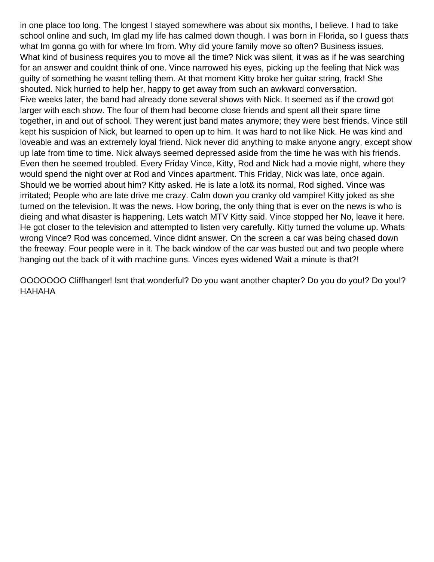in one place too long. The longest I stayed somewhere was about six months, I believe. I had to take school online and such, I m glad my life has calmed down though. I was born in Florida, so I guess that s what I m gonna go with for where I m from. Why did you re family move so often? Business issues. What kind of business requires you to move all the time? Nick was silent, it was as if he was searching for an answer and couldn t think of one. Vince narrowed his eyes, picking up the feeling that Nick was guilty of something he wasnt telling them. At that moment Kitty broke her guitar string, frack! She shouted. Nick hurried to help her, happy to get away from such an awkward conversation. Five weeks later, the band had already done several shows with Nick. It seemed as if the crowd got larger with each show. The four of them had become close friends and spent all their spare time together, in and out of school. They weren t just band mates anymore; they were best friends. Vince still kept his suspicion of Nick, but learned to open up to him. It was hard to not like Nick. He was kind and loveable and was an extremely loyal friend. Nick never did anything to make anyone angry, except show up late from time to time. Nick always seemed depressed aside from the time he was with his friends. Even then he seemed troubled. Every Friday Vince, Kitty, Rod and Nick had a movie night, where they would spend the night over at Rod and Vince s apartment. This Friday, Nick was late, once again. Should we be worried about him? Kitty asked. He is late a lot& its normal, Rod sighed. Vince was irritated; People who are late drive me crazy. Calm down you cranky old vampire! Kitty joked as she turned on the television. It was the news. How boring, the only thing that is ever on the news is who is dieing and what disaster is happening. Lets watch MTV Kitty said. Vince stopped her No, leave it here. He got closer to the television and attempted to listen very carefully. Kitty turned the volume up. What s wrong Vince? Rod was concerned. Vince didn t answer. On the screen a car was being chased down the freeway. Four people were in it. The back window of the car was busted out and two people where hanging out the back of it with machine guns. Vince s eyes widened Wait a minute is that?!

OOOOOO Cliffhanger! Isn t that wonderful? Do you want another chapter? Do you do you!? Do you!? HAHAHA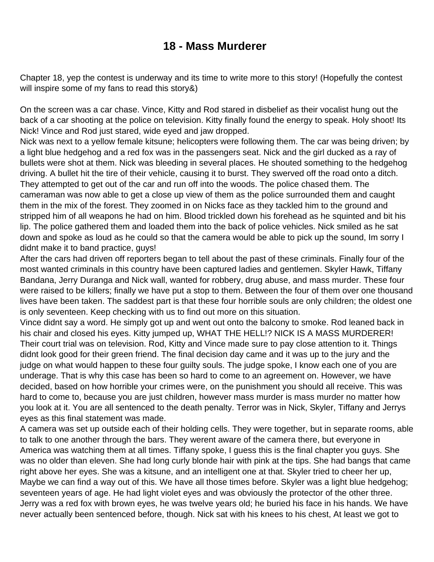## **18 - Mass Murderer**

Chapter 18, yep the contest is underway and its time to write more to this story! (Hopefully the contest will inspire some of my fans to read this story&)

On the screen was a car chase. Vince, Kitty and Rod stared in disbelief as their vocalist hung out the back of a car shooting at the police on television. Kitty finally found the energy to speak. Holy shoot! Its Nick! Vince and Rod just stared, wide eyed and jaw dropped.

Nick was next to a yellow female kitsune; helicopters were following them. The car was being driven; by a light blue hedgehog and a red fox was in the passenger s seat. Nick and the girl ducked as a ray of bullets were shot at them. Nick was bleeding in several places. He shouted something to the hedgehog driving. A bullet hit the tire of their vehicle, causing it to burst. They swerved off the road onto a ditch. They attempted to get out of the car and run off into the woods. The police chased them. The cameraman was now able to get a close up view of them as the police surrounded them and caught them in the mix of the forest. They zoomed in on Nick s face as they tackled him to the ground and stripped him of all weapons he had on him. Blood trickled down his forehead as he squinted and bit his lip. The police gathered them and loaded them into the back of police vehicles. Nick smiled as he sat down and spoke as loud as he could so that the camera would be able to pick up the sound, I m sorry I didn t make it to band practice, guys!

After the cars had driven off reporters began to tell about the past of these criminals. Finally four of the most wanted criminals in this country have been captured ladies and gentlemen. Skyler Hawk, Tiffany Bandana, Jerry Duranga and Nick wall, wanted for robbery, drug abuse, and mass murder. These four were raised to be killers; finally we have put a stop to them. Between the four of them over one thousand lives have been taken. The saddest part is that these four horrible souls are only children; the oldest one is only seventeen. Keep checking with us to find out more on this situation.

Vince didn t say a word. He simply got up and went out onto the balcony to smoke. Rod leaned back in his chair and closed his eyes. Kitty jumped up, WHAT THE HELL!? NICK IS A MASS MURDERER! Their court trial was on television. Rod, Kitty and Vince made sure to pay close attention to it. Things didn t look good for their green friend. The final decision day came and it was up to the jury and the judge on what would happen to these four guilty souls. The judge spoke, I know each one of you are underage. That is why this case has been so hard to come to an agreement on. However, we have decided, based on how horrible your crimes were, on the punishment you should all receive. This was hard to come to, because you are just children, however mass murder is mass murder no matter how you look at it. You are all sentenced to the death penalty. Terror was in Nick, Skyler, Tiffany and Jerry s eyes as this final statement was made.

A camera was set up outside each of their holding cells. They were together, but in separate rooms, able to talk to one another through the bars. They weren t aware of the camera there, but everyone in America was watching them at all times. Tiffany spoke, I guess this is the final chapter you guys. She was no older than eleven. She had long curly blonde hair with pink at the tips. She had bangs that came right above her eyes. She was a kitsune, and an intelligent one at that. Skyler tried to cheer her up, Maybe we can find a way out of this. We have all those times before. Skyler was a light blue hedgehog;

seventeen years of age. He had light violet eyes and was obviously the protector of the other three. Jerry was a red fox with brown eyes, he was twelve years old; he buried his face in his hands. We have never actually been sentenced before, though. Nick sat with his knees to his chest, At least we got to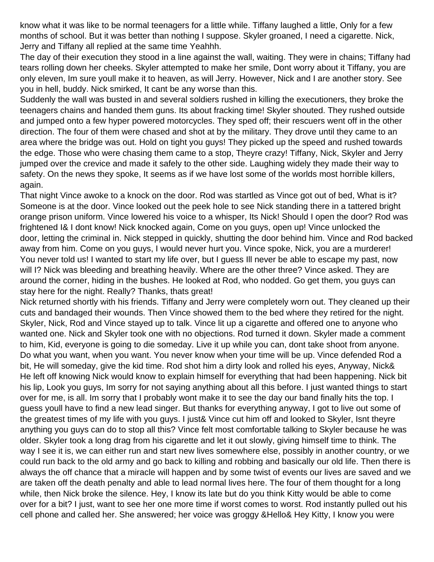know what it was like to be normal teenagers for a little while. Tiffany laughed a little, Only for a few months of school. But it was better than nothing I suppose. Skyler groaned, I need a cigarette. Nick, Jerry and Tiffany all replied at the same time Yeahhh.

The day of their execution they stood in a line against the wall, waiting. They were in chains; Tiffany had tears rolling down her cheeks. Skyler attempted to make her smile, Dont worry about it Tiffany, you are only eleven, I m sure you II make it to heaven, as will Jerry. However, Nick and I are another story. See you in hell, buddy. Nick smirked, It cant be any worse than this.

Suddenly the wall was busted in and several soldiers rushed in killing the executioners, they broke the teenagers chains and handed them guns. Its about fracking time! Skyler shouted. They rushed outside and jumped onto a few hyper powered motorcycles. They sped off; their rescuers went off in the other direction. The four of them were chased and shot at by the military. They drove until they came to an area where the bridge was out. Hold on tight you guys! They picked up the speed and rushed towards the edge. Those who were chasing them came to a stop, Theyre crazy! Tiffany, Nick, Skyler and Jerry jumped over the crevice and made it safely to the other side. Laughing widely they made their way to safety. On the news they spoke, It seems as if we have lost some of the worlds most horrible killers, again.

That night Vince awoke to a knock on the door. Rod was startled as Vince got out of bed, What is it? Someone is at the door. Vince looked out the peek hole to see Nick standing there in a tattered bright orange prison uniform. Vince lowered his voice to a whisper, Its Nick! Should I open the door? Rod was frightened I& I don t know! Nick knocked again, Come on you guys, open up! Vince unlocked the door, letting the criminal in. Nick stepped in quickly, shutting the door behind him. Vince and Rod backed away from him. Come on you guys, I would never hurt you. Vince spoke, Nick, you are a murderer! You never told us! I wanted to start my life over, but I guess Ill never be able to escape my past, now will I? Nick was bleeding and breathing heavily. Where are the other three? Vince asked. They are around the corner, hiding in the bushes. He looked at Rod, who nodded. Go get them, you guys can stay here for the night. Really? Thanks, that s great!

Nick returned shortly with his friends. Tiffany and Jerry were completely worn out. They cleaned up their cuts and bandaged their wounds. Then Vince showed them to the bed where they retired for the night. Skyler, Nick, Rod and Vince stayed up to talk. Vince lit up a cigarette and offered one to anyone who wanted one. Nick and Skyler took one with no objections. Rod turned it down. Skyler made a comment to him, Kid, everyone is going to die someday. Live it up while you can, dont take shoot from anyone. Do what you want, when you want. You never know when your time will be up. Vince defended Rod a bit, He will someday, give the kid time. Rod shot him a dirty look and rolled his eyes, Anyway, Nick& He left off knowing Nick would know to explain himself for everything that had been happening. Nick bit his lip, Look you guys, I m sorry for not saying anything about all this before. I just wanted things to start over for me, is all. I m sorry that I probably won t make it to see the day our band finally hits the top. I guess you II have to find a new lead singer. But thanks for everything anyway, I got to live out some of the greatest times of my life with you guys. I just& Vince cut him off and looked to Skyler, Isn t they re anything you guys can do to stop all this? Vince felt most comfortable talking to Skyler because he was older. Skyler took a long drag from his cigarette and let it out slowly, giving himself time to think. The way I see it is, we can either run and start new lives somewhere else, possibly in another country, or we could run back to the old army and go back to killing and robbing and basically our old life. Then there is always the off chance that a miracle will happen and by some twist of events our lives are saved and we are taken off the death penalty and able to lead normal lives here. The four of them thought for a long while, then Nick broke the silence. Hey, I know it s late but do you think Kitty would be able to come over for a bit? I just, want to see her one more time if worst comes to worst. Rod instantly pulled out his cell phone and called her. She answered; her voice was groggy &Hello& Hey Kitty, I know you were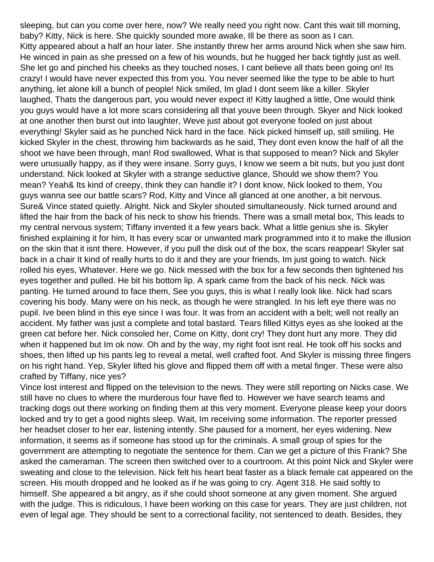sleeping, but can you come over here, now? We really need you right now. Cant this wait till morning, baby? Kitty, Nick is here. She quickly sounded more awake, Ill be there as soon as I can. Kitty appeared about a half an hour later. She instantly threw her arms around Nick when she saw him. He winced in pain as she pressed on a few of his wounds, but he hugged her back tightly just as well. She let go and pinched his cheeks as they touched noses, I can t believe all that s been going on! It s crazy! I would have never expected this from you. You never seemed like the type to be able to hurt anything, let alone kill a bunch of people! Nick smiled, Im glad I dont seem like a killer. Skyler laughed, That s the dangerous part, you would never expect it! Kitty laughed a little, One would think you guys would have a lot more scars considering all that you ve been through. Skyer and Nick looked at one another then burst out into laughter, Weve just about got everyone fooled on just about everything! Skyler said as he punched Nick hard in the face. Nick picked himself up, still smiling. He kicked Skyler in the chest, throwing him backwards as he said, They dont even know the half of all the shoot we have been through, man! Rod swallowed, What is that supposed to mean? Nick and Skyler were unusually happy, as if they were insane. Sorry guys, I know we seem a bit nuts, but you just don t understand. Nick looked at Skyler with a strange seductive glance, Should we show them? You mean? Yeah& Its kind of creepy, think they can handle it? I dont know, Nick looked to them, You guys wanna see our battle scars? Rod, Kitty and Vince all glanced at one another, a bit nervous. Sure& Vince stated quietly. Alright. Nick and Skyler shouted simultaneously. Nick turned around and lifted the hair from the back of his neck to show his friends. There was a small metal box, This leads to my central nervous system; Tiffany invented it a few years back. What a little genius she is. Skyler finished explaining it for him, It has every scar or unwanted mark programmed into it to make the illusion on the skin that it isnt there. However, if you pull the disk out of the box, the scars reappear! Skyler sat back in a chair It kind of really hurts to do it and they are your friends, Im just going to watch. Nick rolled his eyes, Whatever. Here we go. Nick messed with the box for a few seconds then tightened his eyes together and pulled. He bit his bottom lip. A spark came from the back of his neck. Nick was panting. He turned around to face them, See you guys, this is what I really look like. Nick had scars covering his body. Many were on his neck, as though he were strangled. In his left eye there was no pupil. Ive been blind in this eye since I was four. It was from an accident with a belt; well not really an accident. My father was just a complete and total bastard. Tears filled Kittys eyes as she looked at the green cat before her. Nick consoled her, Come on Kitty, don t cry! They don t hurt any more. They did when it happened but I m ok now. Oh and by the way, my right foot isn t real. He took off his socks and shoes, then lifted up his pants leg to reveal a metal, well crafted foot. And Skyler is missing three fingers on his right hand. Yep, Skyler lifted his glove and flipped them off with a metal finger. These were also crafted by Tiffany, nice yes?

Vince lost interest and flipped on the television to the news. They were still reporting on Nick s case. We still have no clues to where the murderous four have fled to. However we have search teams and tracking dogs out there working on finding them at this very moment. Everyone please keep your doors locked and try to get a good night s sleep. Wait, I m receiving some information. The reporter pressed her headset closer to her ear, listening intently. She paused for a moment, her eyes widening. New information, it seems as if someone has stood up for the criminals. A small group of spies for the government are attempting to negotiate the sentence for them. Can we get a picture of this Frank? She asked the cameraman. The screen then switched over to a courtroom. At this point Nick and Skyler were sweating and close to the television. Nick felt his heart beat faster as a black female cat appeared on the screen. His mouth dropped and he looked as if he was going to cry. Agent 318. He said softly to himself. She appeared a bit angry, as if she could shoot someone at any given moment. She argued with the judge. This is ridiculous, I have been working on this case for years. They are just children, not even of legal age. They should be sent to a correctional facility, not sentenced to death. Besides, they